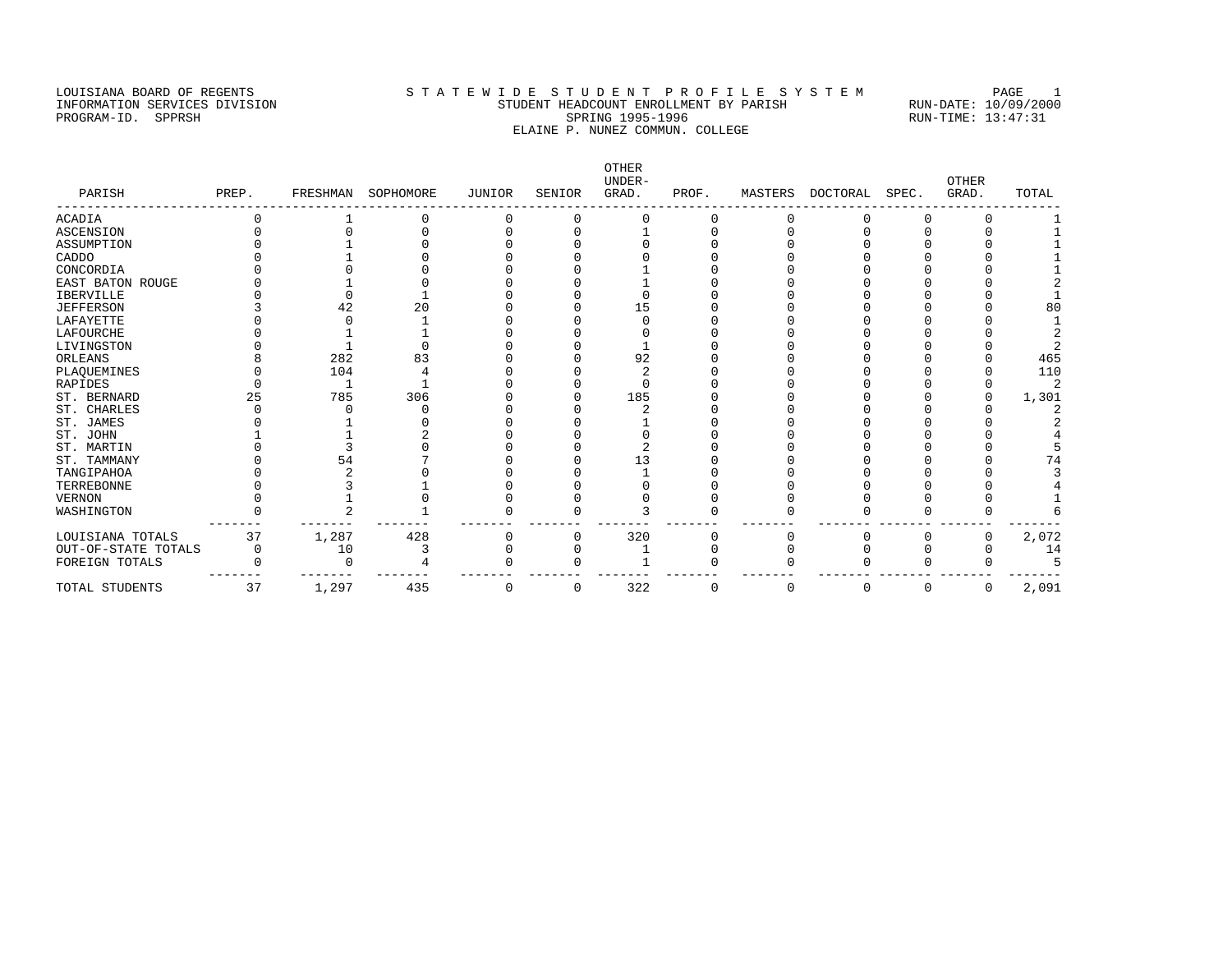# LOUISIANA BOARD OF REGENTS STA TEWIDE STUDENT PROFILE SYSTEM PAGE 1 INFORMATION SERVICES DIVISION STUDENT HEADCOUNT ENROLLMENT BY PARISH RUN-DATE: 10/09/2000 PROGRAM-ID. SPPRSH SPRING 1995-1996 SPRING 1995-1996 RUN-TIME: 13:47:31 ELAINE P. NUNEZ COMMUN. COLLEGE

OTHER UNDER- OTHER PARISH PREP. FRESHMAN SOPHOMORE JUNIOR SENIOR GRAD. PROF. MASTERS DOCTORAL SPEC. GRAD. TOTAL ------------------------------------------------------------------------------------------------------------------------------------ ACADIA 0 1 0 0 0 0 0 0 0 0 0 1 ASCENSION 0 0 0 0 0 1 0 0 0 0 0 1 ASSUMPTION 0 1 0 0 0 0 0 0 0 0 0 1 CADDO 0 1 0 0 0 0 0 0 0 0 0 1 CONCORDIA 0 0 0 0 0 0 1 0 0 0 0 0 1 EAST BATON ROUGE 0 1 0 0 0 1 0 0 0 0 0 2 IBERVILLE 0 0 1 0 0 0 0 0 0 0 0 1 JEFFERSON 3 42 20 0 0 15 0 0 0 0 0 80 LAFAYETTE 0 0 1 0 0 0 0 0 0 0 0 1 LAFOURCHE 0 1 1 0 0 0 0 0 0 0 0 2 LIVINGSTON 0 1 0 0 0 1 0 0 0 0 0 2 ORLEANS 8 282 83 0 0 92 0 0 0 0 0 465 PLAQUEMINES 0 104 4 0 0 2 0 0 0 0 0 110 RAPIDES 0 1 1 0 0 0 0 0 0 0 0 0 2 ST. BERNARD 25 785 306 0 0 185 0 0 0 0 0 1,301<br>
ST. CHARLES 0 0 0 0 0 0 2 0 0 0 0 2<br>
ST. JAMES 0 1 0 0 0 1 0 0 0 0 2 ST. CHARLES 0 0 0 0 0 2 0 0 0 0 0 2 ST. JAMES 0 1 0 0 0 1 0 0 0 0 0 2 ST. JOHN 1 1 2 0 0 0 0 0 0 0 0 0 4 ST. MARTIN 0 3 0 0 0 2 0 0 0 0 0 5 ST. TAMMANY 0 54 7 0 0 13 0 0 0 0 0 74 TANGIPAHOA 0 2 0 0 0 1 0 0 0 0 0 3 TERREBONNE 0 3 1 0 0 0 0 0 0 0 0 4 VERNON 0 1 0 0 0 0 0 0 0 0 0 1 WASHINGTON 0 2 1 0 0 3 0 0 0 0 0 6 ------- ------- ------- ------- ------- ------- ------- ------- ------- ------- ------- ------- LOUISIANA TOTALS 37 1,287 428 0 0 320 0 0 0 0 0 2,072 OUT-OF-STATE TOTALS 0 10 3 0 0 1 0 0 0 0 0 14 FOREIGN TOTALS 0 0 4 0 0 1 0 0 0 0 0 5 ------- ------- ------- ------- ------- ------- ------- ------- ------- ------- ------- ------- TOTAL STUDENTS 37 1,297 435 0 0 322 0 0 0 0 0 2,091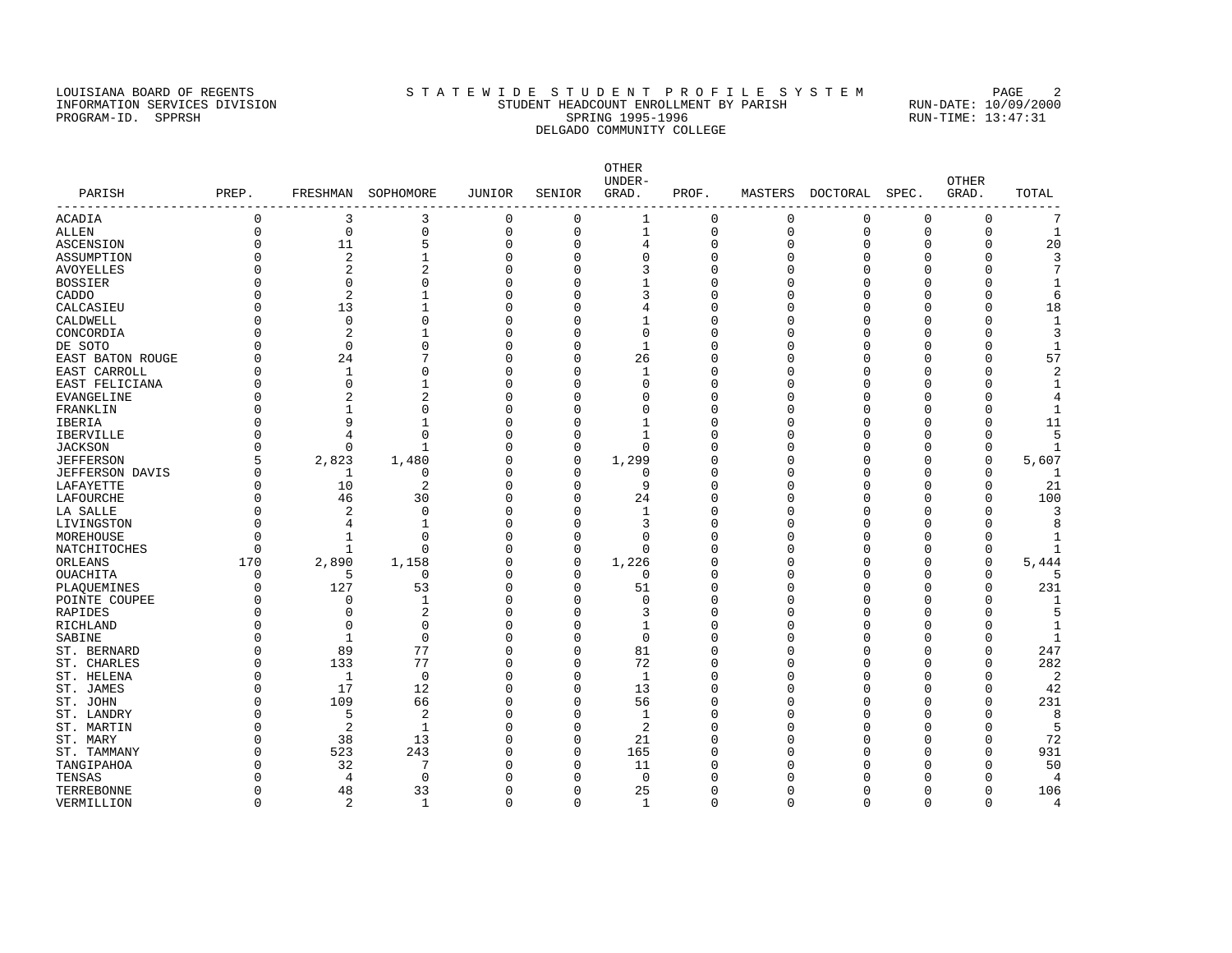### LOUISIANA BOARD OF REGENTS STATEWIDE STUDENT PROFILE SYSTEM PAGE 2 INFORMATION SERVICES DIVISION STUDENT HEADCOUNT ENROLLMENT BY PARISH RUN-DATE: 10/09/2000 PROGRAM-ID. SPPRSH SPRING 1995-1996 SPRING 1995-1996 RUN-TIME: 13:47:31 DELGADO COMMUNITY COLLEGE

OTHER UNDER- OTHER PARISH PREP. FRESHMAN SOPHOMORE JUNIOR SENIOR GRAD. PROF. MASTERS DOCTORAL SPEC. GRAD. TOTAL ------------------------------------------------------------------------------------------------------------------------------------ ACADIA 0 3 3 0 0 1 0 0 0 0 0 7 ALLEN 0 0 0 0 0 1 0 0 0 0 0 1 ASCENSION 0 11 5 0 0 4 0 0 0 0 0 20 ASSUMPTION 0 2 1 0 0 0 0 0 0 0 0 3 AVOYELLES 0 2 2 0 0 3 0 0 0 0 0 7 BOSSIER 0 0 0 0 0 1 0 0 0 0 0 1 CADDO 0 2 1 0 0 3 0 0 0 0 0 6 CALCASIEU 0 13 1 0 0 4 0 0 0 0 0 18 CALDWELL 0 0 0 0 0 1 0 0 0 0 0 1 CONCORDIA 0 2 1 0 0 0 0 0 0 0 0 3 DE SOTO 0 0 0 0 0 1 0 0 0 0 0 1 EAST BATON ROUGE 0 24 7 0 0 26 0 0 0 0 0 57 EAST CARROLL 0 1 0 0 0 1 0 0 0 0 0 2 EAST FELICIANA 0 0 1 0 0 0 0 0 0 0 0 1 EVANGELINE 0 2 2 0 0 0 0 0 0 0 0 4 FRANKLIN 0 1 0 0 0 0 0 0 0 0 0 1 IBERIA 0 9 1 0 0 1 0 0 0 0 0 11 IBERVILLE 0 4 0 0 0 1 0 0 0 0 0 5 JACKSON 0 0 1 0 0 0 0 0 0 0 0 1 JEFFERSON 5 2,823 1,480 0 0 1,299 0 0 0 0 0 5,607 JEFFERSON DAVIS 0 1 0 0 0 0 0 0 0 0 0 1 LAFAYETTE 0 10 2 0 0 9 0 0 0 0 0 21 LAFOURCHE 0 46 30 0 0 24 0 0 0 0 0 100 LA SALLE 0 2 0 0 0 1 0 0 0 0 0 3 LIVINGSTON 0 4 1 0 0 3 0 0 0 0 0 8 MOREHOUSE 0 1 0 0 0 0 0 0 0 0 0 1 NATCHITOCHES 0 1 0 0 0 0 0 0 0 0 0 0 1 ORLEANS 170 2,890 1,158 0 0 1,226 0 0 0 0 0 5,444 OUACHITA 0 5 0 0 0 0 0 0 0 0 0 5 PLAQUEMINES 0 127 53 0 0 51 0 0 0 0 0 231 PLAQUEMINES 0 127 53 0 0 51 0 0 0 0 0 0 0 0 0<br>PLAQUEMINES 0 127 53 0 0 51 0 0 0 0 0 0 0 231<br>RAPIDES 0 0 2 0 0 3 0 0 0 0 0 0 RAPIDES 0 0 2 0 0 3 0 0 0 0 0 5 RICHLAND 0 0 0 0 0 1 0 0 0 0 0 1 SABINE 0 1 0 0 0 0 0 0 0 0 0 0 0 1 ST. BERNARD 0 89 77 0 0 81 0 0 0 0 0 247 ST. CHARLES 0 133 77 0 0 72 0 0 0 0 0 282 ST. HELENA 0 1 0 0 0 1 0 0 0 0 0 2 ST.JAMES 0 17 12 0 0 13 0 0 0 0 0 42 ST. JOHN 0 109 66 0 0 56 0 0 0 0 0 231 ST. LANDRY 0 5 2 0 0 1 0 0 0 0 0 8 ST. MARTIN 0 2 1 0 0 2 0 0 0 0 0 5 ST. MARY 0 38 13 0 0 21 0 0 0 0 0 72 ST. TAMMANY 0 523 243 0 0 165 0 0 0 0 0 931 TANGIPAHOA 0 32 7 0 0 11 0 0 0 0 0 50 TENSAS 0 4 0 0 0 0 0 0 0 0 0 4 TERREBONNE 0 48 33 0 0 25 0 0 0 0 0 106

VERMILLION 0 2 1 0 0 1 0 0 0 0 0 4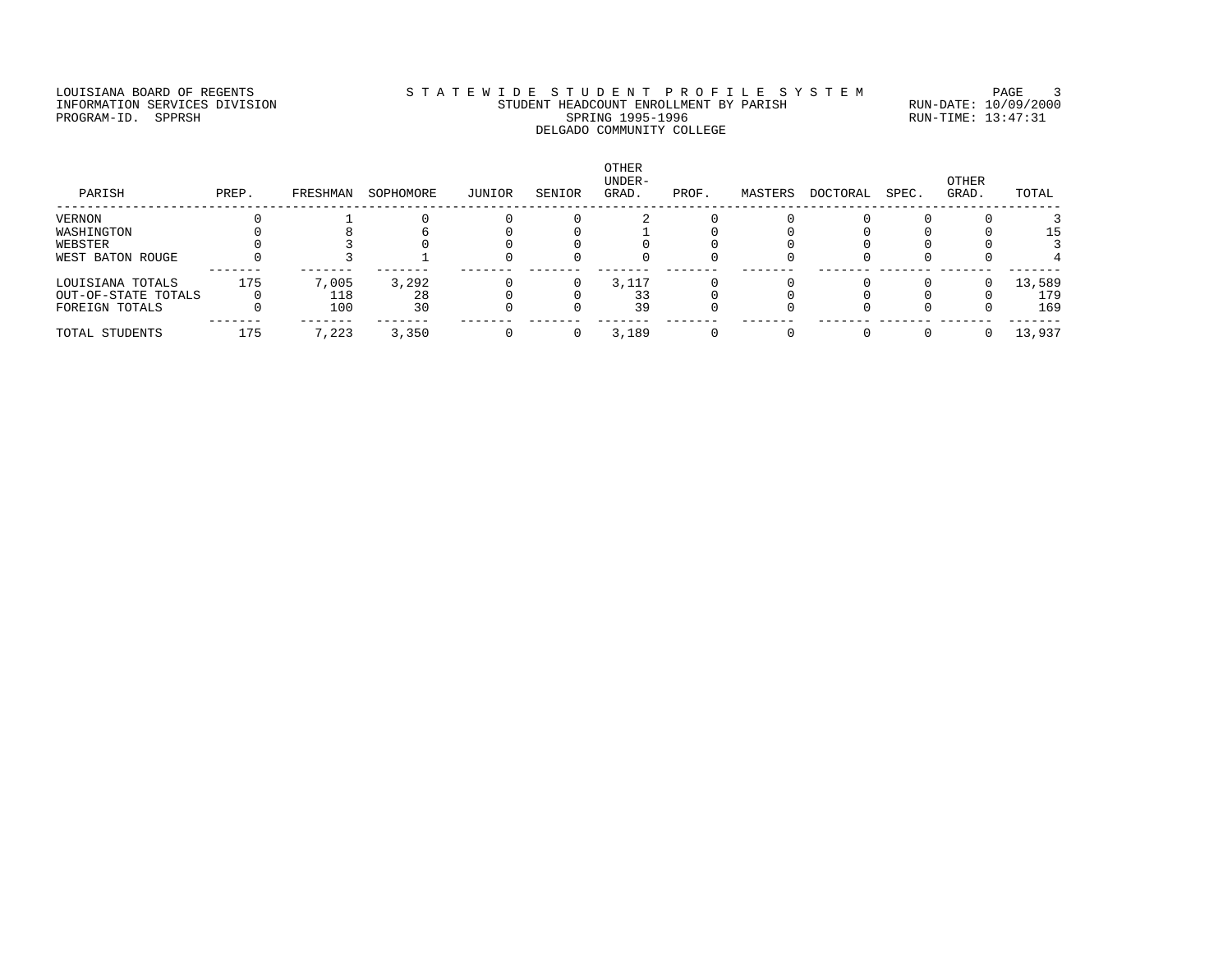# LOUISIANA BOARD OF REGENTS STATEWIDE STUDENT PROFILE SYSTEM PAGE 3 INFORMATION SERVICES DIVISION STUDENT HEADCOUNT ENROLLMENT BY PARISH RUN-DATE: 10/09/2000 PROGRAM-ID. SPPRSH SPRING 1995-1996 SPRING 1995-1996 RUN-TIME: 13:47:31 DELGADO COMMUNITY COLLEGE

| PARISH              | PREP. | FRESHMAN | SOPHOMORE | JUNIOR | SENIOR | <b>OTHER</b><br>UNDER-<br>GRAD. | PROF. | MASTERS | DOCTORAL | SPEC. | <b>OTHER</b><br>GRAD. | TOTAL  |
|---------------------|-------|----------|-----------|--------|--------|---------------------------------|-------|---------|----------|-------|-----------------------|--------|
| VERNON              |       |          |           |        |        |                                 |       |         |          |       |                       |        |
| WASHINGTON          |       |          |           |        |        |                                 |       |         |          |       |                       | 15.    |
| WEBSTER             |       |          |           |        |        |                                 |       |         |          |       |                       |        |
| WEST BATON ROUGE    |       |          |           |        |        |                                 |       |         |          |       |                       |        |
| LOUISIANA TOTALS    | 175   | 7,005    | 3,292     |        |        | 3,117                           |       |         |          |       |                       | 13,589 |
| OUT-OF-STATE TOTALS |       | 118      | 28        |        |        |                                 |       |         |          |       |                       | 179    |
| FOREIGN TOTALS      |       | 100      | 30        |        |        | 39                              |       |         |          |       |                       | 169    |
| TOTAL STUDENTS      | 175   | 7,223    | 3,350     |        |        | 3,189                           |       |         |          |       |                       | 13,937 |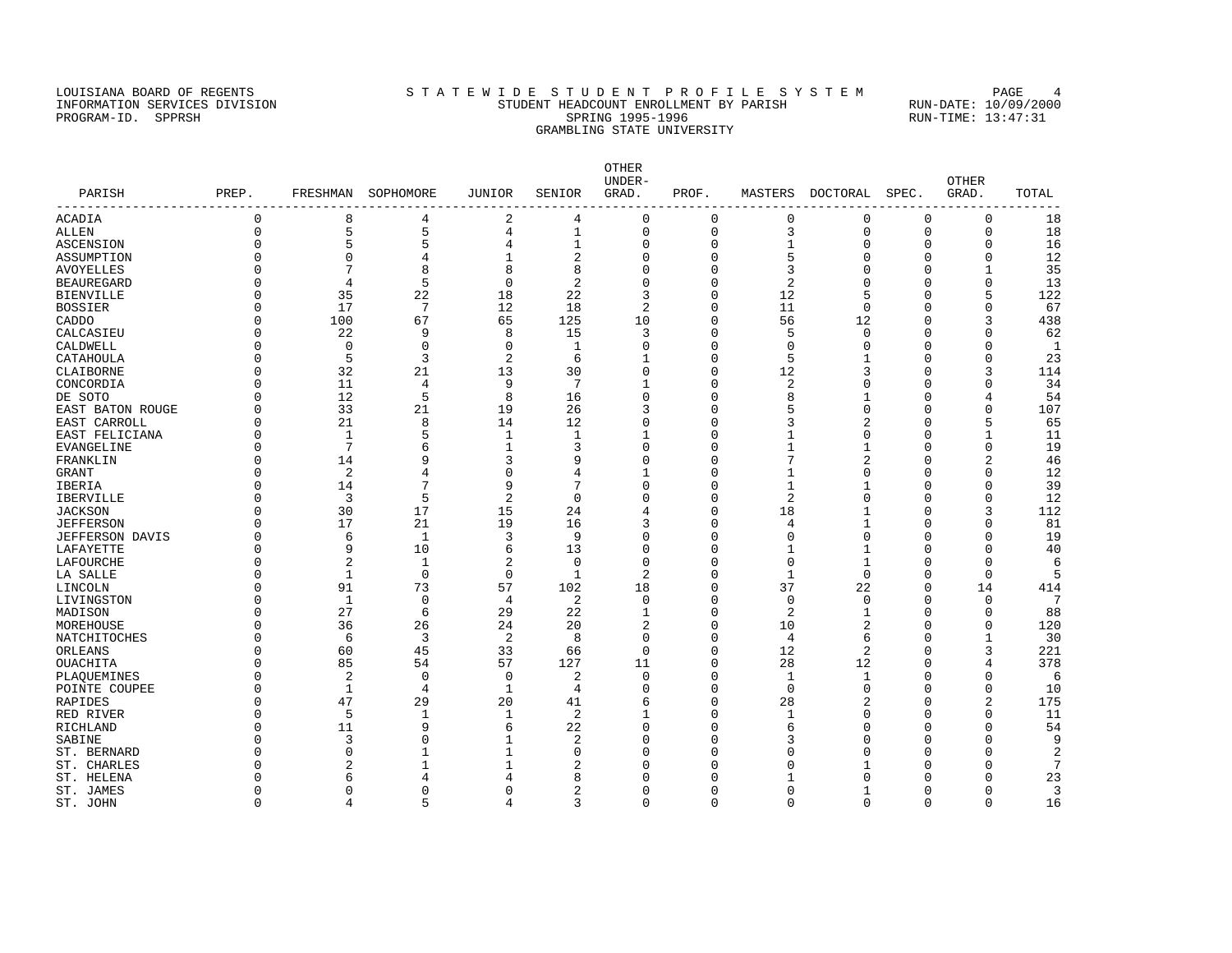### LOUISIANA BOARD OF REGENTS STA TEWIDE STUDENT PROFILE SYSTEM PAGE 4 INFORMATION SERVICES DIVISION STUDENT HEADCOUNT ENROLLMENT BY PARISH RUN-DATE: 10/09/2000 PROGRAM-ID. SPPRSH SPRING 1995-1996 SPRING 1995-1996 RUN-TIME: 13:47:31 GRAMBLING STATE UNIVERSITY

OTHER UNDER- OTHER PARISH PREP. FRESHMAN SOPHOMORE JUNIOR SENIOR GRAD. PROF. MASTERS DOCTORAL SPEC. GRAD. TOTAL ------------------------------------------------------------------------------------------------------------------------------------ ACADIA 0 8 4 2 4 0 0 0 0 0 0 18 ALLEN 0 5 5 4 1 0 0 3 0 0 0 18 ASCENSION 0 5 5 4 1 0 0 1 0 0 0 16 ASSUMPTION 0 0 4 1 2 0 0 5 0 0 0 12 AVOYELLES 0 7 8 8 8 0 0 3 0 0 1 35 BEAUREGARD 0 4 5 0 2 0 0 2 0 0 0 13 BIENVILLE 0 35 22 18 22 3 0 12 5 0 5 122 BOSSIER 0 17 7 12 18 2 0 11 0 0 0 67 CADDO 0 100 67 65 125 10 0 56 12 0 3 438 CALCASIEU 0 22 9 8 15 3 0 5 0 0 0 62 CALDWELL 0 0 0 0 0 1 0 0 0 0 0 0 1 CATAHOULA 0 5 3 2 6 1 0 5 1 0 0 23 CLAIBORNE 0 32 21 13 30 0 0 12 3 0 3 114 CONCORDIA 0 11 4 9 7 1 0 2 0 0 0 34 DE SOTO 0 12 5 8 16 0 0 8 1 0 4 54 EAST BATON ROUGE 0 33 21 19 26 3 0 5 0 0 0 107 EAST CARROLL 0 21 8 14 12 0 0 3 2 0 5 65 EAST FELICIANA 0 1 5 1 1 1 0 1 0 0 1 11 EVANGELINE 0 7 6 1 3 0 0 1 1 0 0 19 FRANKLIN 0 14 9 3 9 0 0 7 2 0 2 46 GRANT 0 2 4 0 4 1 0 1 0 0 0 12 IBERIA 0 14 7 9 7 0 0 1 1 0 0 39 IBERVILLE 0 3 5 2 0 0 0 2 0 0 0 12 JACKSON 0 30 17 15 24 4 0 18 1 0 3 112 JEFFERSON 0 17 21 19 16 3 0 4 1 0 0 81 JEFFERSON DAVIS 0 6 1 3 9 0 0 0 0 0 0 19<br>LAFAYETTE 0 9 10 6 13 0 0 1 1 0 0 40 LAFAYETTE 0 9 10 6 13 0 0 1 1 0 0 40 LAFOURCHE 0 2 1 2 0 0 0 0 1 0 0 6 LA SALLE 0 1 0 0 1 2 0 1 0 0 0 5 LINCOLN 0 91 73 57 102 18 0 37 22 0 14 414 LIVINGSTON 0 1 0 4 2 0 0 0 0 0 0 7 MADISON 0 27 6 29 22 1 0 2 1 0 88 MOREHOUSE 0 36 26 24 20 2 0 10 2 0 0 120 NATCHITOCHES 0 6 3 2 8 0 0 4 6 0 1 30 ORLEANS 0 60 45 33 66 0 0 12 2 0 3 221 OUACHITA 0 85 54 57 127 11 0 28 12 0 4 378 PLAQUEMINES 0 2 0 0 2 0 0 1 1 0 0 6 POINTE COUPEE 0 1 4 1 4 0 0 0 0 0 0 10 RAPIDES 0 47 29 20 41 6 0 28 2 0 2 175 RED RIVER 0 5 1 1 2 1 0 1 0 0 11 RICHLAND 0 11 9 6 22 0 6 0 0 54 SABINE 0 3 0 1 2 0 0 3 0 0 9 ST. BERNARD 0 0 1 1 0 0 0 0 0 0 0 2 ST. CHARLES 0 2 1 1 2 0 0 0 1 0 0 7 ST. HELENA 0 6 4 4 8 0 0 1 0 0 0 23 ST. JAMES 0 0 0 0 2 0 0 0 1 0 0 3

ST. JOHN 0 4 5 4 3 0 0 0 0 0 0 16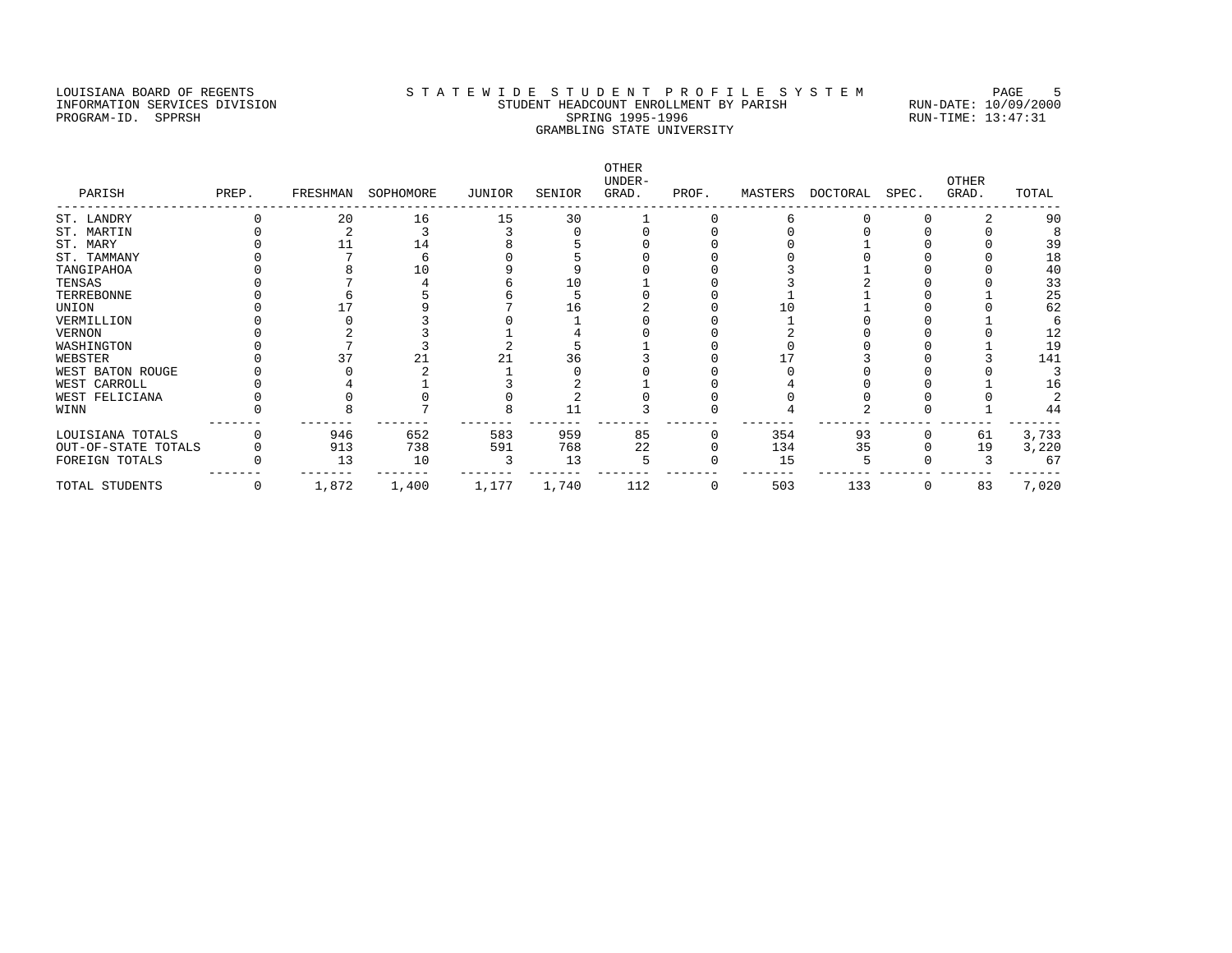# LOUISIANA BOARD OF REGENTS STATEWIDE STUDENT PROFILE SYSTEM PAGE 5 INFORMATION SERVICES DIVISION STUDENT HEADCOUNT ENROLLMENT BY PARISH RUN-DATE: 10/09/2000 PROGRAM-ID. SPPRSH SPRING 1995-1996 SPRING 1995-1996 RUN-TIME: 13:47:31 GRAMBLING STATE UNIVERSITY

| PARISH              | PREP. |       | FRESHMAN SOPHOMORE | JUNIOR | SENIOR | OTHER<br>UNDER-<br>GRAD. | PROF. | MASTERS | DOCTORAL SPEC. |   | OTHER<br>GRAD. | TOTAL |
|---------------------|-------|-------|--------------------|--------|--------|--------------------------|-------|---------|----------------|---|----------------|-------|
| ST. LANDRY          |       | 20    | 16                 | 15     | 30     |                          |       |         |                |   |                | 90    |
| ST. MARTIN          |       |       |                    |        |        |                          |       |         |                |   |                |       |
| ST. MARY            |       |       | 14                 |        |        |                          |       |         |                |   |                | 39    |
| ST. TAMMANY         |       |       |                    |        |        |                          |       |         |                |   |                | 18    |
| TANGIPAHOA          |       |       |                    |        |        |                          |       |         |                |   |                | 40    |
| TENSAS              |       |       |                    |        |        |                          |       |         |                |   |                | 33    |
| TERREBONNE          |       |       |                    |        |        |                          |       |         |                |   |                | 25    |
| UNION               |       |       |                    |        |        |                          |       |         |                |   |                | 62    |
| VERMILLION          |       |       |                    |        |        |                          |       |         |                |   |                |       |
| VERNON              |       |       |                    |        |        |                          |       |         |                |   |                | 12    |
| WASHINGTON          |       |       |                    |        |        |                          |       |         |                |   |                | 19    |
| WEBSTER             |       |       |                    |        | 36     |                          |       |         |                |   |                | 141   |
| WEST BATON ROUGE    |       |       |                    |        |        |                          |       |         |                |   |                |       |
| WEST CARROLL        |       |       |                    |        |        |                          |       |         |                |   |                | 16    |
| WEST FELICIANA      |       |       |                    |        |        |                          |       |         |                |   |                |       |
| WINN                |       |       |                    |        | 11     |                          |       |         |                |   |                | 44    |
| LOUISIANA TOTALS    |       | 946   | 652                | 583    | 959    | 85                       |       | 354     | 93             |   | 61             | 3,733 |
| OUT-OF-STATE TOTALS |       | 913   | 738                | 591    | 768    | 22                       |       | 134     | 35             |   | 19             | 3,220 |
| FOREIGN TOTALS      |       | 13    | 10                 |        | 13     |                          |       | 15      |                |   |                | 67    |
| TOTAL STUDENTS      | 0     | 1,872 | 1,400              | 1,177  | 1,740  | 112                      | 0     | 503     | 133            | 0 | 83             | 7,020 |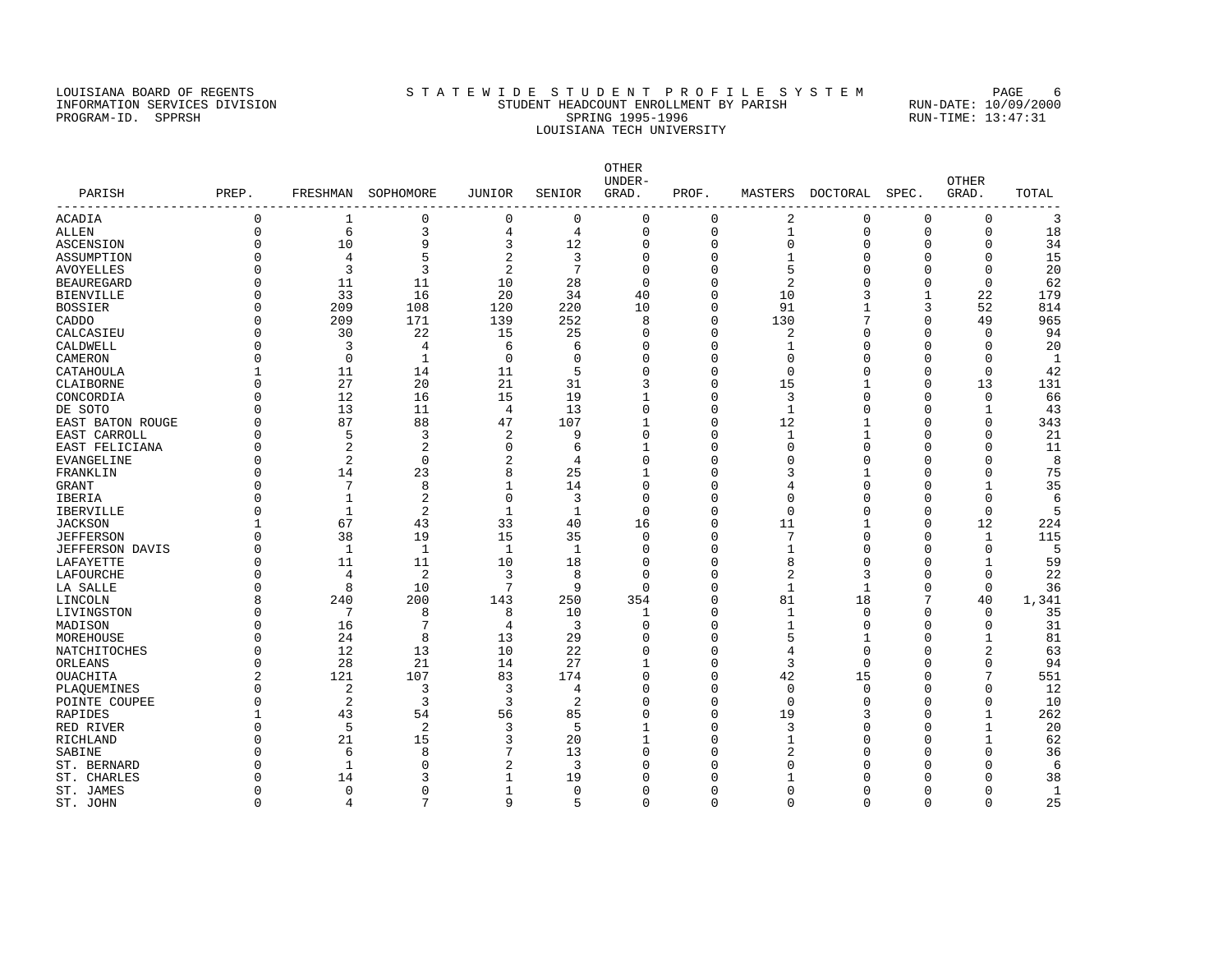### LOUISIANA BOARD OF REGENTS STATEWIDE STUDENT PROFILE SYSTEM PAGE 6 INFORMATION SERVICES DIVISION STUDENT HEADCOUNT ENROLLMENT BY PARISH RUN-DATE: 10/09/2000 PROGRAM-ID. SPPRSH SPRING 1995-1996 SPRING 1995-1996 RUN-TIME: 13:47:31 LOUISIANA TECH UNIVERSITY

OTHER UNDER- OTHER PARISH PREP. FRESHMAN SOPHOMORE JUNIOR SENIOR GRAD. PROF. MASTERS DOCTORAL SPEC. GRAD. TOTAL ------------------------------------------------------------------------------------------------------------------------------------ ACADIA 0 1 0 0 0 0 0 2 0 0 0 3 ALLEN 0 6 3 4 4 0 0 1 0 0 0 18 ASCENSION 0 10 9 3 12 0 0 0 0 34 ASSUMPTION 0 4 5 2 3 0 0 1 0 0 0 15 AVOYELLES 0 3 3 2 7 0 0 5 0 0 0 20 BEAUREGARD 0 11 11 10 28 0 0 2 0 0 0 62 BIENVILLE 0 33 16 20 34 40 0 10 3 1 22 179 BOSSIER 0 209 108 120 220 10 0 91 1 3 52 814 CADDO 0 209 171 139 252 8 0 130 7 0 49 965 CALCASIEU 0 30 22 15 25 0 0 2 0 0 0 94 CALDWELL 0 3 4 6 6 0 0 1 0 0 0 20 CAMERON 0 0 1 0 0 0 0 0 0 0 0 1 المستمر بن بن المستمر بن المستمر بن المستمر بن المستمر بن المستمر بن المستمر بن المستمر بن المستمر بن المستمر<br>21 11 14 11 5 0 0 0 0 0 0 13 131<br>21 31 3 0 15 1 0 13 131 CLAIBORNE 0 27 20 21 31 3 0 15 1 0 13 131 CONCORDIA 0 12 16 15 19 1 0 3 0 0 0 66 DE SOTO 0 13 11 4 13 0 0 1 0 0 1 43 EAST BATON ROUGE 0 87 88 47 107 1 0 12 1 0 0 343 EAST CARROLL 0 5 3 2 9 0 0 1 1 0 0 21 EAST FELICIANA 0 2 2 0 6 1 0 0 0 0 0 11  $\texttt{EVANGELINE}$  0 2 0 2 4 0 0 0 0 0 0 8 FRANKLIN 0 14 23 8 25 1 0 3 1 0 0 75 GRANT 0 7 8 1 14 0 0 4 0 0 1 35 IBERIA 0 1 2 0 3 0 0 0 0 0 0 6 IBERVILLE 0 1 2 1 1 0 0 0 0 0 0 5 JACKSON 1 67 43 33 40 16 0 11 1 0 12 224 JEFFERSON 0 38 19 15 35 0 0 7 0 0 1 115 JEFFERSON DAVIS 0 1 1 1 1 0 0 1 0 0 0 5 LAFAYETTE 0 11 11 10 18 0 0 8 0 0 1 59 LAFOURCHE 0 4 2 3 8 0 0 2 3 0 0 22 LA SALLE 0 8 10 7 9 0 0 1 1 0 0 36 LINCOLN 8 240 200 143 250 354 0 81 18 7 40 1,341 LIVINGSTON 0 7 8 8 10 1 0 1 0 0 0 35<br>
MADISON 0 16 7 4 3 0 0 1 0 0 0 31<br>
MOREHOUSE 0 24 8 13 29 0 0 5 1 0 1 81<br>
NATCHITOCHES 0 12 13 10 22 0 0 4 0 0 2 63 MADISON 0 16 7 4 3 0 0 1 0 0 0 31 MOREHOUSE 0 24 8 13 29 0 0 5 1 0 1 81 MOREHOUSE 0 24 8 13 29 0 0 5 1 0 1 81<br>
NATCHITOCHES 0 12 13 10 22 0 0 4 0 0 2 63<br>
ORLEANS 0 28 21 14 27 1 0 3 0 0 94 ORLEANS 0 28 21 14 27 1 0 3 0 0 0 94 OUACHITA 2 121 107 83 174 0 0 42 15 0 7 551 PLAQUEMINES 0 2 3 3 4 0 0 0 0 0 0 12 POINTE COUPEE 0 2 3 3 2 0 0 0 0 0 0 10 RAPIDES 1 43 54 56 85 0 0 19 3 0 1 262 RED RIVER 5 2 3 5 1 0 3 0 20 RICHLAND 0 21 15 3 20 1 0 1 0 0 1 62 SABINE 0 6 8 7 13 0 0 2 0 0 0 36 ST. BERNARD 0 1 0 2 3 0 0 0 0 0 0 6 ST. CHARLES 0 14 3 1 19 0 0 1 0 0 0 38 ST. JAMES 0 0 0 1 0 0 0 0 0 0 0 1

ST. JOHN 0 4 7 9 5 0 0 0 0 0 0 25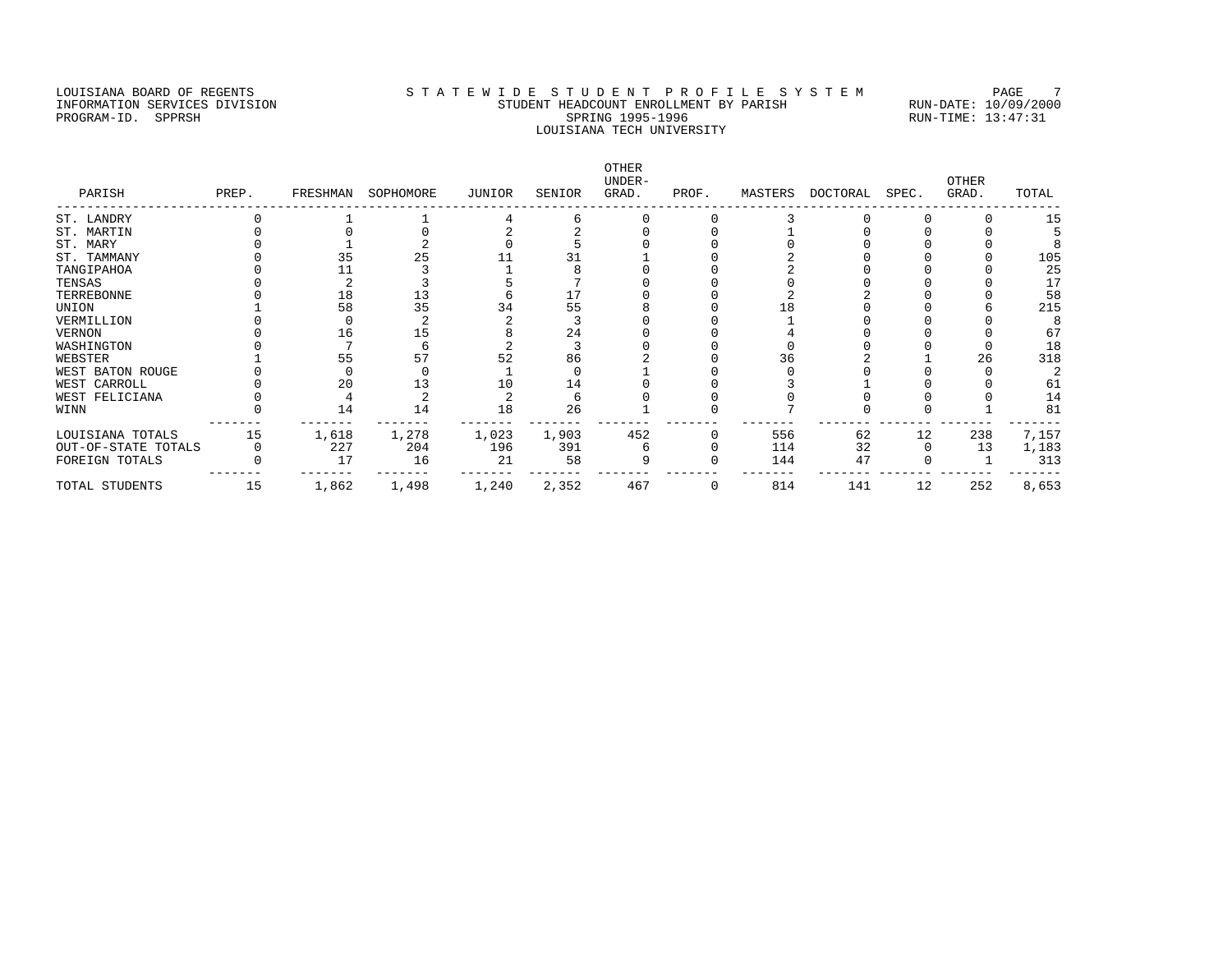### LOUISIANA BOARD OF REGENTS STA TEWIDE STUDENT PROFILE SYSTEM PAGE 7 INFORMATION SERVICES DIVISION STUDENT HEADCOUNT ENROLLMENT BY PARISH RUN-DATE: 10/09/2000 PROGRAM-ID. SPPRSH SPRING 1995-1996 SPRING 1995-1996 RUN-TIME: 13:47:31 LOUISIANA TECH UNIVERSITY

OTHER UNDER- OTHER PARISH PREP. FRESHMAN SOPHOMORE JUNIOR SENIOR GRAD. PROF. MASTERS DOCTORAL SPEC. GRAD. TOTAL ------------------------------------------------------------------------------------------------------------------------------------ ST. LANDRY 0 1 1 4 6 0 0 3 0 0 0<br>ST. MARTIN 0 0 0 2 2 0 0 1 0 0 0 ST. MARTIN 0 0 0 0 2 2 0 0 1 0 0 0 5<br>ST. MARY 0 1 2 0 5 0 0 0 0 0 0 8 ST. MARY 0 1 2 0 5 0 0 0 0 0 0 8 ST. TAMMANY 0 35 25 11 31 1 0 2 0 0 0 105 TANGIPAHOA 0 11 3 1 8 0 0 2 0 0 0 25 TENSAS 0 2 3 5 7 0 0 0 0 0 0 17 TERREBONNE 0 18 13 6 17 0 0 2 2 0 0 58 UNION 1 58 35 34 55 8 0 18 0 0 6 215 VERMILLION 0 0 2 2 3 0 0 1 0 0 0 8 VERNON 0 16 15 8 24 0 0 4 0 0 0 67 WASHINGTON 0 7 6 2 3 0 0 0 0 0 0 18 WEBSTER 1 55 57 52 86 2 0 36 2 1 26 318 WEST BATON ROUGE 0 0 0 1 0 1 0 0 0 0 0 2 WEST CARROLL 0 20 13 10 14 0 0 3 1 0 0 61 WEST FELICIANA 0 4 2 2 6 0 0 0 0 0 0 14 WINN 0 14 14 18 26 1 0 7 0 0 1 81 ------- ------- ------- ------- ------- ------- ------- ------- ------- ------- ------- ------- LOUISIANA TOTALS 15 1,618 1,278 1,023 1,903 452 0 556 62 12 238 7,157 OUT-OF-STATE TOTALS 0 227 204 196 391 6 0 114 32 0 13 1,183 FOREIGN TOTALS 0 17 16 21 58 9 0 144 47 0 1 313 ------- ------- ------- ------- ------- ------- ------- ------- ------- ------- ------- ------- TOTAL STUDENTS 15 1,862 1,498 1,240 2,352 467 0 814 141 12 252 8,653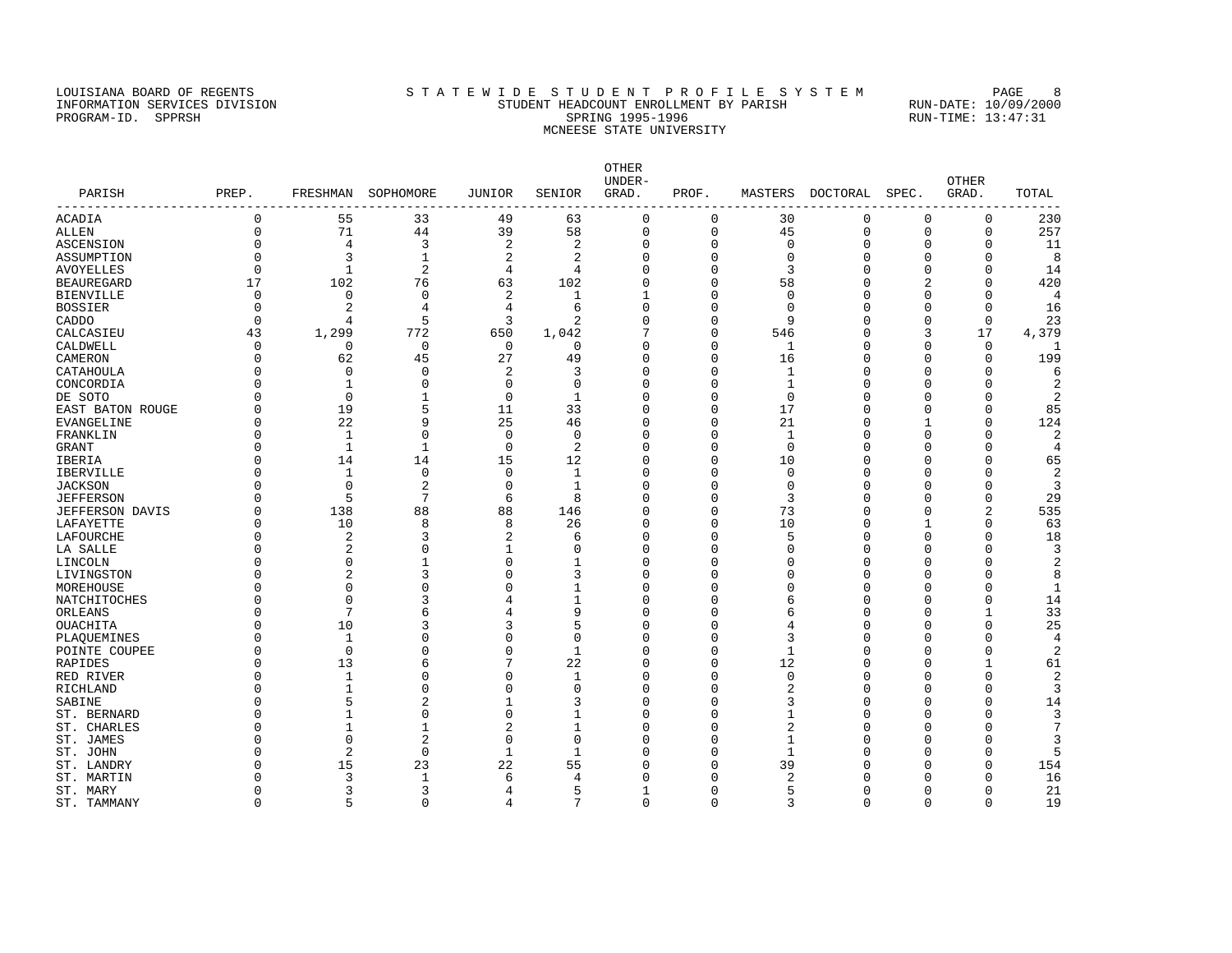# LOUISIANA BOARD OF REGENTS STATEWIDE STUDENT PROFILE SYSTEM PAGE 8 INFORMATION SERVICES DIVISION STUDENT HEADCOUNT ENROLLMENT BY PARISH RUN-DATE: 10/09/2000 PROGRAM-ID. SPPRSH SPRING 1995-1996 SPRING 1995-1996 RUN-TIME: 13:47:31 MCNEESE STATE UNIVERSITY

| PARISH<br>----------------- | PREP.        |                | FRESHMAN SOPHOMORE | JUNIOR      | SENIOR<br>$- -$ | <b>OTHER</b><br>UNDER-<br>GRAD. | PROF.       |          | MASTERS DOCTORAL | SPEC.       | <b>OTHER</b><br>GRAD. | TOTAL          |
|-----------------------------|--------------|----------------|--------------------|-------------|-----------------|---------------------------------|-------------|----------|------------------|-------------|-----------------------|----------------|
| ACADIA                      | $\mathbf{0}$ | 55             | 33                 | 49          | 63              | 0                               | 0           | 30       | 0                | $\mathbf 0$ | 0                     | 230            |
| ALLEN                       | $\Omega$     | 71             | 44                 | 39          | 58              | $\mathbf 0$                     | $\mathbf 0$ | 45       | 0                | $\mathbf 0$ | $\Omega$              | 257            |
| ASCENSION                   | U            | 4              | 3                  | 2           | 2               | $\Omega$                        | $\Omega$    | O        | $\Omega$         | $\Omega$    | U                     | 11             |
| ASSUMPTION                  | U            | 3              | $\mathbf{1}$       | 2           | 2               | $\Omega$                        |             |          | O                | $\Omega$    | $\Omega$              | 8              |
| AVOYELLES                   | $\Omega$     | $\mathbf 1$    | $\overline{2}$     | 4           | 4               | $\Omega$                        |             | 3        | U                | U           | $\Omega$              | 14             |
| BEAUREGARD                  | 17           | 102            | 76                 | 63          | 102             | $\Omega$                        | C           | 58       | U                |             | $\Omega$              | 420            |
| BIENVILLE                   | U            | 0              | 0                  | 2           | 1               | 1                               | n           |          | O                | O           | $\Omega$              |                |
| BOSSIER                     | $\Omega$     | 2              | 4                  | 4           | 6               | $\Omega$                        |             | n        | O                | U           | 0                     | 16             |
| CADDO                       | ∩            | 4              | 5                  | 3           | 2               | $\Omega$                        | n           | 9        | O                | O           | 0                     | 23             |
| CALCASIEU                   | 43           | 1,299          | 772                | 650         | 1,042           | 7                               | $\Omega$    | 546      | $\Omega$         | 3           | 17                    | 4,379          |
| CALDWELL                    | U            | $\Omega$       | 0                  | $\Omega$    | $\Omega$        | $\Omega$                        | ∩           | 1        | U                | O           | $\Omega$              | -1             |
| CAMERON                     |              | 62             | 45                 | 27          | 49              | $\Omega$                        | $\Omega$    | 16       | $\Omega$         | $\Omega$    | 0                     | 199            |
| CATAHOULA                   |              | $\Omega$       | $\Omega$           | 2           | 3               | $\Omega$                        | $\cap$      | 1        | $\Omega$         | $\Omega$    | $\Omega$              |                |
| CONCORDIA                   |              | 1              | C                  | $\Omega$    | $\Omega$        | $\Omega$                        | $\cap$      |          | U                | U           | O                     | 2              |
| DE SOTO                     |              | $\Omega$       | $\mathbf{1}$       | $\Omega$    | 1               | $\Omega$                        | $\Omega$    | $\Omega$ | $\Omega$         | $\Omega$    | $\Omega$              |                |
| EAST BATON ROUGE            |              | 19             | 5                  | 11          | 33              | $\Omega$                        | U           | 17       | O                | U           | 0                     | 85             |
| EVANGELINE                  |              | 22             | 9                  | 25          | 46              | $\Omega$                        | U           | 21       | $\Omega$         | 1           | $\Omega$              | 124            |
| FRANKLIN                    |              | 1              | $\Omega$           | $\mathbf 0$ | $\Omega$        | $\cap$                          | n           |          | U                | U           | U                     | 2              |
| GRANT                       |              | 1              | 1                  | $\Omega$    | 2               | $\Omega$                        | U           | $\Omega$ | $\Omega$         | U           | $\Omega$              | $\overline{4}$ |
| IBERIA                      |              | 14             | 14                 | 15          | 12              | $\Omega$                        | $\Omega$    | 10       | U                | U           | U                     | 65             |
| IBERVILLE                   |              | $\mathbf 1$    | $\mathbf 0$        | $\mathbf 0$ | $\mathbf 1$     | $\Omega$                        | C           | $\Omega$ | O                | U           | $\Omega$              | $\overline{c}$ |
| <b>JACKSON</b>              |              | $\Omega$       | $\overline{2}$     | $\Omega$    | 1               | $\Omega$                        |             |          | U                |             | $\cap$                | 3              |
| JEFFERSON                   |              | 5              | 7                  | 6           | 8               | $\Omega$                        | n           | २        | $\cap$           | U           | $\Omega$              | 29             |
| JEFFERSON DAVIS             |              | 138            | 88                 | 88          | 146             | $\Omega$                        | U           | 73       | O                | U           | 2                     | 535            |
| LAFAYETTE                   |              | 10             | 8                  | 8           | 26              | $\Omega$                        | n           | 10       | O                |             | 0                     | 63             |
| LAFOURCHE                   |              | 2              | 3                  | 2           |                 | $\Omega$                        | n           |          | O                | O           | $\Omega$              | 18             |
| LA SALLE                    |              | $\overline{2}$ | C                  | 1           | U               | $\Omega$                        | n           |          | $\Omega$         | U           | $\Omega$              | 3              |
| LINCOLN                     |              | $\Omega$       |                    | $\Omega$    |                 | $\Omega$                        | n           |          | $\Omega$         | U           | $\Omega$              | $\overline{c}$ |
| LIVINGSTON                  |              | 2              | 3                  | $\Omega$    | ζ               | $\Omega$                        | C           |          | $\Omega$         | U           | U                     | 8              |
| MOREHOUSE                   |              | $\Omega$       | C                  | $\Omega$    |                 | $\Omega$                        |             |          | $\Omega$         | U           | $\Omega$              | $\mathbf{1}$   |
| NATCHITOCHES                |              | $\Omega$       | 3                  |             |                 | $\Omega$                        |             |          | $\Omega$         | U           | $\Omega$              | 14             |
| ORLEANS                     |              | 7              | 6                  | 4           | 9               | $\Omega$                        | Λ           |          | $\Omega$         | U           | 1                     | 33             |
| OUACHITA                    |              | 10             |                    | 3           | 5               | $\Omega$                        | C           |          | O                |             | O                     | 25             |
| PLAQUEMINES                 |              | 1              | 0                  | $\Omega$    | 0               | $\Omega$                        | Λ           | 3        | $\Omega$         | U           | O                     | 4              |
| POINTE COUPEE               |              | $\Omega$       | U                  | 0           | $\mathbf{1}$    | $\Omega$                        | n           |          | $\Omega$         |             | U                     | $\overline{c}$ |
| RAPIDES                     |              | 13             | 6                  | 7           | 22              | $\Omega$                        | $\Omega$    | 12       | $\Omega$         | U           | 1                     | 61             |
| RED RIVER                   |              | 1              | <sup>0</sup>       | $\Omega$    |                 | $\Omega$                        | C           |          | $\Omega$         | U           | U                     | $\overline{c}$ |
| RICHLAND                    |              | 1              | $\Omega$           | $\Omega$    | O               | $\Omega$                        |             |          | $\Omega$         | U           | $\Omega$              | 3              |
| SABINE                      |              | 5              | $\overline{a}$     | 1           | 3               | $\Omega$                        |             |          | $\Omega$         |             | O                     | 14             |
| ST. BERNARD                 |              |                | $\Omega$           | $\Omega$    |                 | $\Omega$                        | C           |          | $\Omega$         | U           | $\Omega$              | 3              |
| ST. CHARLES                 |              |                | -1                 | 2           | 1               | $\Omega$                        |             |          | U                | U           | U                     |                |
| ST. JAMES                   |              | $\Omega$       | 2                  | 0           | 0               | $\Omega$                        |             |          | O                | U           | 0                     | 3              |
| ST. JOHN                    |              | $\overline{2}$ | $\Omega$           | 1           | 1               | $\Omega$                        | C           |          | O                | U           | $\Omega$              |                |
| ST. LANDRY                  |              | 15             | 23                 | 22          | 55              | $\Omega$                        |             | 39       | U                | U           | $\Omega$              | 154            |
| ST. MARTIN                  |              | 3              | $\mathbf{1}$       | 6           | 4               | $\Omega$                        |             |          |                  |             | O                     | 16             |
| ST. MARY                    |              | 3              | 3                  | 4           | 5               |                                 | U           |          | U                | U           | $\Omega$              | 21             |
| ST. TAMMANY                 | $\Omega$     | 5              | $\Omega$           | Δ           | 7               | $\Omega$                        | $\Omega$    |          | $\cap$           | $\Omega$    | $\Omega$              | 19             |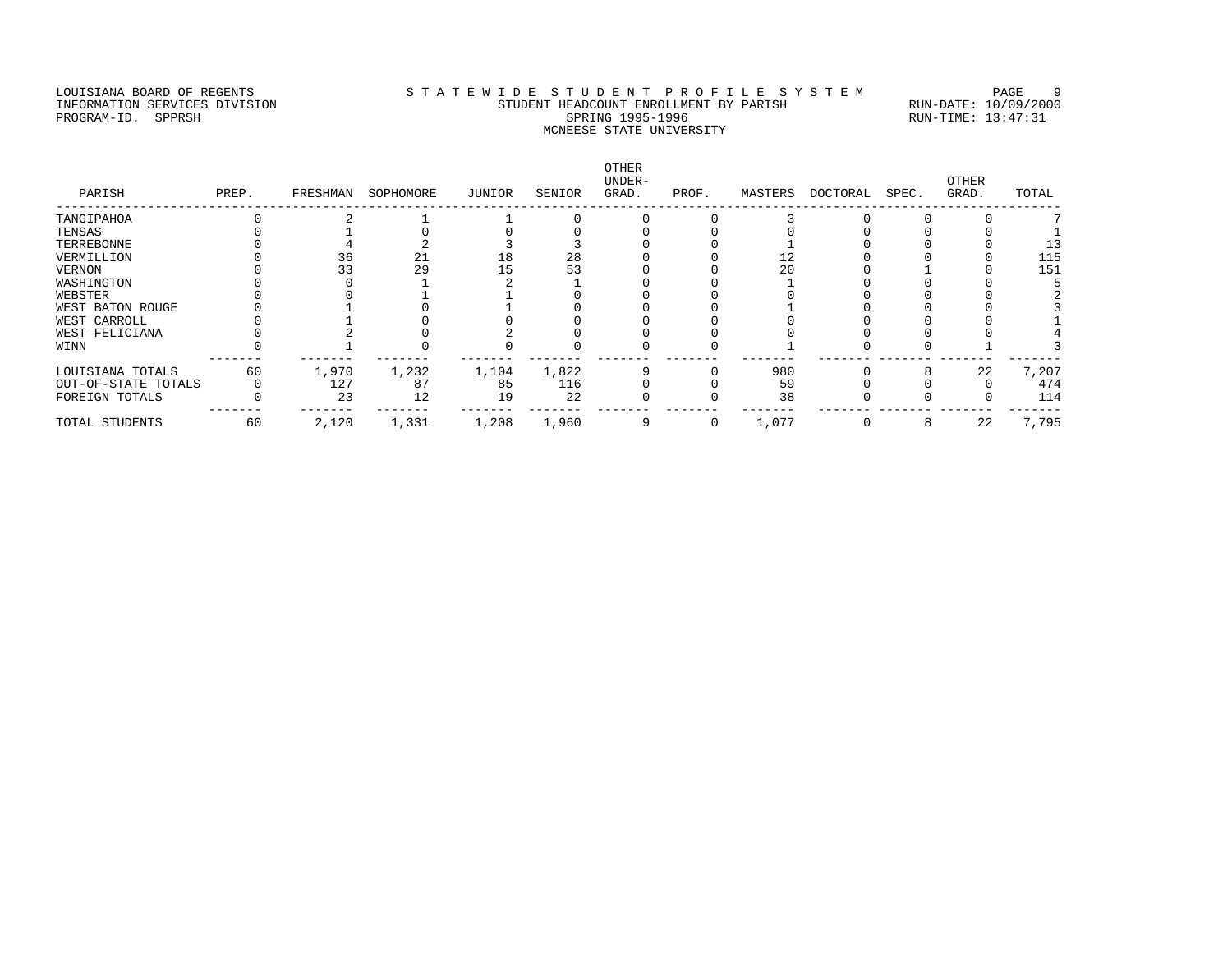# LOUISIANA BOARD OF REGENTS STA TEWIDE STUDENT PROFILE SYSTEM PAGE 9 INFORMATION SERVICES DIVISION STUDENT HEADCOUNT ENROLLMENT BY PARISH RUN-DATE: 10/09/2000 PROGRAM-ID. SPPRSH SPRING 1995-1996 SPRING 1995-1996 RUN-TIME: 13:47:31 MCNEESE STATE UNIVERSITY

| PARISH              | PREP. | FRESHMAN | SOPHOMORE | JUNIOR | SENIOR | OTHER<br>UNDER-<br>GRAD. | PROF. | MASTERS | DOCTORAL | SPEC. | OTHER<br>GRAD. | TOTAL |
|---------------------|-------|----------|-----------|--------|--------|--------------------------|-------|---------|----------|-------|----------------|-------|
| TANGIPAHOA          |       |          |           |        |        |                          |       |         |          |       |                |       |
| TENSAS              |       |          |           |        |        |                          |       |         |          |       |                |       |
| TERREBONNE          |       |          |           |        |        |                          |       |         |          |       |                | 13    |
| VERMILLION          |       | 36       | 21        |        | 28     |                          |       | 12      |          |       |                | 115   |
| VERNON              |       | 33       | 29        |        | 53     |                          |       | 20      |          |       |                | 151   |
| WASHINGTON          |       |          |           |        |        |                          |       |         |          |       |                |       |
| WEBSTER             |       |          |           |        |        |                          |       |         |          |       |                |       |
| WEST BATON ROUGE    |       |          |           |        |        |                          |       |         |          |       |                |       |
| WEST CARROLL        |       |          |           |        |        |                          |       |         |          |       |                |       |
| WEST FELICIANA      |       |          |           |        |        |                          |       |         |          |       |                |       |
| WINN                |       |          |           |        |        |                          |       |         |          |       |                |       |
| LOUISIANA TOTALS    | 60    | 1,970    | 1,232     | 1,104  | 1,822  |                          |       | 980     |          |       | 22             | 7,207 |
| OUT-OF-STATE TOTALS |       | 127      | 87        | 85     | 116    |                          |       | 59      |          |       |                | 474   |
| FOREIGN TOTALS      |       | 23       | 12        | 19     | 22     |                          |       | 38      |          |       |                | 114   |
| TOTAL STUDENTS      | 60    | 2,120    | 1,331     | 1,208  | 1,960  |                          | 0     | 1,077   |          |       | 22             | 7,795 |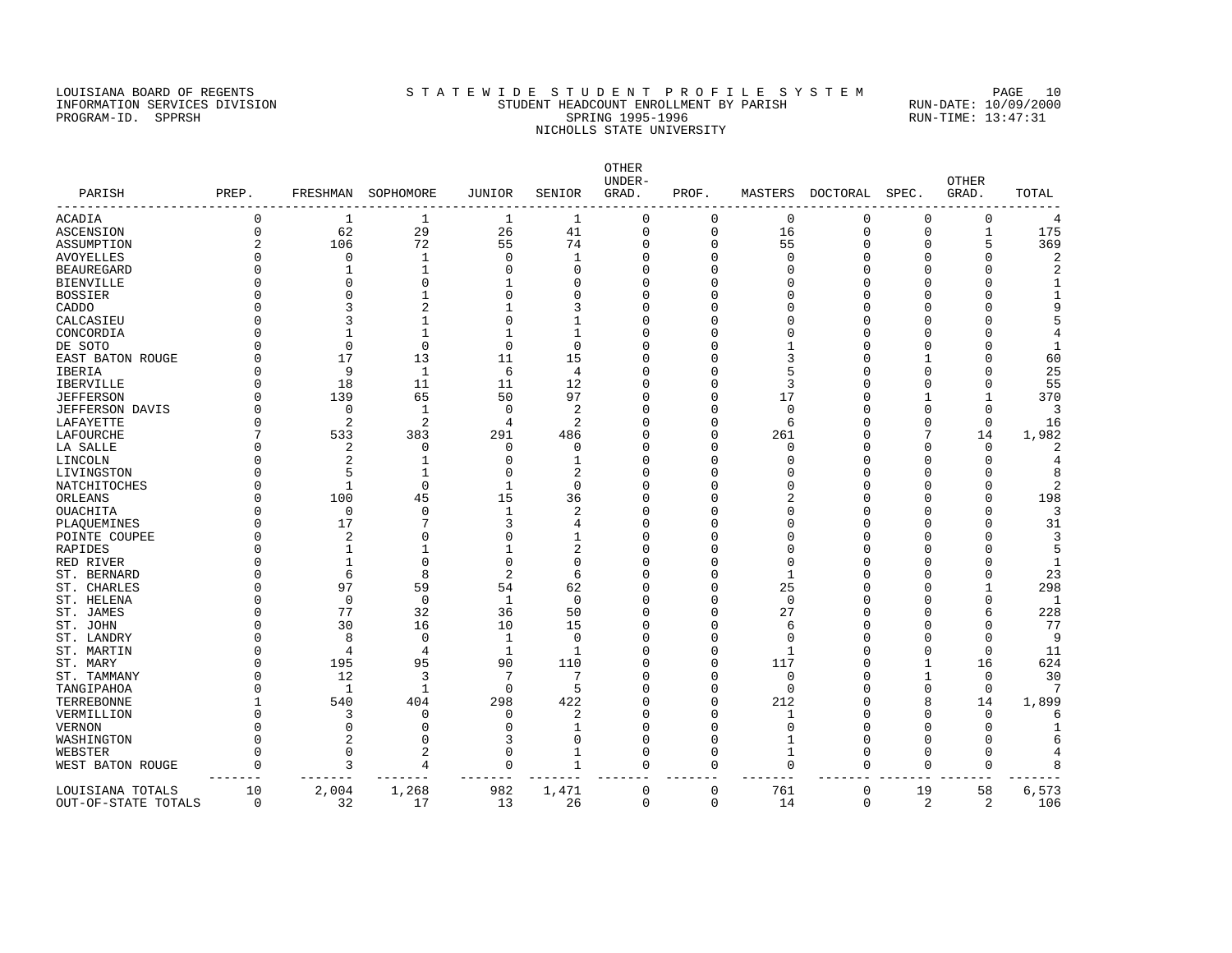### LOUISIANA BOARD OF REGENTS STA TEWIDE STUDENT PROFILE SYSTEM PAGE 10 INFORMATION SERVICES DIVISION STUDENT HEADCOUNT ENROLLMENT BY PARISH RUN-DATE: 10/09/2000 PROGRAM-ID. SPPRSH SPRING 1995-1996 SPRING 1995-1996 RUN-TIME: 13:47:31 NICHOLLS STATE UNIVERSITY

OTHER UNDER- OTHER PARISH PREP. FRESHMAN SOPHOMORE JUNIOR SENIOR GRAD. PROF. MASTERS DOCTORAL SPEC. GRAD. TOTAL ------------------------------------------------------------------------------------------------------------------------------------ ACADIA 0 1 1 1 1 0 0 0 0 0 0 1 175<br>ASCENSION 0 62 29 26 41 0 0 16 0 0 1 175<br>ASSUMPTION 2 106 72 55 74 0 0 55 0 0 5 369 ASCENSION 0 62 29 26 41 0 0 16 0 0 1 175 ASSUMPTION 2 106 72 55 74 0 0 55 0 0 5 369 AVOYELLES 0 0 1 0 1 0 0 0 0 0 0 2 BEAUREGARD 0 1 1 0 0 0 0 0 0 0 0 2 BIENVILLE 0 0 0 1 0 0 0 0 0 0 0 1 BOSSIER 0 0 1 0 0 0 0 0 0 0 0 1 CADDO 0 3 2 1 3 0 0 0 0 0 0 9 CALCASIEU 0 3 1 0 1 0 0 0 0 0 0 5 CONCORDIA 0 1 1 1 1 1 0 0 0 0 0 0 4 DE SOTO 0 0 0 0 0 0 0 1 0 0 0 1 EAST BATON ROUGE 0 17 13 11 15 0 0 3 0 1 0 60<br>IBERIA 0 9 1 6 4 0 0 5 0 0 0 25 IBERIA 0 9 1 6 4 0 0 5 0 0 0 25 IBERVILLE 0 18 11 11 12 0 0 3 0 0 0 55 JEFFERSON 0 139 65 50 97 0 0 17 0 1 1 370 JEFFERSON DAVIS 0 0 1 0 2 0 0 0 0 0 0 3 LAFAYETTE 0 2 2 4 2 0 0 6 0 0 0 16 LAFOURCHE 7 533 383 291 486 0 0 261 0 7 14 1,982 LA SALLE 0 2 0 0 0 0 0 0 0 0 0 2 LINCOLN 0 2 1 0 1 0 0 0 0 0 0 4 LIVINGSTON 0 5 1 0 2 0 0 0 0 0 0 8 NATCHITOCHES 0 1 0 1 0 0 0 0 0 0 0 2 ORLEANS 0 100 45 15 36 0 0 2 0 0 0 198 OUACHITA 0 0 0 1 2 0 0 0 0 0 0 3 PLAQUEMINES 0 17 7 3 4 0 0 0 0 0 0 31 POINTE COUPEE 0 2 0 0 1 0 0 0 0 0 0 3 RAPIDES 0 1 1 1 2 0 0 0 0 0 0 5 RED RIVER 0 1 0 0 0 0 0 0 0 0 0 1 ST. BERNARD 0 6 8 2 6 0 0 1 0 0 0 23 ST. CHARLES 0 97 59 54 62 0 0 25 0 0 1 298 ST. HELENA 0 0 0 1 0 0 0 0 0 0 0 1 ST. JAMES 0 77 32 36 50 0 0 27 0 0 6 228 ST. JOHN 0 30 16 10 15 0 0 6 0 0 0 77 ST. LANDRY 0 8 0 1 0 0 0 0 0 0 0 9 ST. MARTIN 0 4 4 1 1 0 0 1 0 0 0 11 ST. MARY 0 195 95 90 110 0 0 117 0 1 16 624 ST. TAMMANY 0 12 3 7 7 0 0 0 0 1 0 30 TRIMMANY 0 12 3 7 7 0 0 0 0 1 0 30<br>
TANGIPAHOA 0 1 1 0 5 0 0 0 0 0 0 7<br>
TERREBONNE 1 540 404 298 422 0 0 212 0 8 14 1,899<br>
VERMILLION 0 3 0 0 2 0 0 1 0 0 0 6 TERREBONNE 1 540 404 298 422 0 0 212 0 8 14 1,899 VERMILLION 0 3 0 0 2 0 0 1 0 0 0 6 VERNON 0 0 0 0 1 0 0 0 0 0 0 1 WASHINGTON 0 2 0 3 0 0 1 0 0 6 WEBSTER 0 0 2 0 1 0 0 1 0 0 0 4 WEST BATON ROUGE 0 3 4 0 1 0 0 0 0 0 0 8 ------- ------- ------- ------- ------- ------- ------- ------- ------- ------- ------- ------- LOUISIANA TOTALS 10 2,004 1,268 982 1,471 0 0 761 0 19 58 6,573

OUT-OF-STATE TOTALS 0 32 17 13 26 0 0 14 0 2 2 106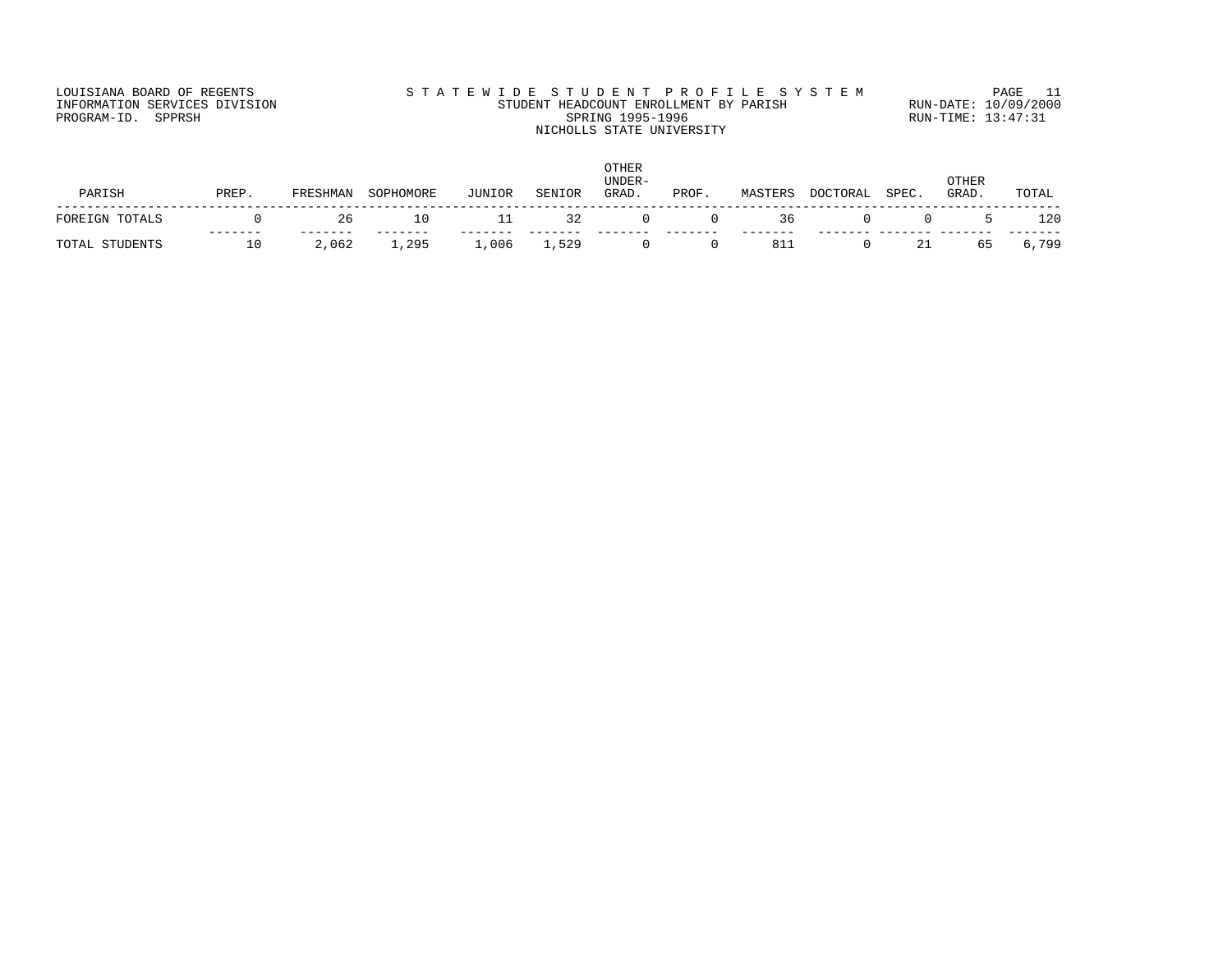# LOUISIANA BOARD OF REGENTS STA TEWIDE STUDENT PROFILE SYSTEM PAGE 11 INFORMATION SERVICES DIVISION STUDENT HEADCOUNT ENROLLMENT BY PARISH RUN-DATE: 10/09/2000 PROGRAM-ID. SPPRSH SPRING 1995-1996 SPRING 1995-1996 RUN-TIME: 13:47:31 NICHOLLS STATE UNIVERSITY

| PARISH         | PREP. | FRESHMAN | SOPHOMORE | JUNIOR | SENIOR | <b>OTHER</b><br>UNDER-<br>GRAD. | PROF.    | MASTERS | DOCTORAL | SPEC. | OTHER<br>GRAD. | TOTAL |
|----------------|-------|----------|-----------|--------|--------|---------------------------------|----------|---------|----------|-------|----------------|-------|
|                |       |          |           |        |        |                                 |          |         |          |       |                |       |
| FOREIGN TOTALS |       | 26       | 10        | 11     | 32     |                                 | $\Omega$ | 36      |          |       | 5 L            | 120   |
| TOTAL STUDENTS | 10    | 2,062    | 1,295     | L,006  | 1,529  |                                 |          | 811     |          | 21    | 65             | 6,799 |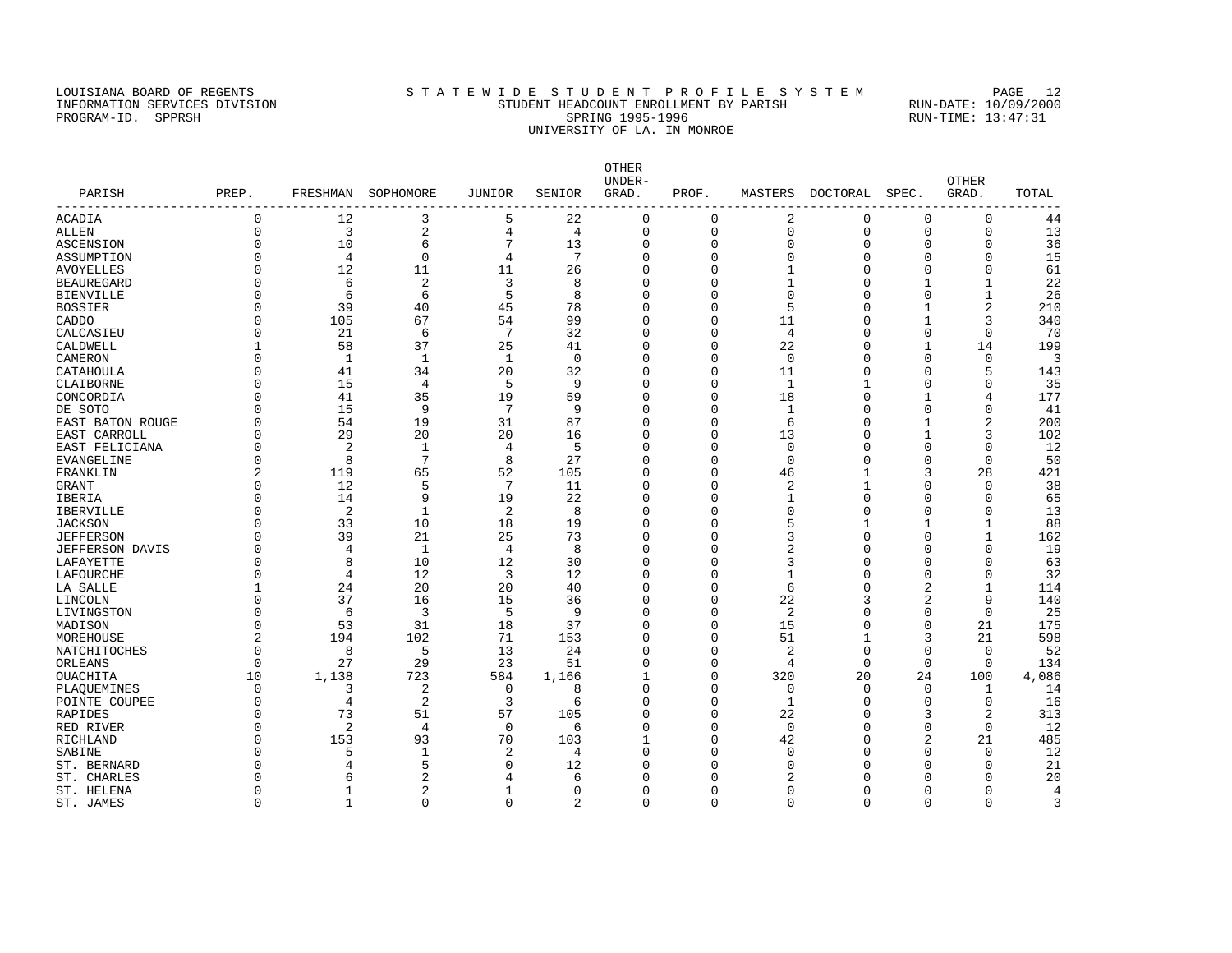### LOUISIANA BOARD OF REGENTS STATEWIDE STUDENT PROFILE SYSTEM PAGE 12 INFORMATION SERVICES DIVISION STUDENT HEADCOUNT ENROLLMENT BY PARISH RUN-DATE: 10/09/2000 PROGRAM-ID. SPPRSH SPRING 1995-1996 SPRING 1995-1996 RUN-TIME: 13:47:31 UNIVERSITY OF LA. IN MONROE

OTHER UNDER- OTHER PARISH PREP. FRESHMAN SOPHOMORE JUNIOR SENIOR GRAD. PROF. MASTERS DOCTORAL SPEC. GRAD. TOTAL ------------------------------------------------------------------------------------------------------------------------------------  $\begin{array}{ccccccccccc} 3 & & & 5 & & 22 & & 0 & & 0 & & 2 & & 0 & & 0 & & 0 & & 44 \ 2 & & & 4 & & & 4 & & 0 & & 0 & & 0 & & 0 & & 0 & & 0 & & 13 \end{array}$ ALLEN 0 3 2 4 4 0 0 0 0 0 0 13 ASCENSION 0 10 6 7 13 0 0 0 0 0 0 36 ASSUMPTION 0 4 0 4 7 0 0 0 0 0 15 AVOYELLES 0 12 11 11 26 0 0 1 0 0 0 61 BEAUREGARD 0 6 2 3 8 0 0 1 0 1 1 22 BIENVILLE 0 6 6 5 8 0 0 0 0 0 1 26 BOSSIER 0 39 40 45 78 0 0 5 0 1 2 210 CADDO 0 105 67 54 99 0 0 11 0 1 3 340 CALCASIEU 0 21 6 7 32 0 0 4 0 0 0 70 CALDWELL 1 58 37 25 41 0 0 22 0 1 14 199 CAMERON CAMERON 0 1 1 1 0 0 0 0 0 0 0 3 CATAHOULA 0 41 34 20 32 0 0 11 0 0 5 143 CLAIBORNE 0 15 4 5 9 0 0 1 1 0 0 35 CONCORDIA 0 41 35 19 59 0 0 18 0 1 4 177 DE SOTO 0 15 9 7 9 0 0 1 0 0 0 41 EAST BATON ROUGE 0 54 19 31 87 0 0 6 0 1 2 200 EAST CARROLL 0 29 20 20 16 0 0 13 0 1 3 102<br>
EAST FELICIANA 0 2 1 4 5 0 0 0 0 0 0 12<br>
EVANGELINE 0 8 7 8 27 0 0 0 0 0 50 EAST FELICIANA 0 2 1 4 5 0 0 0 0 0 0 12 EVANGELINE 0 8 7 8 27 0 0 0 0 0 0 50 FRANKLIN 2 119 65 52 105 0 0 46 1 3 28 421 GRANT 0 12 5 7 11 0 0 2 1 0 0 38 IBERIA 0 14 9 19 22 0 0 1 0 0 0 65 IBERVILLE 0 2 1 2 8 0 0 0 0 0 0 13 JACKSON 0 33 10 18 19 0 0 5 1 1 1 88 JEFFERSON 0 39 21 25 73 0 0 3 0 0 1 162 JEFFERSON DAVIS 0 4 1 4 8 0 0 2 0 0 0 19 LAFAYETTE 0 8 10 12 30 0 0 3 0 0 0 63 LAFOURCHE 0 4 12 3 12 0 0 1 0 0 0 32 LA SALLE 1 24 20 20 40 0 0 6 0 2 1 114 LINCOLN 0 37 16 15 36 0 0 22 3 2 9 140 LIVINGSTON 0 6 3 5 9 0 0 2 0 0 0 25 MADISON 0 53 31 18 37 0 0 15 0 0 21 175 MOREHOUSE 2 194 102 71 153 0 0 51 1 3 21 598 NATCHITOCHES 0 8 5 13 24 0 0 2 0 0 0 52 ORLEANS 0 27 29 23 51 0 0 4 0 0 0 134 OUACHITA 10 1,138 723 584 1,166 1 0 320 20 24 100 4,086 PLAQUEMINES 0 3 2 0 8 0 0 0 0 0 1 14 POINTE COUPEE 0 3 2 3 6 0 0 1 0 0 0 1 1-4<br>
RAPIDES 0 73 51 57 105 0 0 22 0 3 2 313<br>
RED RIVER 0 2 4 0 6 0 0 0 0 0 0 12 RAPIDES 0 73 51 57 105 0 0 22 0 3 2 313 RED RIVER 0 2 4 0 6 0 0 0 0 0 0 12 RICHLAND 0 153 93 70 103 1 0 42 0 2 21 485 SABINE 0 5 1 2 4 0 0 0 0 0 0 12 ST. BERNARD 0 4 5 0 12 0 0 0 0 0 0 21 ST. CHARLES 0 6 2 4 6 0 0 2 0 0 0 20 ST. HELENA 0 1 2 1 0 0 0 0 0 0 0 4

ST. JAMES 0 1 0 0 2 0 0 0 0 0 0 3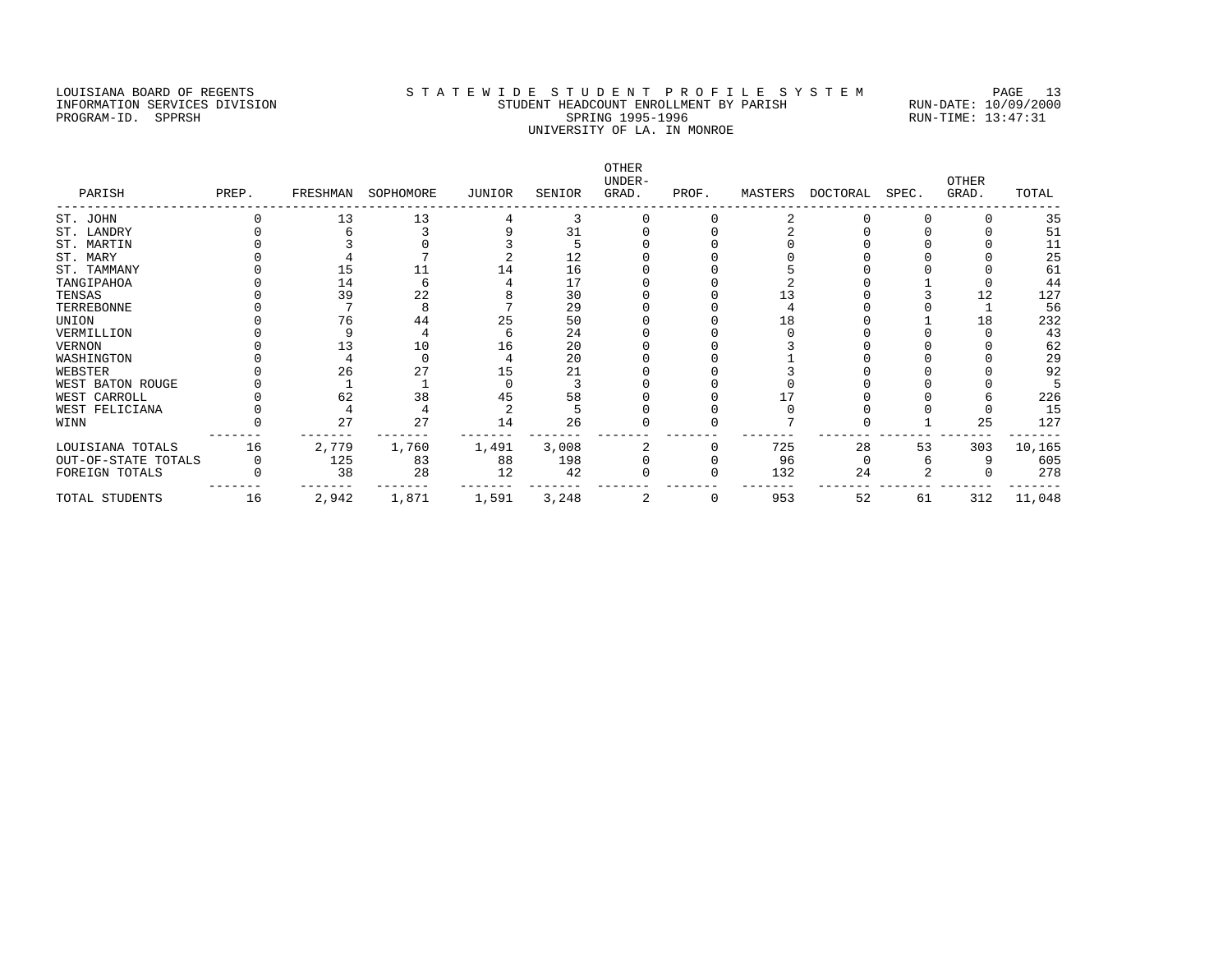### LOUISIANA BOARD OF REGENTS STA TEWIDE STUDENT PROFILE SYSTEM PAGE 13 INFORMATION SERVICES DIVISION STUDENT HEADCOUNT ENROLLMENT BY PARISH RUN-DATE: 10/09/2000 PROGRAM-ID. SPPRSH SPRING 1995-1996 SPRING 1995-1996 RUN-TIME: 13:47:31 UNIVERSITY OF LA. IN MONROE

OTHER UNDER- OTHER PARISH PREP. FRESHMAN SOPHOMORE JUNIOR SENIOR GRAD. PROF. MASTERS DOCTORAL SPEC. GRAD. TOTAL ------------------------------------------------------------------------------------------------------------------------------------ ST. JOHN 0 13 13 4 3 0 0 2 0 0 0 35<br>
ST. LANDRY 0 6 3 9 31 0 0 2 0 0 0 51<br>
ST. MARTIN 0 3 0 3 5 0 0 0 0 0 11<br>
ST. MARTIN<br>
O 15 11 14 16 0 0 5 0 0 0 12<br>
ST. TAMMANY 0 15 11 14 16 0 0 5 0 0 0 61<br>
TANGIPAHOA 0 14 6 4 17 0 0 2 ST. LANDRY 0 6 3 9 31 0 0 2 0 0 0 51 ST. MARTIN 0 3 0 3 5 0 0 0 0 0 0 11 ST. MARY 0 4 7 2 12 0 0 0 0 0 0 25 ST. TAMMANY 0 15 11 14 16 0 0 5 0 0 0 61 TANGIPAHOA 0 14 6 4 17 0 0 2 0 1 0 44 TENSAS 0 14 22 8 30 0 13 0 3 12 127<br>
TENSAS 0 39 22 8 30 0 0 13 0 3 12 127<br>
TERREBONNE 0 7 8 7 29 0 0 4 0 0 1 56<br>
UNION 0 76 44 25 50 0 0 18 0 1 18 232<br>
VERMILLION 0 9 4 6 24 0 0 0 0 0 43 TERREBONNE 0 7 8 7 29 0 0 4 0 0 1 56 UNION 0 76 44 25 50 0 0 18 0 1 18 232 VERMILLION 0 9 4 6 24 0 0 0 0 0 0 43 VERNON 0 13 10 16 20 0 0 3 0 0 0 62 WASHINGTON 0 4 0 4 20 0 0 1 0 0 0 29 WEBSTER 0 26 27 15 21 0 0 3 0 0 0 92 WEST BATON ROUGE 0 0 1 1 0 0 3 0 0 0 0 0 0 0 0 0 5 WEST CARROLL 0 62 38 45 58 0 0 17 0 0 6 226 WEST FELICIANA 0 4 4 2 5 0 0 0 0 0 0 15 WINN 0 27 27 14 26 0 0 7 0 1 25 127 ------- ------- ------- ------- ------- ------- ------- ------- ------- ------- ------- ------- LOUISIANA TOTALS 16 2,779 1,760 1,491 3,008 2 0 725 28 53 303 10,165 OUT-OF-STATE TOTALS 0 125 83 88 198 0 0 96 0 6 9 605 FOREIGN TOTALS 0 38 28 12 42 0 0 132 24 2 0 278 ------- ------- ------- ------- ------- ------- ------- ------- ------- ------- ------- ------- TOTAL STUDENTS 16 2,942 1,871 1,591 3,248 2 0 953 52 61 312 11,048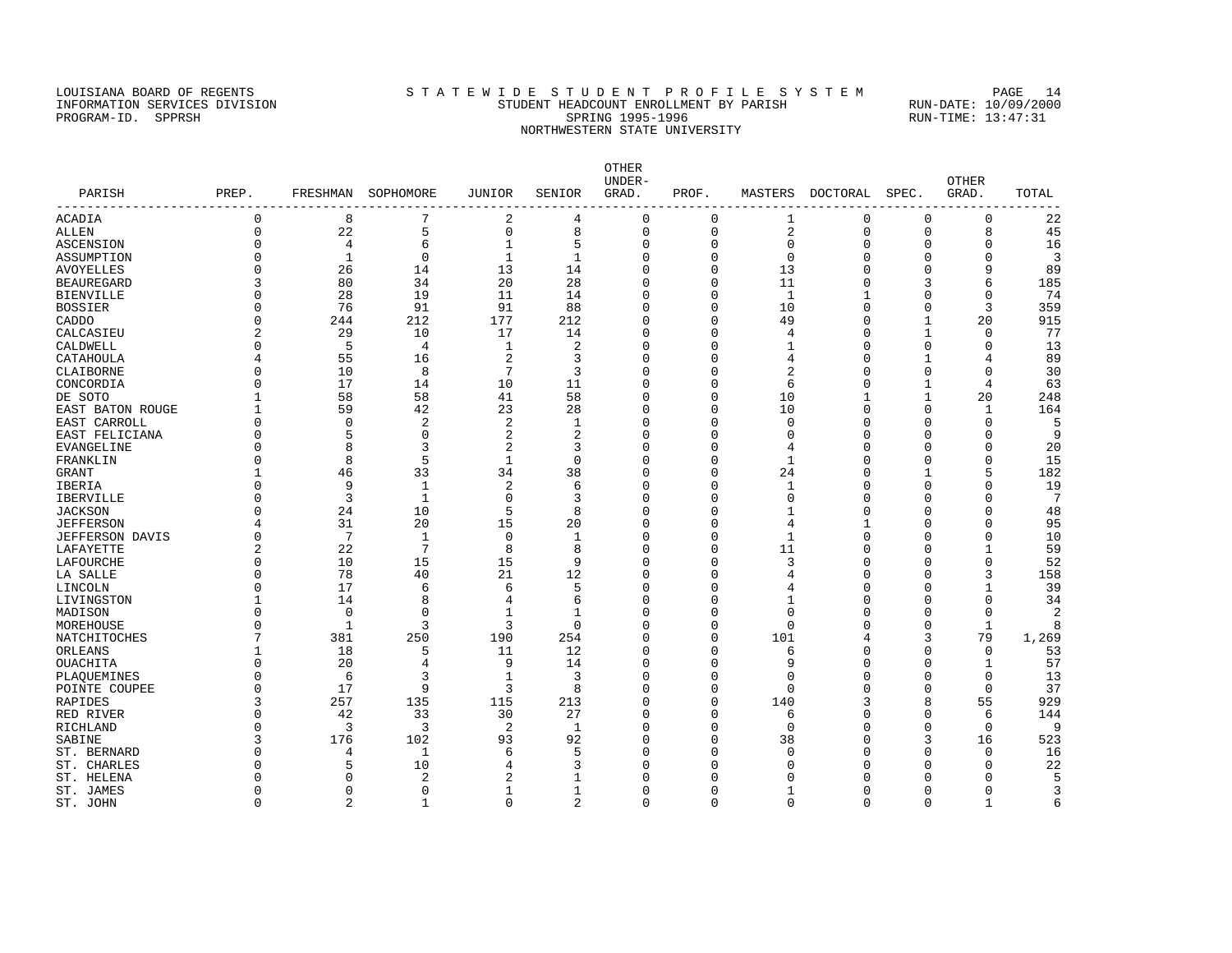### LOUISIANA BOARD OF REGENTS STA TEWIDE STUDENT PROFILE SYSTEM PAGE 14 INFORMATION SERVICES DIVISION STUDENT HEADCOUNT ENROLLMENT BY PARISH RUN-DATE: 10/09/2000 PROGRAM-ID. SPPRSH SPRING 1995-1996 SPRING 1995-1996 RUN-TIME: 13:47:31 NORTHWESTERN STATE UNIVERSITY

OTHER UNDER- OTHER PARISH PREP. FRESHMAN SOPHOMORE JUNIOR SENIOR GRAD. PROF. MASTERS DOCTORAL SPEC. GRAD. TOTAL ------------------------------------------------------------------------------------------------------------------------------------  $\begin{array}{ccccccccccc} 7 & & & 2 & & 4 & & 0 & & 0 & & 1 & & 0 & & 0 & & 0 & & 22 \ 5 & & & 0 & & 8 & & 0 & & 0 & & 2 & & 0 & & 0 & & 8 & & 45 \end{array}$ ALLEN 0 22 5 0 8 0 0 2 0 0 8 45 ASCENSION 0 4 6 1 5 0 0 0 0 0 0 16 ASSUMPTION 0 1 0 1 1 0 0 0 0 0 0 3 AVOYELLES 0 26 14 13 14 0 0 13 0 0 9 89 BEAUREGARD 3 80 34 20 28 0 0 11 0 3 6 185 BIENVILLE 0 28 19 11 14 0 0 1 1 0 0 74 BOSSIER 0 76 91 91 88 0 0 10 0 0 3 359 CADDO 0 244 212 177 212 0 0 49 0 1 20 915 CALCASIEU 2 29 10 17 14 0 0 4 0 1 0 77 CALDWELL 0 5 4 1 2 0 0 1 0 0 0 13 CATAHOULA 4 55 16 2 3 0 0 4 0 1 4 89 CLAIBORNE 0 10 8 7 3 0 0 2 0 0 0 30 CONCORDIA 0 17 14 10 11 0 0 6 0 1 4 63 DE SOTO 1 58 58 41 58 0 0 10 1 1 20 248  $\textrm{\texttt{EAST BATOR ROUGE}} \qquad \qquad 1 \qquad \qquad 59 \qquad \qquad 42 \qquad \qquad 23 \qquad \qquad 28 \qquad \qquad 0 \qquad \qquad 0 \qquad \qquad 10 \qquad \qquad 0 \qquad \qquad 0 \qquad \qquad 1 \qquad \qquad 164 \qquad \qquad 165 \qquad \qquad 0 \qquad \qquad 0 \qquad \qquad 0 \qquad \qquad 0 \qquad \qquad 0 \qquad \qquad 0 \qquad \qquad 0 \qquad \qquad 0 \qquad \qquad 0 \qquad \qquad 0 \qquad \qquad 0 \qquad \q$ EAST CARROLL 0 0 2 2 1 0 0 0 0 0 0 5 EAST FELICIANA 0 5 0 2 2 0 0 0 0 0 0 9 EVANGELINE 0 8 3 2 3 0 0 4 0 0 0 20 FRANKLIN 0 8 5 1 0 0 0 1 0 0 0 15 GRANT 1 46 33 34 38 0 0 24 0 1 5 182 IBERIA 0 9 1 2 6 0 0 1 0 0 0 19 IBERVILLE 0 3 1 0 3 0 0 0 0 0 0 7 JACKSON 0 24 10 5 8 0 0 1 0 0 0 48 JEFFERSON 4 31 20 15 20 0 0 4 1 0 0 95 JEFFERSON DAVIS 0 7 1 0 1 0 0 1 0 0 0 10 LAFAYETTE 2 22 7 8 8 0 0 11 0 0 1 59 LAFOURCHE 0 10 15 15 9 0 0 3 0 0 0 52 LA SALLE 0 78 40 21 12 0 0 4 0 0 3 158 LINCOLN 0 17 6 6 5 0 0 4 0 0 1 39 LIVINGSTON 1 14 8 4 6 0 0 1 0 0 0 34 MADISON 0 0 0 1 1 0 0 0 0 0 0 2 MOREHOUSE 0 1 3 3 0 0 0 0 0 0 1 8 NATCHITOCHES 7 381 250 190 254 0 0 101 4 3 79 1,269 ORLEANS 1 18 5 11 12 0 0 6 0 0 0 53 OUACHITA 0 20 4 9 14 0 0 9 0 0 1 57 PLAQUEMINES 0 6 3 1 3 0 0 0 0 0 0 13 POINTE COUPEE 0 17 9 3 8 0 0 0 0 0 0 37 RAPIDES 3 257 135 115 213 0 0 140 3 8 55 929 RED RIVER 0 42 33 30 27 0 0 6 0 0 6 144 RICHLAND 0 3 3 2 1 0 0 0 0 0 0 9 SABINE 3 176 102 93 92 0 0 38 0 3 16 523 ST. BERNARD 0 4 1 6 5 0 0 0 0 0 0 16 ST. CHARLES 0 5 10 4 3 0 0 0 0 0 0 22 ST. HELENA 0 0 2 2 1 0 0 0 0 0 0 5 ST. JAMES 0 0 0 1 1 0 0 1 0 0 0 3

ST. JOHN 0 2 1 0 2 0 0 0 0 0 1 6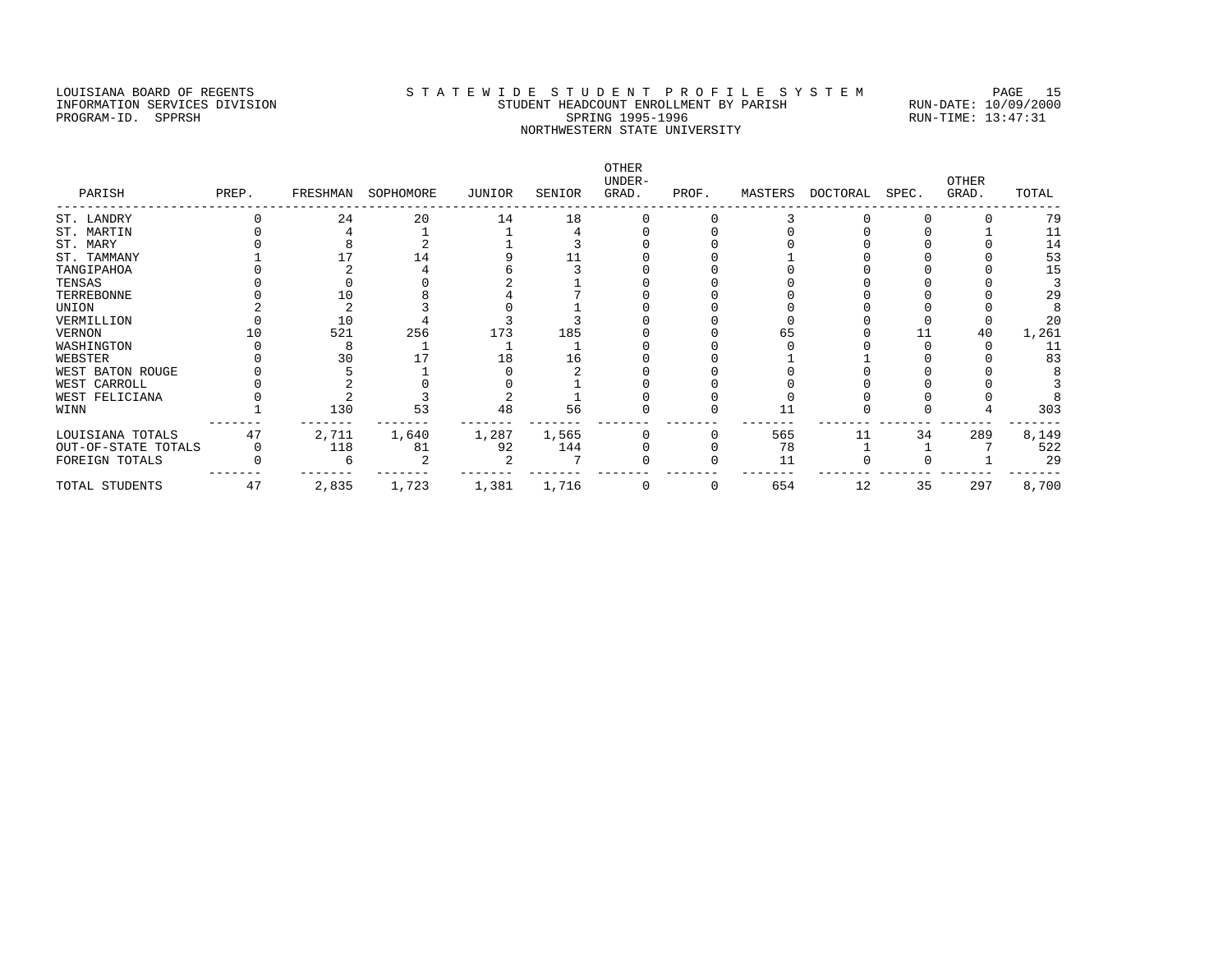# LOUISIANA BOARD OF REGENTS STA TEWIDE STUDENT PROFILE SYSTEM PAGE 15 INFORMATION SERVICES DIVISION STUDENT HEADCOUNT ENROLLMENT BY PARISH RUN-DATE: 10/09/2000 PROGRAM-ID. SPPRSH SPRING 1995-1996 SPRING 1995-1996 RUN-TIME: 13:47:31 NORTHWESTERN STATE UNIVERSITY

| PARISH              | PREP. |       | FRESHMAN SOPHOMORE | JUNIOR | SENIOR | OTHER<br>UNDER-<br>GRAD. | PROF. | MASTERS | DOCTORAL SPEC. |    | OTHER<br>GRAD. | TOTAL |
|---------------------|-------|-------|--------------------|--------|--------|--------------------------|-------|---------|----------------|----|----------------|-------|
| ST. LANDRY          |       | 24    | 20                 | 14     | 18     |                          |       |         |                |    |                | 79    |
| ST. MARTIN          |       |       |                    |        |        |                          |       |         |                |    |                | 11    |
| ST. MARY            |       |       |                    |        |        |                          |       |         |                |    |                | 14    |
| ST. TAMMANY         |       |       | 14                 |        |        |                          |       |         |                |    |                | 53    |
| TANGIPAHOA          |       |       |                    |        |        |                          |       |         |                |    |                | 15    |
| TENSAS              |       |       |                    |        |        |                          |       |         |                |    |                |       |
| TERREBONNE          |       |       |                    |        |        |                          |       |         |                |    |                | 29    |
| UNION               |       |       |                    |        |        |                          |       |         |                |    |                |       |
| VERMILLION          |       | 10    |                    |        |        |                          |       |         |                |    |                | 20    |
| VERNON              |       | 521   | 256                | 173    | 185    |                          |       |         |                |    | 40             | 1,261 |
| WASHINGTON          |       |       |                    |        |        |                          |       |         |                |    |                | 11    |
| WEBSTER             |       |       |                    |        | 16     |                          |       |         |                |    |                | 83    |
| WEST BATON ROUGE    |       |       |                    |        |        |                          |       |         |                |    |                |       |
| WEST CARROLL        |       |       |                    |        |        |                          |       |         |                |    |                |       |
| WEST FELICIANA      |       |       |                    |        |        |                          |       |         |                |    |                |       |
| WINN                |       | 130   | 53                 | 48     | 56     |                          |       |         |                |    |                | 303   |
| LOUISIANA TOTALS    | 47    | 2,711 | 1,640              | 1,287  | 1,565  |                          |       | 565     | 11             | 34 | 289            | 8,149 |
| OUT-OF-STATE TOTALS |       | 118   | 81                 | 92     | 144    |                          |       | 78      |                |    |                | 522   |
| FOREIGN TOTALS      |       |       |                    |        |        |                          |       | 11      |                |    |                | 29    |
| TOTAL STUDENTS      | 47    | 2,835 | 1,723              | 1,381  | 1,716  |                          | 0     | 654     | 12             | 35 | 297            | 8,700 |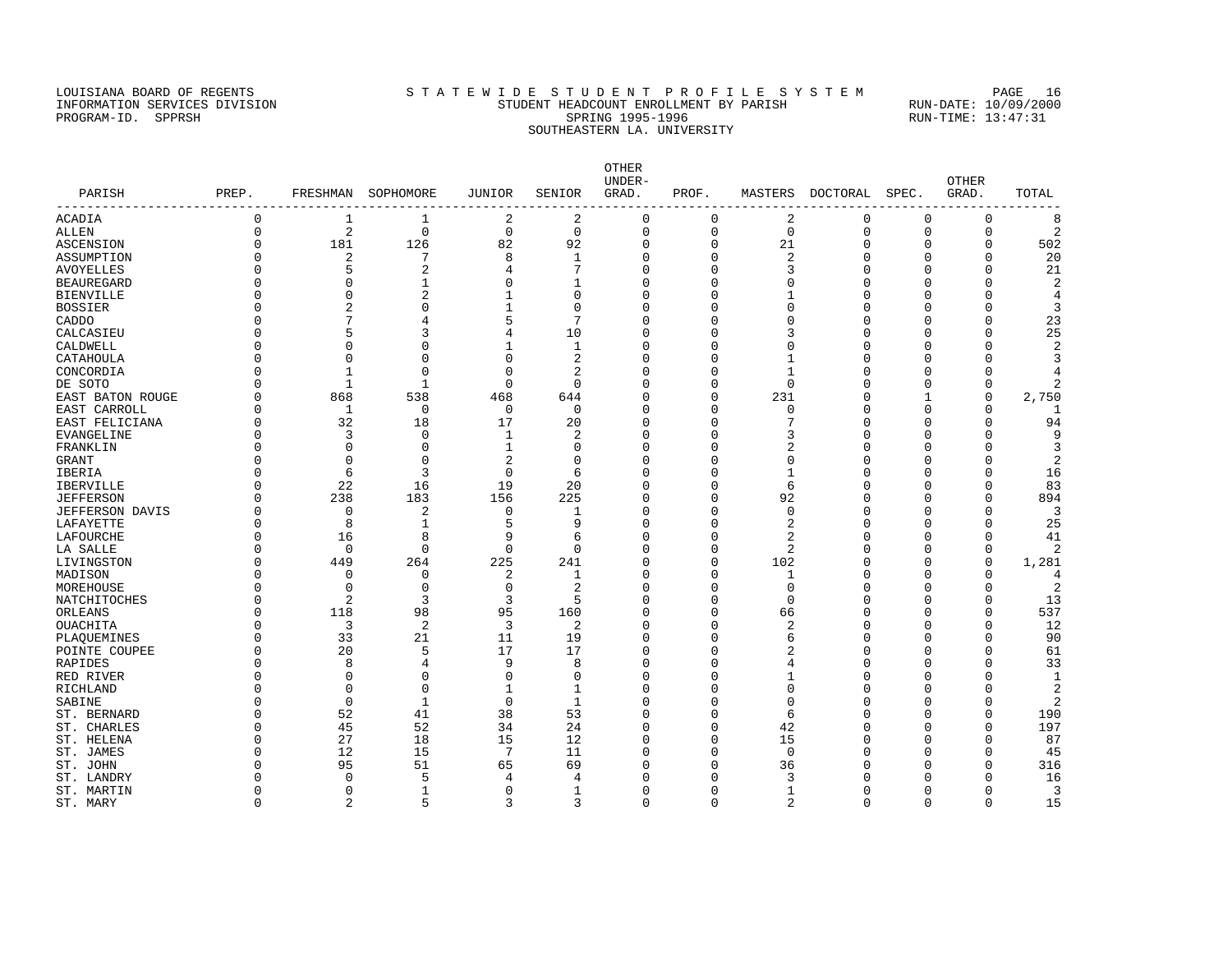### LOUISIANA BOARD OF REGENTS STA TEWIDE STUDENT PROFILE SYSTEM PAGE 16 INFORMATION SERVICES DIVISION STUDENT HEADCOUNT ENROLLMENT BY PARISH RUN-DATE: 10/09/2000 PROGRAM-ID. SPPRSH SPRING 1995-1996 SPRING 1995-1996 RUN-TIME: 13:47:31 SOUTHEASTERN LA. UNIVERSITY

OTHER UNDER- OTHER PARISH PREP. FRESHMAN SOPHOMORE JUNIOR SENIOR GRAD. PROF. MASTERS DOCTORAL SPEC. GRAD. TOTAL ------------------------------------------------------------------------------------------------------------------------------------ ACADIA 0 1 1 2 2 0 0 2 0 0 0 8 ALLEN 0 2 0 0 0 0 0 0 0 0 0 2 ASCENSION 0 181 126 82 92 0 0 21 0 0 0 502 ASSUMPTION 0 2 7 8 1 0 0 2 0 0 20 AVOYELLES 5 2 4 7 0 3 0 0 21 BEAUREGARD 0 0 1 0 1 0 0 0 0 0 0 2 BIENVILLE 0 0 2 1 0 0 0 1 0 0 0 4 BOSSIER 0 2 0 1 0 0 0 0 0 0 0 3 CADDO 0 7 4 5 7 0 0 0 0 0 0 23 CALCASIEU 0 5 3 4 10 0 0 3 0 0 0 25 CALDWELL 0 0 0 0 1 1 0 0 0 0 0 0 0 2 CATAHOULA 0 0 0 0 2 0 0 1 0 0 0 3 CONCORDIA 0 1 0 0 2 0 0 1 0 0 0 4 DE SOTO 0 1 1 0 0 0 0 0 0 0 0 2 EAST BATON ROUGE 0 868 538 468 644 0 0 231 0 1 0 2,750 EAST CARROLL 0 1 0 0 0 0 0 0 0 0 0 1 EAST FELICIANA 0 32 18 17 20 0 0 7 0 0 0 94 EVANGELINE 0 3 0 1 2 0 0 3 0 0 0 9 FRANKLIN 0 0 0 1 0 0 0 2 0 0 0 3 GRANT 0 0 0 2 0 0 0 0 0 0 0 2 IBERIA 0 6 3 0 6 0 0 1 0 0 0 16 IBERVILLE 0 22 16 19 20 0 0 6 0 0 0 83 JEFFERSON 0 238 183 156 225 0 0 92 0 0 0 894 JEFFERSON DAVIS 0 0 2 0 1 0 0 0 0 0 0 3 LAFAYETTE 0 8 1 5 9 0 0 2 0 0 0 25 LAFOURCHE 0 16 8 9 6 0 0 2 0 0 0 41 LA SALLE 0 0 0 0 0 0 0 2 0 0 0 2 LIVINGSTON 0 449 264 225 241 0 0 102 0 0 0 1,281 MADISON 0 0 0 2 1 0 0 1 0 0 0 4 MOREHOUSE 0 0 0 0 2 0 0 0 0 0 0 2 NATCHITOCHES 0 2 3 3 5 0 0 0 0 0 0 13 ORLEANS 0 118 98 95 160 0 0 66 0 0 0 537<br>OUACHITA 0 3 2 3 2 0 0 2 0 0 0 12 OUACHITA 0 3 2 3 2 0 0 2 0 0 0 12 PLAQUEMINES 0 33 21 11 19 0 0 6 0 0 0 90 POINTE COUPEE 0 20 5 17 17 0 0 2 0 0 0 61 RAPIDES 0 8 4 9 8 0 0 4 0 0 0 33 RED RIVER 0 0 0 0 0 0 0 1 0 0 0 1 RICHLAND 0 0 0 1 1 0 0 0 0 0 0 2  $S {\sf ABIINE}$  0 0 1 0 1 0 0 0 0 0 0 2 ST. BERNARD 0 52 41 38 53 0 0 6 0 0 0 190 ST. CHARLES 6 0 45 52 34 24 0 0 42 0 0 0 197 ST. HELENA 0 27 18 15 12 0 0 15 0 0 0 87 ST.JAMES 0 12 15 7 11 0 0 0 0 0 0 15 ST. JOHN 0 95 51 65 69 0 0 36 0 0 0 316 ST. LANDRY 0 0 5 4 4 0 0 3 0 0 0 16 ST. MARTIN 0 0 0 1 0 0 0 0 0 0 0 0 3

ST. MARY 0 2 5 3 3 0 0 2 0 0 15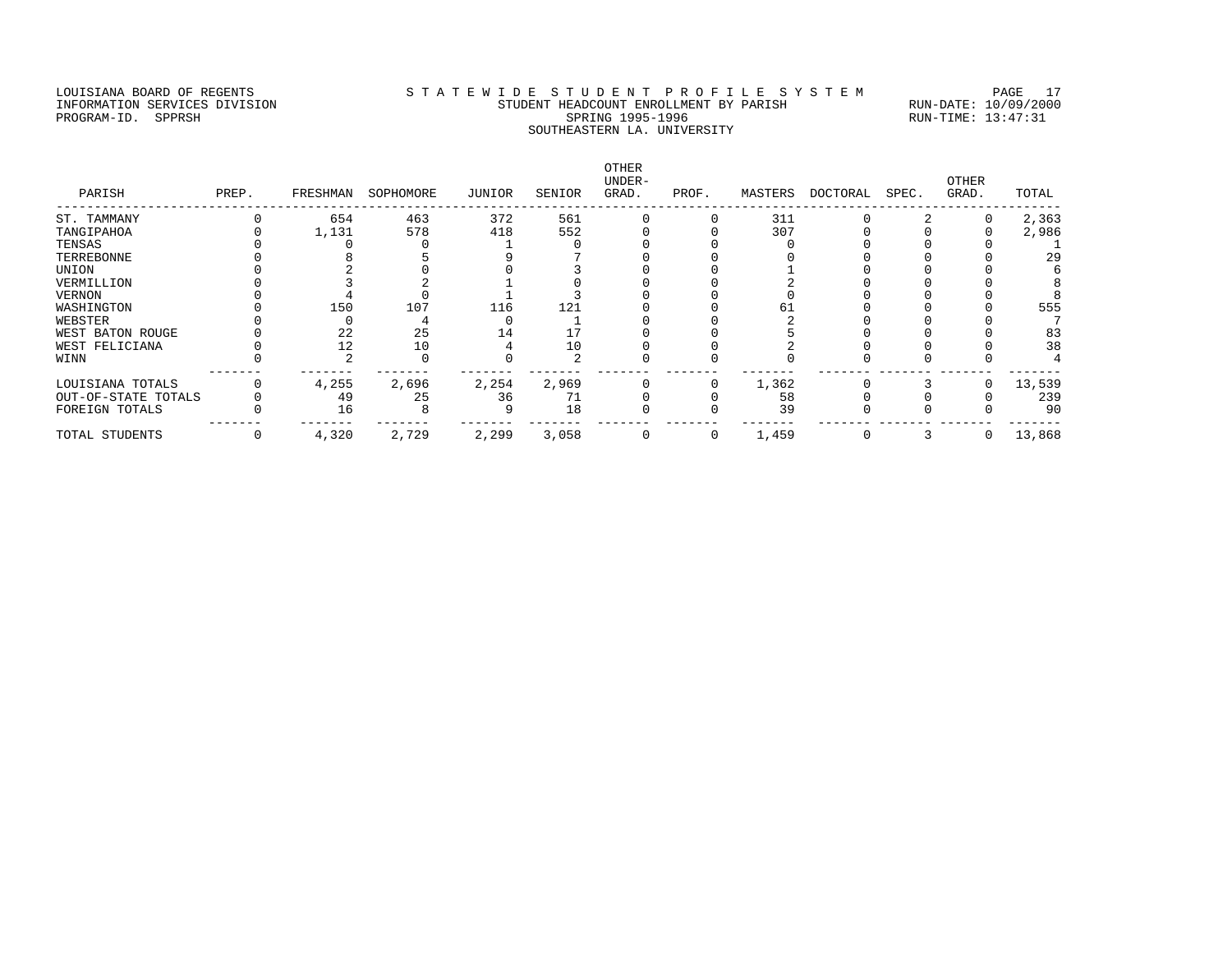### LOUISIANA BOARD OF REGENTS STA TEWIDE STUDENT PROFILE SYSTEM PAGE 17 INFORMATION SERVICES DIVISION STUDENT HEADCOUNT ENROLLMENT BY PARISH RUN-DATE: 10/09/2000 PROGRAM-ID. SPPRSH SPRING 1995-1996 SPRING 1995-1996 RUN-TIME: 13:47:31 SOUTHEASTERN LA. UNIVERSITY

OTHER UNDER- OTHER PARISH PREP. FRESHMAN SOPHOMORE JUNIOR SENIOR GRAD. PROF. MASTERS DOCTORAL SPEC. GRAD. TOTAL ------------------------------------------------------------------------------------------------------------------------------------ ST. TAMMANY 0 654 463 372 561 0 0 311 0 2 0 2,363 TANGIPAHOA 0 1,131 578 418 552 0 0 307 0 0 0 2,986 TENSAS 0 0 0 0 1 0 0 0 0 0 0 0 0 1 TERREBONNE 0 8 5 9 7 0 0 0 0 0 0 29 UNION 0 2 0 0 3 0 0 1 0 0 0 6 VERMILLION 0 3 2 1 0 0 0 2 0 0 0 8 VERNON 0 4 0 1 3 0 0 0 0 0 0 8 WASHINGTON 0 150 107 116 121 0 0 61 0 0 0 555 WEBSTER 0 0 4 0 1 0 0 2 0 0 0 7 WEST BATON ROUGE 0 22 25 14 17 0 0 5 0 0 0 83 WEST FELICIANA 0 12 10 4 10 0 0 2 0 0 0 38 WINN 0 2 0 0 2 0 0 0 0 0 0 4 ------- ------- ------- ------- ------- ------- ------- ------- ------- ------- ------- ------- LOUISIANA TOTALS 0 4,255 2,696 2,254 2,969 0 0 1,362 0 3 0 13,539 OUT-OF-STATE TOTALS 0 49 25 36 71 0 0 58 0 0 0 239 FOREIGN TOTALS 0 16 8 9 18 0 0 39 0 0 0 90 ------- ------- ------- ------- ------- ------- ------- ------- ------- ------- ------- ------- TOTAL STUDENTS 0 4,320 2,729 2,299 3,058 0 0 1,459 0 3 0 13,868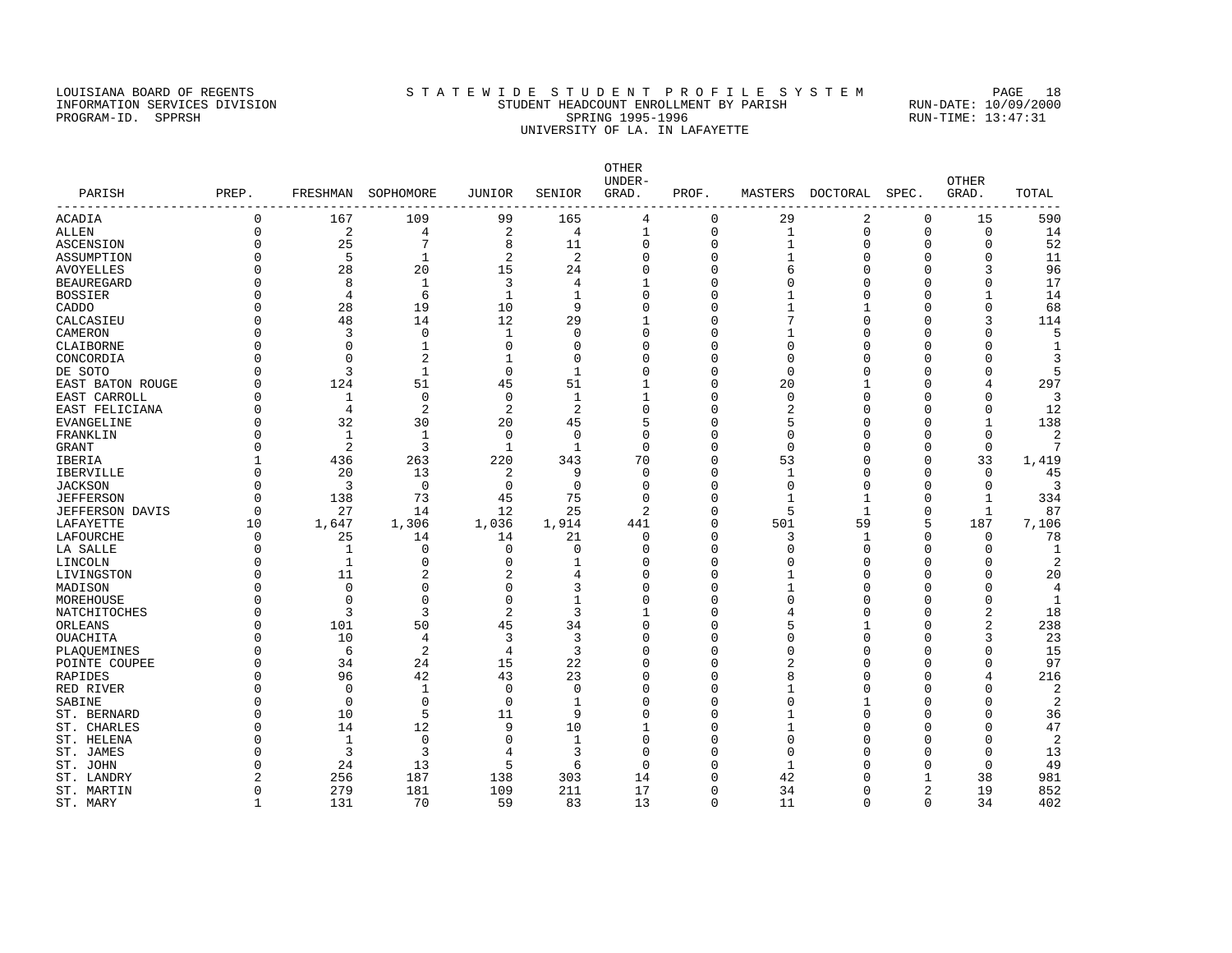### LOUISIANA BOARD OF REGENTS STATEWIDE STUDENT PROFILE SYSTEM PAGE 18 INFORMATION SERVICES DIVISION STUDENT HEADCOUNT ENROLLMENT BY PARISH RUN-DATE: 10/09/2000 PROGRAM-ID. SPPRSH SPRING 1995-1996 SPRING 1995-1996 RUN-TIME: 13:47:31 UNIVERSITY OF LA. IN LAFAYETTE

OTHER UNDER- OTHER PARISH PREP. FRESHMAN SOPHOMORE JUNIOR SENIOR GRAD. PROF. MASTERS DOCTORAL SPEC. GRAD. TOTAL ------------------------------------------------------------------------------------------------------------------------------------ ACADIA 0 167 109 99 165 4 0 29 2 0 15 590 ALLEN 0 2 4 2 4 1 0 1 0 0 0 14<br>
ASCENSION 0 25 7 8 11 0 0 1 0 0 0 5 12<br>
ASCENDITION 0 5 1 2 2 0 0 1 0 0 0 1<br>
ANOYELLES 0 28 20 15 24 0 0 6 0 0 3 96<br>
BEAUREGARD 0 8 1 3 4 1 0 0 0 0 0 17 ASCENSION 0 25 7 8 11 0 0 1 0 0 0 52 ASSUMPTION 0 5 1 2 2 0 0 1 0 0 0 11 AVOYELLES 0 28 20 15 24 0 0 6 0 0 3 96 BEAUREGARD 0 8 1 3 4 1 0 0 0 0 0 17 BOSSIER 0 4 6 1 1 0 0 1 0 0 1 14 CADDO 0 28 19 10 9 0 0 1 1 0 0 68 CALCASIEU 0 48 14 12 29 1 0 7 0 0 3 114 CAMERON 0 3 0 1 0 0 0 1 0 0 0 5 CLAIBORNE 0 0 1 0 0 0 0 0 0 0 0 1 CONCORDIA 0 0 2 1 0 0 0 0 0 0 0 3 DE SOTO 0 3 1 0 1 0 0 0 0 0 0 5 EAST BATON ROUGE 0 124 51 45 51 1 0 20 1 0 4 297 EAST CARROLL 0 124 5<br>
EAST CARROLL 0 1 0 0 1 1 0 0 0 0 0 3<br>
EAST CELICITANA 0 4 2 2 2 0 0 2 0 0 0 12<br>
EVANGELINE 0 32 30 20 45 5 0 5 0 0 1 138<br>
EVANGELINE 0 32 30 20 45 5 0 5 0 0 1 138 EAST FELICIANA 0 4 2 2 2 0 0 2 0 0 0 12 EVANGELINE 0 32 30 20 45 5 0 5 0 0 1 138 FRANKLIN 0 1 1 0 0 0 0 0 0 0 0 2 GRANT 0 2 3 1 1 0 0 0 0 0 0 7 IBERIA 1 436 263 220 343 70 0 53 0 0 33 1,419 IBERVILLE 0 20 13 2 9 0 0 1 0 0 0 45 JACKSON 0 3 0 0 0 0 0 0 0 0 0 3 JEFFERSON 0 138 73 45 75 0 0 1 1 0 1 334 JEFFERSON DAVIS 0 27 14 12 25 2 0 5 1 0 1 87 LAFAYETTE 10 1,647 1,306 1,036 1,914 441 0 501 59 5 187 7,106 LAFOURCHE 0 25 14 14 21 0 0 3 1 0 0 78 LA SALLE 0 1 0 0 0 0 0 0 0 0 0 1 LINCOLN 0 1 0 0 1 0 0 0 0 0 0 2 المادي بن المستشركة المستشركة المستشركة المستشركة المستشركة المستشركة المستشركة المستشركة المستشركة المستشركة<br>المستشركة المستشركة المستشركة المستشركة المستشركة المستشركة المستشركة المستشركة المستشركة المستشركة المستشركة<br>ا MADISON 0 0 0 0 3 0 0 1 0 0 0 4 MOREHOUSE 0 0 0 0 1 0 0 0 0 0 0 1 NATCHITOCHES 0 3 3 2 3 1 0 4 0 0 2 18 ORLEANS 0 101 50 45 34 0 0 5 1 0 2 238 OUACHITA 0 10 4 3 3 0 0 0 0 0 3 23 PLAQUEMINES 0 6 2 4 3 0 0 0 0 0 0 15 POINTE COUPEE 0 34 24 15 22 0 0 2 0 0 0 97 RAPIDES 0 96 42 43 23 0 0 8 0 0 4 216 RED RIVER 0 0 1 0 0 0 1 0 0 2 2 SABINE 0 0 0 0 0 1 0 0 0 0 0 2 ST. BERNARD 0 10 5 11 9 0 0 1 0 0 0 36 ST. CHARLES 0 14 12 9 10 1 0 1 0 0 0 47 ST. HELENA 0 1 0 0 1 0 0 0 0 0 0 2 ST. JAMES 0 3 3 4 3 0 0 0 0 0 0 13 ST. JOHN 0 24 13 5 6 0 0 1 0 0 0 49 ST. LANDRY 2 256 187 138 303 14 0 42 0 1 38 981 ST. MARTIN 0 279 181 109 211 17 0 34 0 2 19 852 ST. MARY 6 1 131 70 59 83 13 0 11 0 0 34 402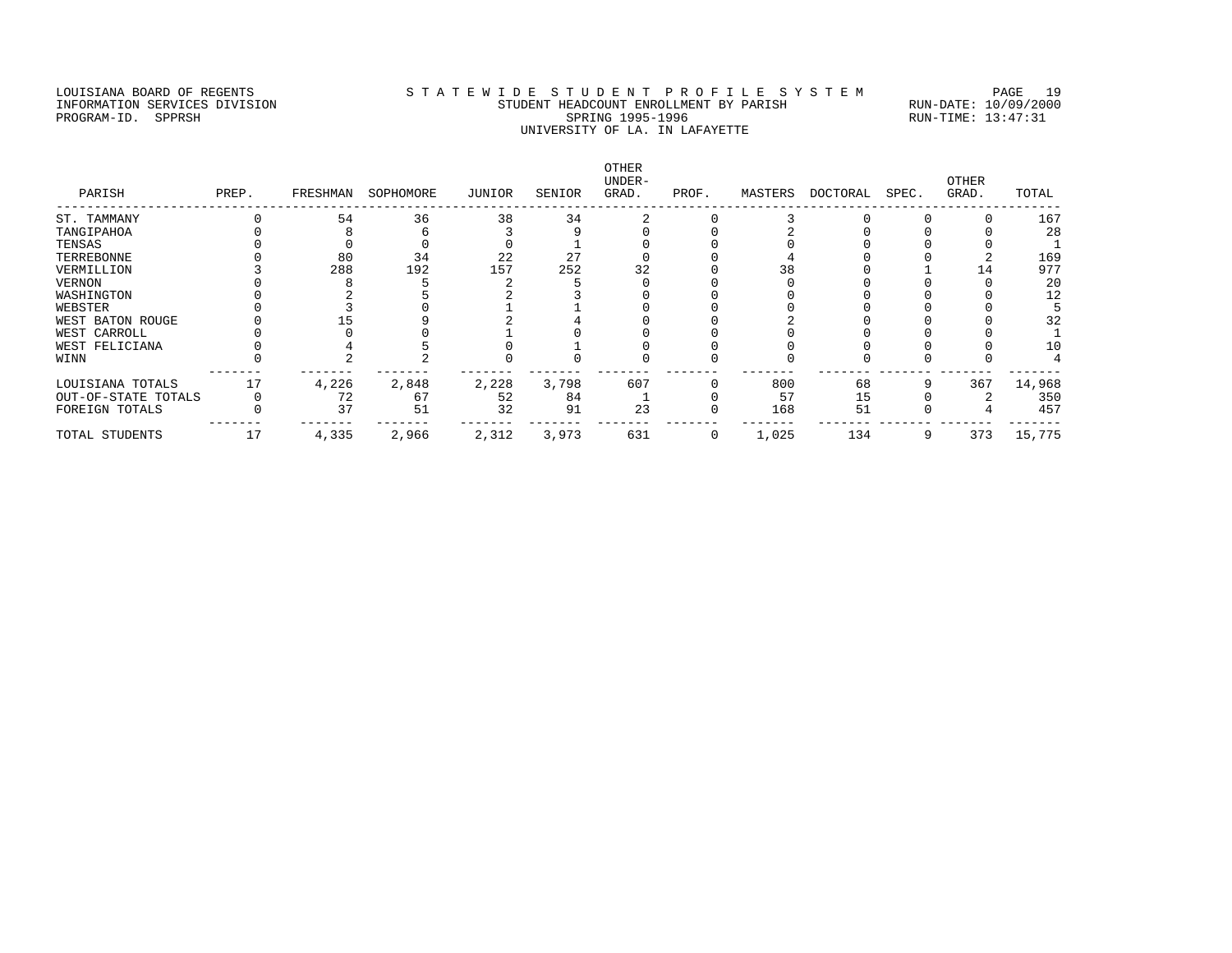# LOUISIANA BOARD OF REGENTS S T A T E W I D E S T U D E N T P R O F I L E S Y S T E M PAGE 19 INFORMATION SERVICES DIVISION STUDENT HEADCOUNT ENROLLMENT BY PARISH RUN-DATE: 10/09/2000 PROGRAM-ID. SPPRSH SPRING 1995-1996 SPRING 1995-1996 RUN-TIME: 13:47:31 UNIVERSITY OF LA. IN LAFAYETTE

OTHER UNDER- OTHER PARISH PREP. FRESHMAN SOPHOMORE JUNIOR SENIOR GRAD. PROF. MASTERS DOCTORAL SPEC. GRAD. TOTAL ------------------------------------------------------------------------------------------------------------------------------------ ST. TAMMANY 0 54 36 38 34 2 0 3 0 0 0 167 TANGIPAHOA 0 8 6 3 9 0 0 2 0 0 0 28 TENSAS 0 0 0 0 0 1 0 0 0 0 0 0 1 TERREBONNE 0 80 34 22 27 0 0 4 0 0 2 169 VERMILLION 3 288 192 157 252 32 0 38 0 1 14 977 VERNON 0 8 5 2 5 0 0 0 0 0 0 20 WASHINGTON 0 2 5 2 3 0 0 0 0 0 0 12 WEBSTER 0 3 0 1 1 0 0 0 0 0 0 5 WEST BATON ROUGE 0 15 9 2 4 0 0 2 0 0 0 32 WEST CARROLL 0 0 0 1 0 0 0 0 0 0 0 1 WEST FELICIANA 0 4 5 0 1 0 0 0 0 0 0 10 WINN 0 2 2 0 0 0 0 0 0 0 0 4 ------- ------- ------- ------- ------- ------- ------- ------- ------- ------- ------- ------- LOUISIANA TOTALS 17 4,226 2,848 2,228 3,798 607 0 800 68 9 367 14,968 OUT-OF-STATE TOTALS 0 72 67 52 84 1 0 57 15 0 2 350 FOREIGN TOTALS 0 37 51 32 91 23 0 168 51 0 4 457 ------- ------- ------- ------- ------- ------- ------- ------- ------- ------- ------- ------- TOTAL STUDENTS 17 4,335 2,966 2,312 3,973 631 0 1,025 134 9 373 15,775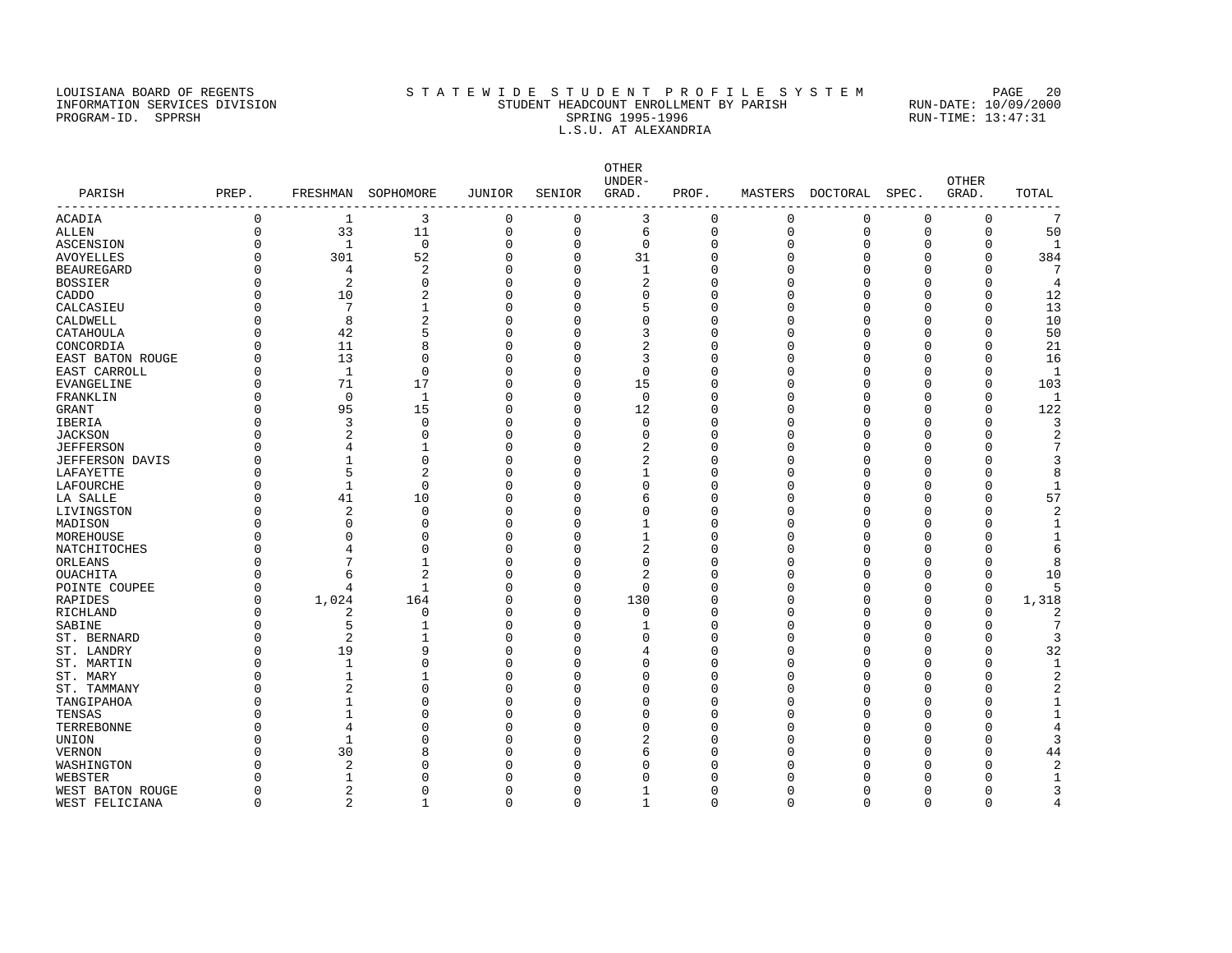### LOUISIANA BOARD OF REGENTS STATEWIDE STUDENT PROFILE SYSTEM PAGE 20 INFORMATION SERVICES DIVISION STUDENT HEADCOUNT ENROLLMENT BY PARISH RUN-DATE: 10/09/2000 PROGRAM-ID. SPPRSH SPRING 1995-1996 SPRING 1995-1996 RUN-TIME: 13:47:31 L.S.U. AT ALEXANDRIA

OTHER UNDER- OTHER PARISH PREP. FRESHMAN SOPHOMORE JUNIOR SENIOR GRAD. PROF. MASTERS DOCTORAL SPEC. GRAD. TOTAL ------------------------------------------------------------------------------------------------------------------------------------ ACADIA 0 1 3 0 0 3 0 0 0 0 0 7 ALLEN 0 33 11 0 0 6 0 0 0 0 0 50 ASCENSION 0 1 0 0 0 0 0 0 0 0 0 1 AVOYELLES 0 301 52 0 0 31 0 0 0 0 0 384 BEAUREGARD 0 4 2 0 0 1 0 0 0 0 0 7 BOSSIER 0 2 0 0 0 2 0 0 0 0 0 4 CADDO 0 10 2 0 0 0 0 0 0 0 0 12 CALCASIEU 0 7 1 0 0 5 0 0 0 0 0 13 CALDWELL 0 8 2 0 0 0 0 0 0 0 0 10 CATAHOULA 0 42 5 0 0 3 0 0 0 0 0 50 CONCORDIA 0 11 8 0 0 2 0 0 0 0 0 21 EAST BATON ROUGE 0 13 0 0 0 3 0 0 0 0 0 16 EAST CARROLL 0 1 0 0 0 0 0 0 0 0 0 1 EVANGELINE 0 71 17 0 0 15 0 0 0 0 0 103 FRANKLIN 0 0 1 0 0 0 0 0 0 0 0 1 GRANT 0 95 15 0 0 12 0 0 0 0 0 122 IBERIA 0 3 0 0 0 0 0 0 0 0 0 3 JACKSON 0 2 0 0 0 0 0 0 0 0 0 2 JEFFERSON 0 4 1 0 0 2 0 0 0 0 0 7 JEFFERSON DAVIS 0 1 0 0 0 2 0 0 0 0 0 3 LAFAYETTE 0 5 2 0 0 1 0 0 0 0 0 8 LAFOURCHE 0 1 0 0 0 0 0 0 0 0 0 1 LA SALLE 0 41 10 0 0 6 0 0 0 0 0 57 LIVINGSTON 0 2 0 0 0 0 0 0 0 0 0 2 MADISON 0 0 0 0 0 1 0 0 0 0 0 1 MOREHOUSE 0 0 0 0 0 1 0 0 0 0 0 1 NATCHITOCHES 0 4 0 0 0 2 0 0 0 0 0 6 ORLEANS 0 7 1 0 0 0 0 0 0 0 0 8 OUACHITA 0 6 2 0 0 2 0 0 0 0 0 10 POINTE COUPEE 0 4 1 0 0 0 0 0 0 0 0 5 RAPIDES 0 1,024 164 0 0 130 0 0 0 0 0 1,318<br>RICHLAND 0 2 0 0 0 0 0 0 0 0 0 0 2 RICHLAND 0 2 0 0 0 0 0 0 0 0 0 2 SABINE 0 5 1 0 0 1 0 0 0 0 0 7 ST. BERNARD 0 2 1 0 0 0 0 0 0 0 0 3 ST. LANDRY 0 19 9 0 0 4 0 0 0 0 0 32 ST. MARTIN 0 1 0 0 0 0 0 0 0 0 0 1 ST. MARY 0 1 1 0 0 0 0 0 0 0 0 2 ST. TAMMANY 0 2 0 0 0 0 0 0 0 0 0 2 TANGIPAHOA 0 1 0 0 0 0 0 0 0 0 0 1 TENSAS 0 1 0 0 0 0 0 0 0 0 0 1 TERREBONNE 0 4 0 0 0 0 0 0 0 0 0 4 UNION 0 1 0 0 0 2 0 0 0 0 0 3 VERNON 0 30 8 0 0 6 0 0 0 0 0 44 WASHINGTON 0 2 0 0 0 0 0 0 0 0 0 2 WEBSTER 0 1 0 0 0 0 0 0 0 0 0 1 WEST BATON ROUGE 0 0 0 0 0 0 0 0 0 0 0 0 0 0 0 0 3 p

WEST FELICIANA 0 2 1 0 0 1 0 0 0 0 0 4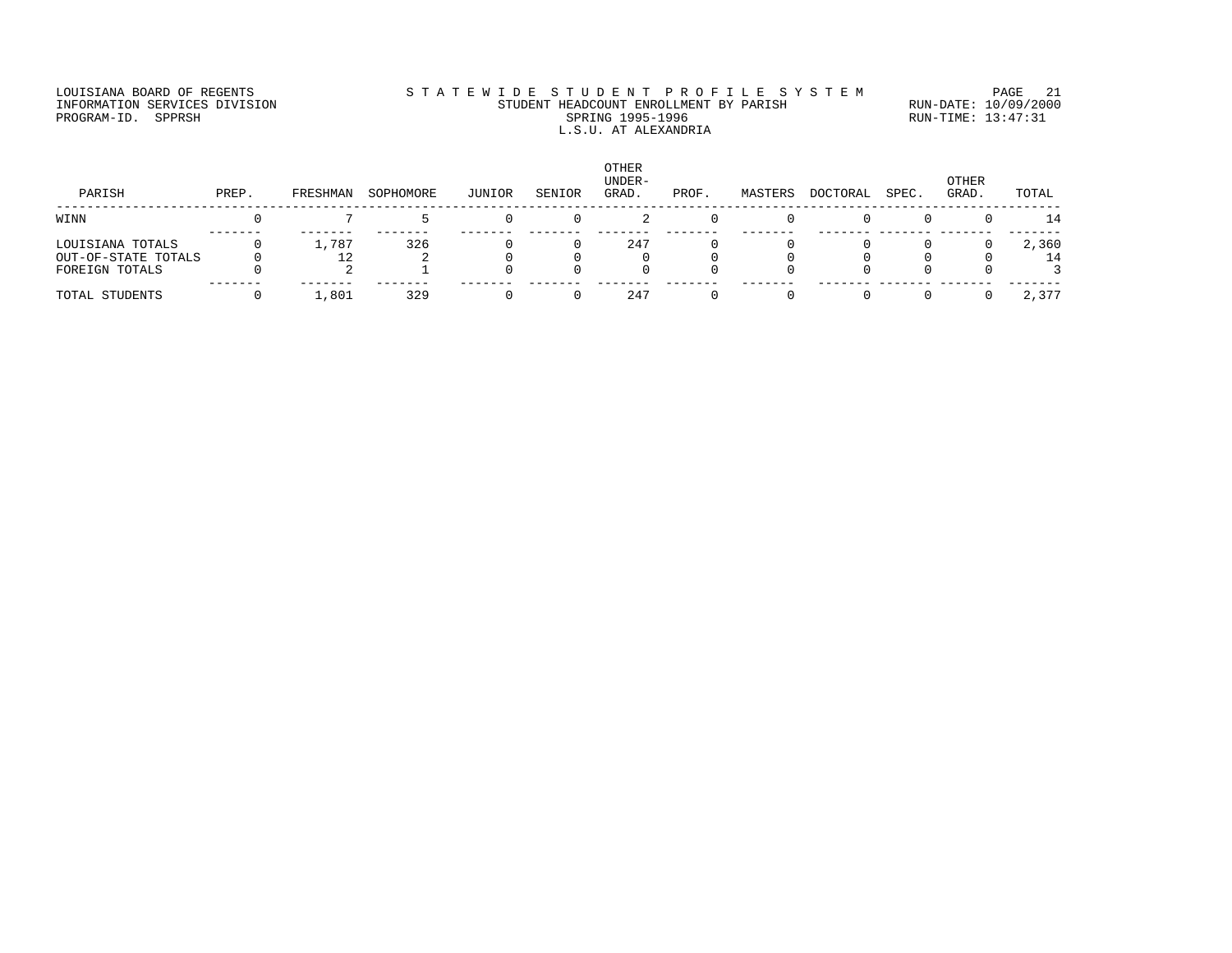# LOUISIANA BOARD OF REGENTS STATEWIDE STUDENT PROFILE SYSTEM PAGE 21 INFORMATION SERVICES DIVISION STUDENT HEADCOUNT ENROLLMENT BY PARISH RUN-DATE: 10/09/2000 PROGRAM-ID. SPPRSH SPRING 1995-1996 SPRING 1995-1996 RUN-TIME: 13:47:31 L.S.U. AT ALEXANDRIA

| PARISH                                                    | PREP. | FRESHMAN | SOPHOMORE | JUNIOR | SENIOR | <b>OTHER</b><br>UNDER-<br>GRAD. | PROF. | MASTERS | DOCTORAL | SPEC. | OTHER<br>GRAD. | TOTAL       |
|-----------------------------------------------------------|-------|----------|-----------|--------|--------|---------------------------------|-------|---------|----------|-------|----------------|-------------|
| WINN                                                      |       |          |           |        |        |                                 |       |         |          |       |                | $\perp$ 4   |
| LOUISIANA TOTALS<br>OUT-OF-STATE TOTALS<br>FOREIGN TOTALS |       | 1,787    | 326       |        |        | 247                             |       |         |          |       |                | 2,360<br>14 |
| TOTAL STUDENTS                                            |       | 1,801    | 329       |        |        | 247                             |       |         |          |       |                | 2,377       |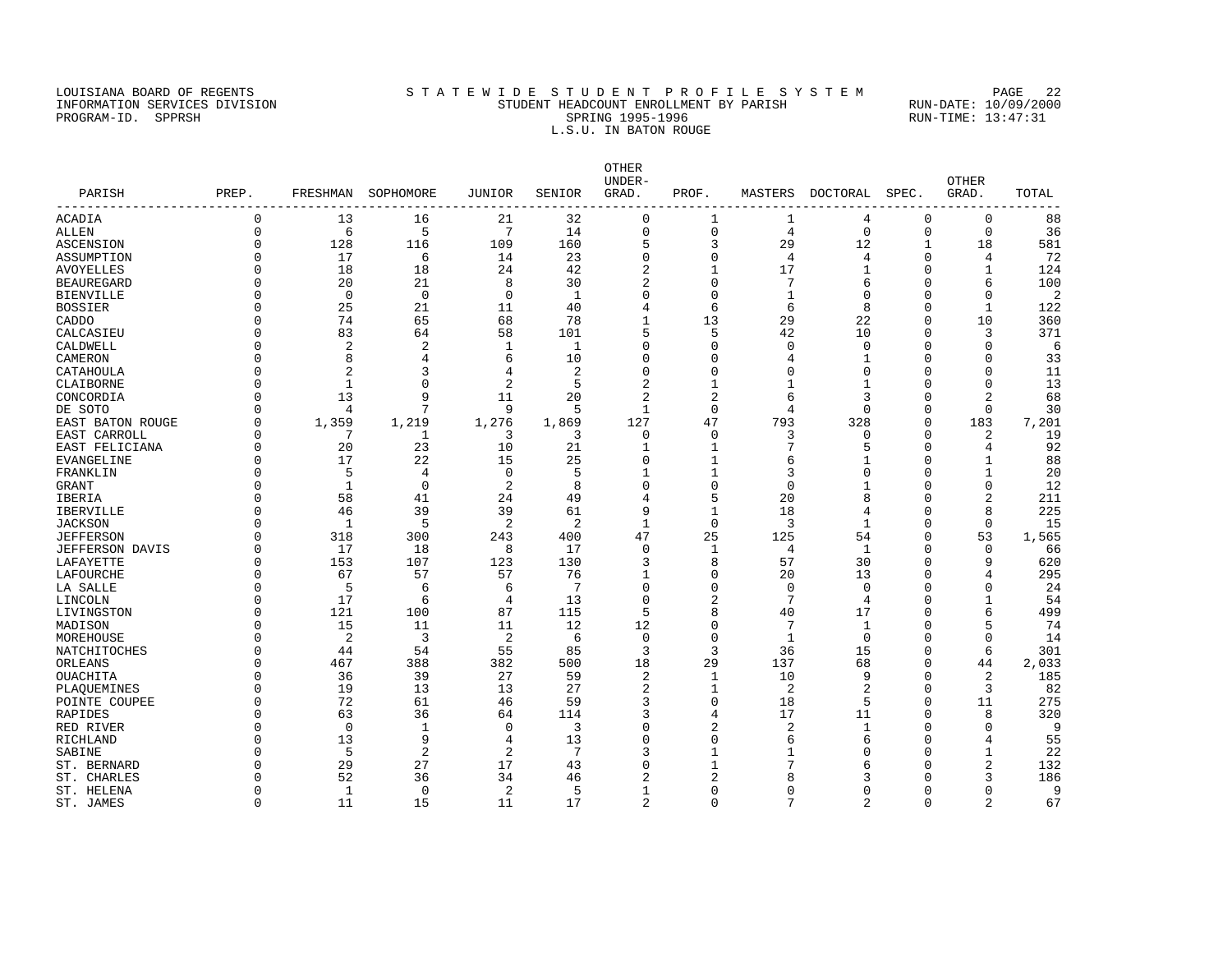### LOUISIANA BOARD OF REGENTS STATEWIDE STUDENT PROFILE SYSTEM PAGE 22 INFORMATION SERVICES DIVISION STUDENT HEADCOUNT ENROLLMENT BY PARISH RUN-DATE: 10/09/2000 PROGRAM-ID. SPPRSH SPRING 1995-1996 SPRING 1995-1996 RUN-TIME: 13:47:31 L.S.U. IN BATON ROUGE

OTHER UNDER- OTHER PARISH PREP. FRESHMAN SOPHOMORE JUNIOR SENIOR GRAD. PROF. MASTERS DOCTORAL SPEC. GRAD. TOTAL ------------------------------------------------------------------------------------------------------------------------------------ ACADIA 0 13 16 21 32 0 1 1 4 0 0 88 ALLEN 0 6 5 7 14 0 0 4 0 0 0 36 ASCENSION 0 128 116 109 160 5 3 29 12 1 18 581 ASSUMPTION 0 17 6 14 23 0 0 4 4 0 4 72 ALLEN<br>
ASCENSION 0 128 16 109 160 5 3 29 12 1 18 581<br>
ASCENTION 0 17 6 14 23 0 0 4 4 0 4 72<br>
AVOYELLES 0 18 18 24 42 2 1 17 1 0 1 124<br>
BEAUREGARD 0 20 21 8 30 2 0 7 6 0 6 100 BEAUREGARD 0 20 21 8 30 2 0 7 6 0 6 100 BIENVILLE 0 0 0 0 1 0 0 1 0 0 0 2 BOSSIER 0 25 21 11 40 4 6 6 8 0 1 122 CADDO 0 74 65 68 78 1 13 29 22 0 10 360 CALCASIEU 0 83 64 58 101 5 5 42 10 0 3 371 CALDWELL 0 2 2 1 1 0 0 0 0 0 0 6 CAMERON 0 8 4 6 10 0 0 4 1 0 0 33 CATAHOULA 0 2 3 4 2 0 0 0 0 0 0 11 CLAIBORNE 0 1 0 2 5 2 1 1 1 0 0 13 CONCORDIA 0 13 9 11 20 2 2 6 3 0 2 68 DE SOTO 0 4 7 9 5 1 0 4 0 0 0 30 EAST BATON ROUGE 0 1,359 1,219 1,276 1,869 127 47 793 328 0 183 7,201 EAST CARROLL 0 7 1 3 3 0 0 3 0 0 2 19 EAST FELICIANA 0 20 23 10 21 1 1 7 5 0 4 92 EVANGELINE 0 17 22 15 25 0 1 6 1 0 1 88 FRANKLIN 0 5 4 0 5 1 1 3 0 0 1 20 GRANT 0 1 0 2 8 0 0 0 1 0 0 12 IBERIA 0 58 41 24 49 4 5 20 8 0 2 211 IBERVILLE 0 46 39 39 61 9 1 18 4 0 8 225 JACKSON 0 1 5 2 2 1 0 3 1 0 0 15 JEFFERSON 0 318 300 243 400 47 25 125 54 0 53 1,565 JEFFERSON DAVIS 0 17 18 8 17 0 1 4 1 0 0 66 LAFAYETTE 0 153 107 123 130 3 8 57 30 0 9 620 LAFOURCHE 0 67 57 57 76 1 0 20 13 0 4 295 LA SALLE 0 5 6 6 7 0 0 0 0 0 0 24 LINCOLN 0 17 6 4 13 0 2 7 4 0 1 54 LIVINGSTON 0 121 100 87 115 5 8 40 17 0 6 499 MADISON 0 15 11 11 12 12 0 7 1 0 5 74 MOREHOUSE 0 2 3 2 6 0 0 1 0 0 0 14 NATCHITOCHES 0 44 54 55 85 3 36 15 0 6 301 ORLEANS 0 467 388 382 500 18 29 137 68 0 44 2,033 OUACHITA 0 36 39 27 59 2 1 10 9 0 2 185 PLAQUEMINES 0 19 13 13 27 2 1 2 2 0 3 82 POINTE COUPEE 0 72 61 46 59 3 0 18 5 0 11 275 RAPIDES 0 63 36 64 114 3 4 17 11 0 8 320 RED RIVER 0 0 1 0 3 0 2 2 1 0 0 9 RICHLAND 0 13 9 4 13 0 0 6 6 0 4 55 SABINE 0 5 2 2 7 3 1 1 0 0 1 22 ST. BERNARD 0 29 27 17 43 0 1 7 6 0 2 132 ST. CHARLES 0 52 36 34 46 2 2 8 3 0 3 186 ST. HELENA 0 1 0 2 5 1 0 0 0 0 0 9

ST. JAMES 0 11 15 11 17 2 0 7 2 0 2 67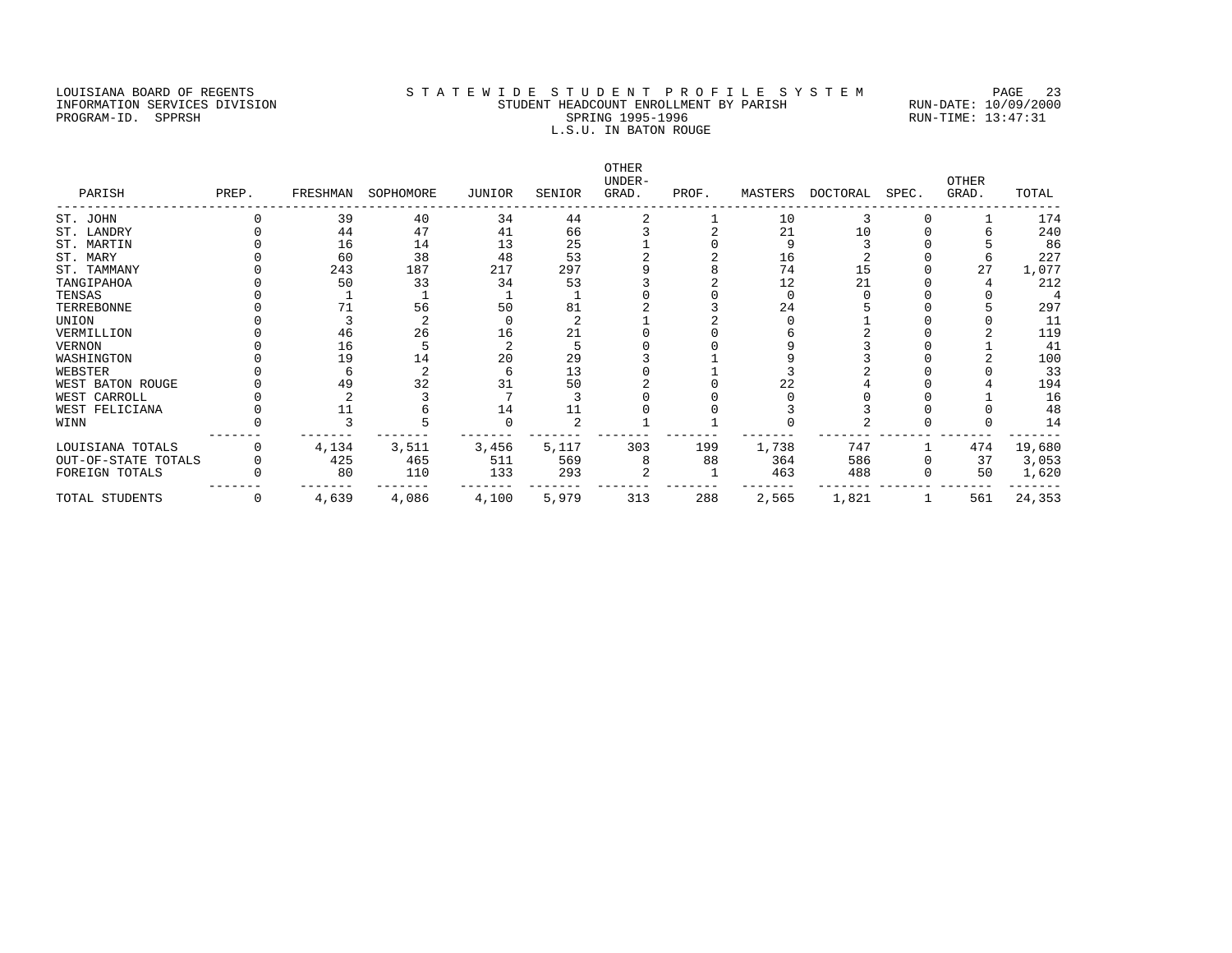### LOUISIANA BOARD OF REGENTS STATEWIDE STUDENT PROFILE SYSTEM PAGE 23 INFORMATION SERVICES DIVISION STUDENT HEADCOUNT ENROLLMENT BY PARISH RUN-DATE: 10/09/2000 PROGRAM-ID. SPPRSH SPRING 1995-1996 RUN-TIME: 13:47:31 L.S.U. IN BATON ROUGE

OTHER UNDER- OTHER PARISH PREP. FRESHMAN SOPHOMORE JUNIOR SENIOR GRAD. PROF. MASTERS DOCTORAL SPEC. GRAD. TOTAL ------------------------------------------------------------------------------------------------------------------------------------ ST. JOHN 0 39 40 34 44 2 1 10 3 0 1 174<br>ST. LANDRY 0 44 47 41 66 3 2 21 10 0 6 240<br>ST. MARTIN 0 16 14 13 25 1 0 9 3 0 5 86 ST. LANDRY 0 44 47 41 66 3 2 21 10 0 6 240 ST. MARTIN 0 16 14 13 25 1 0 9 3 0 5 86 ST. MARY 0 60 38 48 53 2 2 16 2 0 6 227 ST. TAMMANY 0 243 187 217 297 9 8 74 15 0 27 1,077 TANGIPAHOA 0 50 33 34 53 3 2 12 21 0 4 212 TENSAS 0 1 1 1 1 0 0 0 0 0 0 4 TERREBONNE 0 71 56 50 81 2 3 24 5 0 5 297 UNION 0 3 2 0 2 1 2 0 1 0 0 11 VERMILLION 0 46 26 16 21 0 0 6 2 0 2 119 VERNON 0 16 5 2 5 0 0 9 3 0 1 41 WASHINGTON 0 19 14 20 29 3 1 9 3 0 2 100 WEBSTER 0 6 2 6 13 0 1 3 2 0 0 33 WEST BATON ROUGE 0 49 32 31 50 2 0 22 4 0 4 194 WEST CARROLL 0 2 3 7 3 0 0 0 0 0 1 16 WEST FELICIANA 0 11 6 14 11 0 0 3 3 0 0 48 WINN 0 3 5 0 2 1 1 0 2 0 0 14 ------- ------- ------- ------- ------- ------- ------- ------- ------- ------- ------- ------- LOUISIANA TOTALS 0 4,134 3,511 3,456 5,117 303 199 1,738 747 1 474 19,680 OUT-OF-STATE TOTALS 0 425 465 511 569 8 88 364 586 0 37 3,053 FOREIGN TOTALS 0 80 110 133 293 2 1 463 488 0 50 1,620 ------- ------- ------- ------- ------- ------- ------- ------- ------- ------- ------- ------- TOTAL STUDENTS 0 4,639 4,086 4,100 5,979 313 288 2,565 1,821 1 561 24,353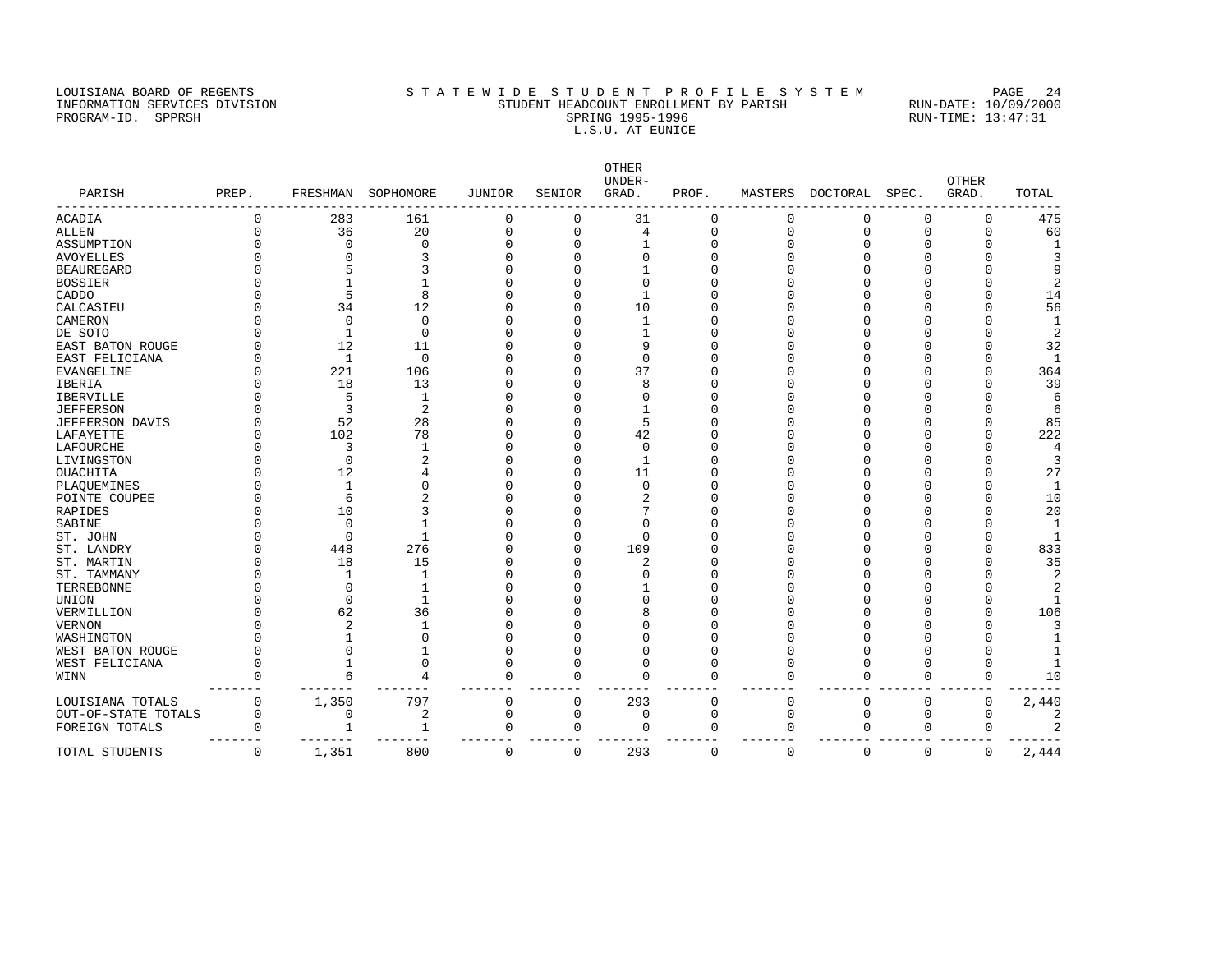# LOUISIANA BOARD OF REGENTS STATEWIDE STUDENT PROFILE SYSTEM PAGE 24 INFORMATION SERVICES DIVISION STUDENT HEADCOUNT ENROLLMENT BY PARISH RUN-DATE: 10/09/2000 PROGRAM-ID. SPPRSH SPRING 1995-1996 SPRING 1995-1996 RUN-TIME: 13:47:31 L.S.U. AT EUNICE

|                        |             |                |                |             |             | <b>OTHER</b><br>UNDER- |              |             |          |             | <b>OTHER</b> |                |
|------------------------|-------------|----------------|----------------|-------------|-------------|------------------------|--------------|-------------|----------|-------------|--------------|----------------|
| PARISH                 | PREP.       | FRESHMAN       | SOPHOMORE      | JUNIOR      | SENIOR      | GRAD.                  | PROF.        | MASTERS     | DOCTORAL | SPEC.       | GRAD.        | TOTAL          |
| ACADIA                 | 0           | 283            | 161            | 0           | 0           | 31                     | $\Omega$     | 0           | 0        | 0           | 0            | 475            |
| <b>ALLEN</b>           | $\Omega$    | 36             | 20             | $\mathbf 0$ | 0           | $\overline{4}$         | 0            | $\mathbf 0$ | 0        | $\mathbf 0$ | $\Omega$     | 60             |
| ASSUMPTION             |             | $\Omega$       | $\mathbf 0$    | $\mathbf 0$ | $\Omega$    | $\mathbf{1}$           | $\Omega$     | O           | $\Omega$ | ∩           | ∩            | $\mathbf{1}$   |
| <b>AVOYELLES</b>       |             |                | 3              | $\cap$      |             | $\Omega$               |              |             |          |             |              | 3              |
| <b>BEAUREGARD</b>      |             |                | 3              | $\cap$      | C           | $\mathbf{1}$           |              |             |          |             |              | q              |
| <b>BOSSIER</b>         |             |                |                | $\Omega$    |             | $\Omega$               |              |             |          |             |              | 2              |
| CADDO                  |             | 5              | 8              | $\Omega$    |             | -1                     |              |             |          |             | $\cap$       | 14             |
| CALCASIEU              |             | 34             | 12             | $\Omega$    | U           | 10                     |              |             |          |             |              | 56             |
| CAMERON                |             | $\Omega$       | $\mathbf 0$    |             |             | $\mathbf{1}$           |              |             |          |             |              | $\mathbf{1}$   |
| DE SOTO                |             |                | $\mathbf 0$    | $\cap$      | C           | $\mathbf{1}$           |              |             |          |             |              | 2              |
| EAST BATON ROUGE       |             | 12             | 11             | O           | C           | 9                      |              |             |          |             |              | 32             |
| EAST FELICIANA         |             | 1              | $\mathbf 0$    | $\Omega$    | C           | $\Omega$               |              |             |          |             |              | -1             |
| <b>EVANGELINE</b>      | $\cap$      | 221            | 106            | $\Omega$    | U           | 37                     |              |             |          |             | ∩            | 364            |
| IBERIA                 |             | 18             | 13             | $\cap$      |             | 8                      |              |             |          |             |              | 39             |
| IBERVILLE              |             | 5              | 1              | $\cap$      | C           | $\Omega$               |              |             |          |             |              | 6              |
| <b>JEFFERSON</b>       |             | 3              | 2              | $\Omega$    | ſ           | $\mathbf{1}$           |              |             |          |             |              | 6              |
| <b>JEFFERSON DAVIS</b> |             | 52             | 28             | $\Omega$    |             | 5                      |              |             |          |             |              | 85             |
| LAFAYETTE              |             | 102            | 78             | $\Omega$    | C           | 42                     |              |             |          |             |              | 222            |
| LAFOURCHE              |             | 3              | 1              | $\Omega$    | C           | $\mathbf 0$            |              |             |          |             |              | 4              |
| LIVINGSTON             |             | $\Omega$       | $\overline{2}$ | $\cap$      | C           | $\overline{1}$         |              |             |          |             |              | 3              |
| OUACHITA               |             | 12             | 4              | $\Omega$    | C           | 11                     |              |             |          |             |              | 27             |
| PLAQUEMINES            |             |                | $\Omega$       | $\Omega$    |             | $\Omega$               |              |             |          |             |              | 1              |
| POINTE COUPEE          |             | 6              | $\overline{2}$ | $\Omega$    | C           | 2                      |              |             |          |             |              | 10             |
| <b>RAPIDES</b>         |             | 10             | 3              | $\Omega$    |             | 7                      |              |             |          |             |              | 20             |
| SABINE                 |             | $\Omega$       |                | $\cap$      |             | $\Omega$               |              |             |          |             |              | $\mathbf{1}$   |
| ST. JOHN               |             | $\Omega$       | $\mathbf{1}$   |             | C           | $\Omega$               |              |             |          |             |              | $\overline{1}$ |
| ST. LANDRY             | U           | 448            | 276            | $\Omega$    | $\Omega$    | 109                    |              |             |          |             |              | 833            |
| ST. MARTIN             |             | 18             | 15             | $\Omega$    | C           | $\overline{2}$         |              |             |          |             |              | 35             |
| ST. TAMMANY            |             |                | $\mathbf{1}$   | $\Omega$    | C           | $\Omega$               |              |             |          |             |              | 2              |
| TERREBONNE             |             | $\Omega$       |                | $\cap$      |             | 1                      |              |             |          |             |              | 2              |
| UNION                  |             | $\Omega$       | $\mathbf{1}$   |             |             | $\Omega$               |              |             |          |             |              | -1             |
| VERMILLION             |             | 62             | 36             | $\cap$      |             | 8                      |              |             |          |             |              | 106            |
| <b>VERNON</b>          |             | $\overline{c}$ | -1             | $\Omega$    |             | $\Omega$               |              |             |          |             |              | 3              |
| WASHINGTON             |             |                | $\Omega$       | $\Omega$    |             | $\Omega$               |              |             |          |             |              |                |
| WEST BATON ROUGE       | $\cap$      | $\Omega$       |                | $\Omega$    | C           | $\Omega$               |              |             |          |             |              |                |
| WEST FELICIANA         | $\Omega$    |                | 0              | $\mathbf 0$ | U           | $\Omega$               |              | O           |          | O           |              |                |
| WINN                   | $\Omega$    | 6              | 4              | $\mathbf 0$ | $\Omega$    | $\Omega$               |              | O           | $\Omega$ | $\Omega$    | $\Omega$     | 10             |
| LOUISIANA TOTALS       | $\mathbf 0$ | 1,350          | 797            | 0           | $\Omega$    | 293                    | $\Omega$     | $\Omega$    | U        | $\Omega$    | 0            | 2,440          |
| OUT-OF-STATE TOTALS    | $\Omega$    | $\Omega$       | 2              | 0           | $\mathbf 0$ | 0                      | $\Omega$     | $\mathbf 0$ | $\Omega$ | $\mathbf 0$ | $\Omega$     | 2              |
| FOREIGN TOTALS         | $\Omega$    |                | 1              | $\mathbf 0$ | 0           | $\Omega$               | $\mathbf{0}$ | $\mathbf 0$ | $\Omega$ | $\mathbf 0$ | 0            | 2              |
| TOTAL STUDENTS         | $\Omega$    | 1,351          | 800            | $\Omega$    | $\Omega$    | 293                    | $\Omega$     | $\mathbf 0$ | $\Omega$ | $\Omega$    | $\Omega$     | 2,444          |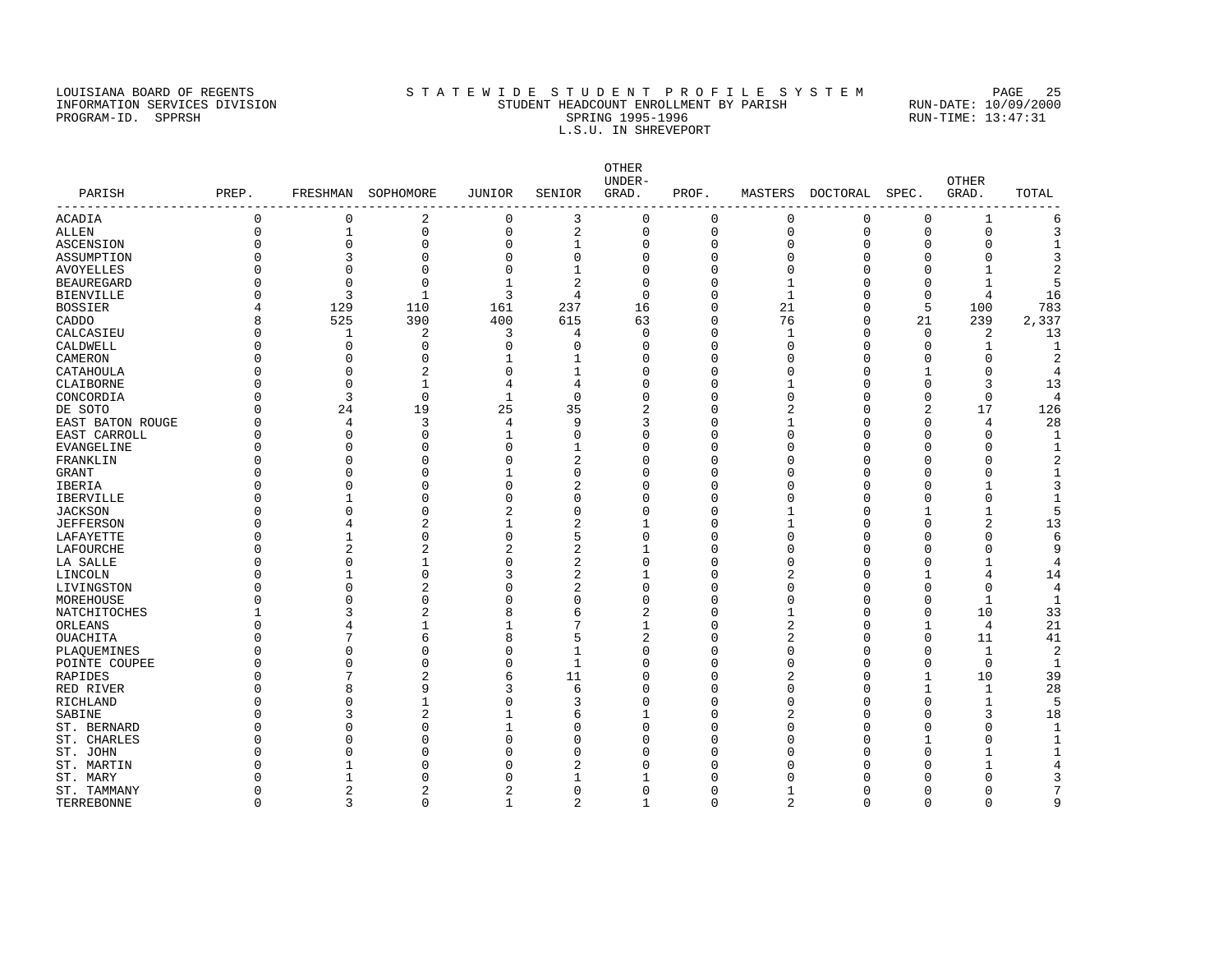### LOUISIANA BOARD OF REGENTS STATEWIDE STUDENT PROFILE SYSTEM PAGE 25 INFORMATION SERVICES DIVISION STUDENT HEADCOUNT ENROLLMENT BY PARISH RUN-DATE: 10/09/2000 PROGRAM-ID. SPPRSH SPRING 1995-1996 SPRING 1995-1996 RUN-TIME: 13:47:31 L.S.U. IN SHREVEPORT

OTHER<br>UNDER-UNDER- OTHER PARISH PREP. FRESHMAN SOPHOMORE JUNIOR SENIOR GRAD. PROF. MASTERS DOCTORAL SPEC. GRAD. TOTAL ------------------------------------------------------------------------------------------------------------------------------------ ACADIA 0 0 2 0 3 0 0 0 0 0 1 6 ALLEN 0 1 0 0 2 0 0 0 0 0 0 3 ASCENSION 0 0 0 0 1 0 0 0 0 0 0 1 ASSUMPTION 0 3 0 0 0 0 0 0 0 0 0 3 AVOYELLES 0 0 0 0 1 0 0 0 0 0 1 2 BEAUREGARD 0 0 0 1 2 0 0 1 0 0 1 5 BIENVILLE 0 3 1 3 4 0 0 1 0 0 4 16 BOSSIER 4 129 110 161 237 16 0 21 0 5 100 783 CADDO 8 525 390 400 615 63 0 76 0 21 239 2,337 CALCASIEU 0 1 2 3 4 0 0 1 0 0 2 13 CALDWELL 0 0 0 0 0 0 0 0 0 0 0 0 1 1 CAMERON 0 0 0 1 1 0 0 0 0 0 0 2 CATAHOULA 0 0 2 0 1 0 0 0 0 1 0 4 CLAIBORNE 0 0 1 4 4 0 0 1 0 0 3 13 CONCORDIA 0 3 0 1 0 0 0 0 0 0 0 4 DE SOTO 0 24 19 25 35 2 0 2 0 2 17 126 EAST BATON ROUGE 0 4 3 4 9 3 0 1 0 0 4 28 EAST CARROLL 0 0 0 1 0 0 0 0 0 0 0 1  $\texttt{EVANGELINE}$  0 0 0 0  $\texttt{1}$  0 0 0 0 0  $\texttt{0}$ FRANKLIN 0 0 0 0 2 0 0 0 0 0 0 2 GRANT 0 0 0 1 0 0 0 0 0 0 0 1 IBERIA 0 0 0 0 2 0 0 0 0 0 1 3 IBERVILLE 0 1 0 0 0 0 0 0 0 0 0 1 JACKSON 0 0 0 2 0 0 0 1 0 1 1 5 JEFFERSON 0 4 2 1 2 1 0 1 0 0 2 13 LAFAYETTE 0 1 0 0 5 0 0 0 0 0 0 6 LAFOURCHE 0 2 2 2 2 1 0 0 0 0 0 9 LA SALLE 0 0 1 0 2 0 0 0 0 0 1 4 LINCOLN 0 1 0 3 2 1 0 2 0 1 4 14 LIVINGSTON 0 0 2 0 2 0 0 0 0 0 0 4 MOREHOUSE 0 0 0 0 0 0 0 0 0 0 1 1 NATCHITOCHES 1 3 2 8 6 2 0 1 0 0 10 33 ORLEANS 0 0 4 1 1 7 1 0 2 0 1 4 21 OUACHITA 0 7 6 8 5 2 0 2 0 0 11 41 PLAQUEMINES 0 0 0 0 0 1 0 0 0 0 0 1 2 POINTE COUPEE 0 0 0 0 0 1 0 0 0 0 0 1 RAPIDES 0 7 2 6 11 0 0 2 0 1 10 39 RED RIVER 0 8 9 3 6 0 0 0 0 1 28 RICHLAND 0 0 1 0 3 0 0 0 0 0 1 5 SABINE 0 3 2 1 6 1 0 2 0 0 3 18 ST. BERNARD 0 0 0 1 0 0 0 0 0 0 0 1 ST. CHARLES 0 0 0 0 0 0 0 0 0 1 0 1 ST. JOHN 0 0 0 0 0 0 0 0 0 0 0 0 1 1 ST. MARTIN 0 1 0 0 2 0 0 0 0 0 1 4 ST. MARY 0 1 0 0 1 1 0 0 0 0 0 3 ST. TAMMANY 0 2 2 2 0 0 0 1 0 0 0 7

TERREBONNE 0 3 0 1 2 1 0 2 0 0 0 9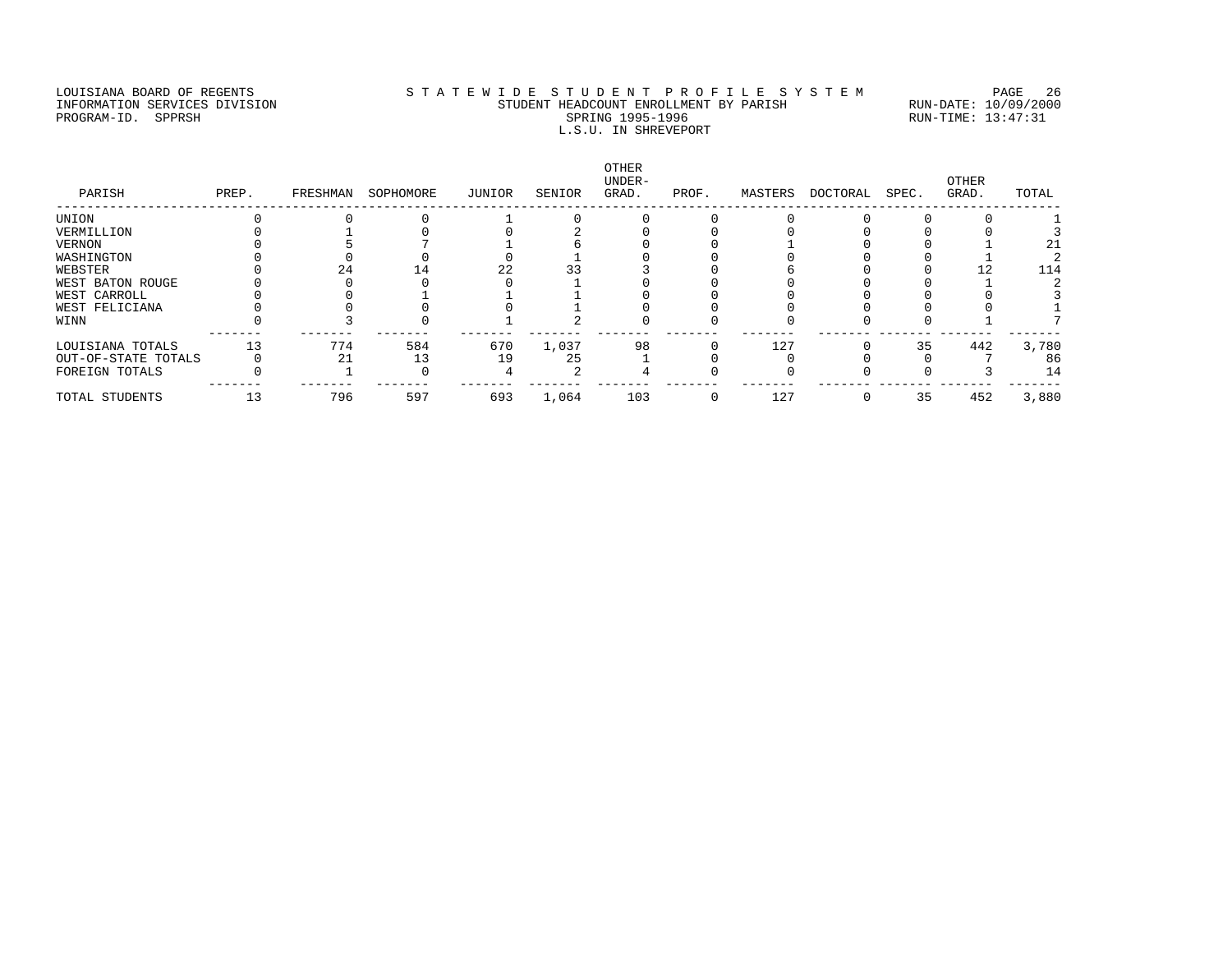# LOUISIANA BOARD OF REGENTS STATEWIDE STUDENT PROFILE SYSTEM PAGE 26 INFORMATION SERVICES DIVISION STUDENT HEADCOUNT ENROLLMENT BY PARISH RUN-DATE: 10/09/2000 PROGRAM-ID. SPPRSH SPRING 1995-1996 SPRING 1995-1996 RUN-TIME: 13:47:31 L.S.U. IN SHREVEPORT

| PARISH              | PREP. | FRESHMAN | SOPHOMORE | JUNIOR | SENIOR | OTHER<br>UNDER-<br>GRAD. | PROF.    | MASTERS | DOCTORAL | SPEC. | OTHER<br>GRAD. | TOTAL |
|---------------------|-------|----------|-----------|--------|--------|--------------------------|----------|---------|----------|-------|----------------|-------|
| UNION               |       |          |           |        |        |                          |          |         |          |       |                |       |
| VERMILLION          |       |          |           |        |        |                          |          |         |          |       |                |       |
| VERNON              |       |          |           |        |        |                          |          |         |          |       |                |       |
| WASHINGTON          |       |          |           |        |        |                          |          |         |          |       |                |       |
| WEBSTER             |       | 24       | 14        | 22     |        |                          |          |         |          |       |                | 114   |
| WEST BATON ROUGE    |       |          |           |        |        |                          |          |         |          |       |                |       |
| WEST CARROLL        |       |          |           |        |        |                          |          |         |          |       |                |       |
| WEST FELICIANA      |       |          |           |        |        |                          |          |         |          |       |                |       |
| WINN                |       |          |           |        |        |                          |          |         |          |       |                |       |
| LOUISIANA TOTALS    | 13    | 774      | 584       | 670    | 1,037  | 98                       |          | 127     |          | 35    | 442            | 3,780 |
| OUT-OF-STATE TOTALS |       | 21       | 13        | 19     | 25     |                          |          |         |          |       |                | 86    |
| FOREIGN TOTALS      |       |          |           |        |        |                          |          |         |          |       |                | 14    |
| TOTAL STUDENTS      | 13    | 796      | 597       | 693    | 1,064  | 103                      | $\Omega$ | 127     |          | 35    | 452            | 3,880 |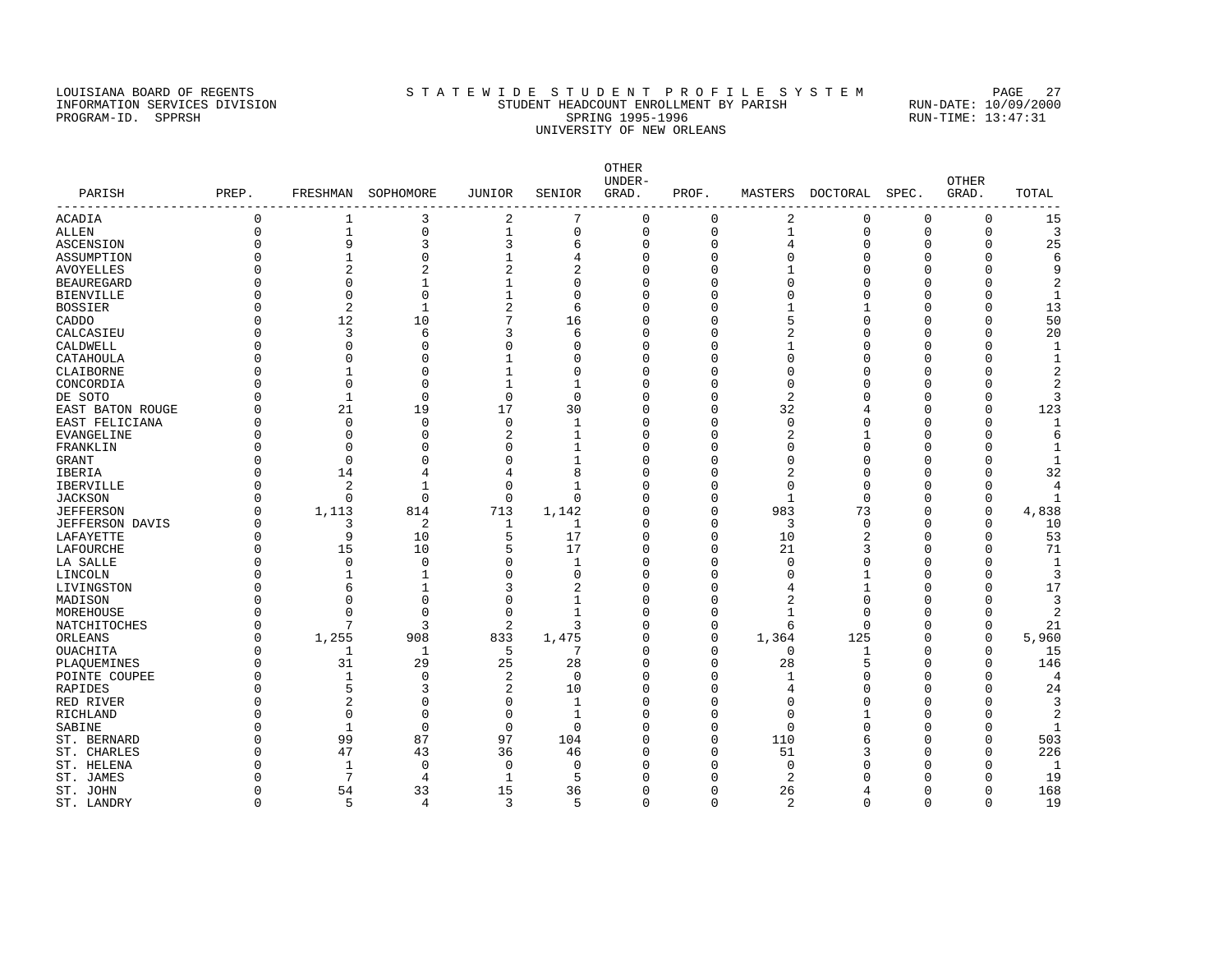# LOUISIANA BOARD OF REGENTS STATEWIDE STUDENT PROFILE SYSTEM PAGE 27 INFORMATION SERVICES DIVISION STUDENT HEADCOUNT ENROLLMENT BY PARISH RUN-DATE: 10/09/2000 PROGRAM-ID. SPPRSH SPRING 1995-1996 SPRING 1995-1996 RUN-TIME: 13:47:31 UNIVERSITY OF NEW ORLEANS

| PARISH            | PREP.    | FRESHMAN       | SOPHOMORE      | JUNIOR                  | SENIOR       | <b>OTHER</b><br>UNDER-<br>GRAD. | PROF.       | MASTERS        | DOCTORAL     | SPEC.       | <b>OTHER</b><br>GRAD. | TOTAL                   |
|-------------------|----------|----------------|----------------|-------------------------|--------------|---------------------------------|-------------|----------------|--------------|-------------|-----------------------|-------------------------|
| -----------       |          |                |                |                         |              |                                 |             |                |              |             |                       |                         |
| <b>ACADIA</b>     | $\Omega$ | 1              | 3              | 2                       | 7            | $\mathbf 0$                     | 0           | 2              | $\Omega$     | $\mathbf 0$ | $\mathbf 0$           | 15                      |
| ALLEN             | $\Omega$ | $\mathbf 1$    | 0              | $\mathbf{1}$            | 0            | $\mathbf 0$                     | $\mathbf 0$ | 1              | $\mathbf 0$  | $\mathbf 0$ | 0                     | 3                       |
| ASCENSION         | $\Omega$ | 9              | 3              | 3                       | 6            | 0                               | $\Omega$    | 4              | $\Omega$     | $\Omega$    | $\Omega$              | 25                      |
| ASSUMPTION        |          | $\mathbf{1}$   | $\Omega$       | $\mathbf{1}$            | 4            | $\Omega$                        | $\cap$      | C              | $\Omega$     | $\Omega$    | $\Omega$              | 6                       |
| <b>AVOYELLES</b>  |          | $\overline{c}$ | $\overline{2}$ | $\overline{c}$          | 2            | $\Omega$                        | $\cap$      | 1              | $\Omega$     | $\Omega$    | $\Omega$              | 9                       |
| <b>BEAUREGARD</b> |          | $\Omega$       | $\mathbf{1}$   | 1                       | $\Omega$     | $\Omega$                        | $\cap$      | C              | $\Omega$     | $\Omega$    | $\Omega$              | $\overline{2}$          |
| BIENVILLE         |          | 0              | $\Omega$       | 1                       | 0            | 0                               | ∩           |                | $\Omega$     | 0           | $\Omega$              | 1                       |
| <b>BOSSIER</b>    |          | $\overline{c}$ | $\mathbf{1}$   | $\overline{\mathbf{c}}$ | 6            | $\Omega$                        | ∩           |                |              | 0           | $\Omega$              | 13                      |
| CADDO             |          | 12             | 10             | 7                       | 16           | $\mathbf 0$                     | $\cap$      |                | $\Omega$     | $\mathbf 0$ | $\Omega$              | 50                      |
| CALCASIEU         |          | 3              | 6              | 3                       | 6            | $\Omega$                        | $\cap$      | 2              | $\Omega$     | $\Omega$    | $\Omega$              | 20                      |
| CALDWELL          |          | $\Omega$       | 0              | 0                       | 0            | $\Omega$                        | n           |                | $\Omega$     | 0           | 0                     | 1                       |
| CATAHOULA         |          | $\Omega$       | C              | 1                       | U            | $\mathbf 0$                     | $\cap$      | $\Omega$       | $\Omega$     | $\Omega$    | 0                     | $1\,$                   |
| CLAIBORNE         |          | $\mathbf{1}$   | $\Omega$       | $\mathbf{1}$            | 0            | $\mathbf 0$                     | $\Omega$    | $\Omega$       | $\Omega$     | $\Omega$    | $\Omega$              | $\overline{\mathbf{c}}$ |
| CONCORDIA         |          | $\Omega$       | $\bigcap$      | $\mathbf{1}$            | 1            | $\Omega$                        | $\cap$      | $\Omega$       | $\Omega$     | $\Omega$    | $\Omega$              | 2                       |
| DE SOTO           |          | $\mathbf{1}$   | $\Omega$       | $\mathbf 0$             | $\Omega$     | 0                               | $\Omega$    | 2              | O            | $\mathbf 0$ | $\Omega$              | 3                       |
| EAST BATON ROUGE  |          | 21             | 19             | 17                      | 30           | 0                               | $\Omega$    | 32             | 4            | $\mathbf 0$ | $\Omega$              | 123                     |
| EAST FELICIANA    |          | 0              | $\Omega$       | 0                       | 1            | 0                               | n           | $\Omega$       | O            | $\mathbf 0$ | $\Omega$              | 1                       |
| EVANGELINE        | ∩        | $\Omega$       | U              | $\overline{2}$          | 1            | $\Omega$                        | ∩           | 2              |              | $\Omega$    | $\Omega$              | 6                       |
| FRANKLIN          | $\cap$   | $\Omega$       | $\Omega$       | $\Omega$                | 1            | $\Omega$                        | $\Omega$    | $\Omega$       | $\Omega$     | $\Omega$    | $\Omega$              | 1                       |
| <b>GRANT</b>      |          | $\Omega$       | $\Omega$       | $\Omega$                | 1            | $\mathbf 0$                     | ∩           | $\Omega$       | $\Omega$     | $\Omega$    | $\Omega$              | $\mathbf{1}$            |
| IBERIA            |          | 14             | 4              | 4                       | 8            | $\Omega$                        | $\cap$      | 2              | $\Omega$     | $\Omega$    | $\Omega$              | 32                      |
| IBERVILLE         |          | 2              | $\mathbf{1}$   | $\mathbf 0$             | $\mathbf{1}$ | $\Omega$                        | $\Omega$    | $\Omega$       | $\Omega$     | $\Omega$    | $\Omega$              | 4                       |
| <b>JACKSON</b>    |          | $\Omega$       | $\mathbf 0$    | $\mathbf 0$             | 0            | $\mathbf 0$                     | $\Omega$    | $\mathbf{1}$   | $\Omega$     | $\mathbf 0$ | $\mathbf 0$           | $\mathbf{1}$            |
| <b>JEFFERSON</b>  | O        | 1,113          | 814            | 713                     | 1,142        | $\mathbf 0$                     | 0           | 983            | 73           | 0           | 0                     | 4,838                   |
| JEFFERSON DAVIS   | O        | 3              | 2              | 1                       | 1            | $\mathbf 0$                     | 0           | 3              | $\Omega$     | $\mathbf 0$ | 0                     | 10                      |
| LAFAYETTE         | ∩        | 9              | 10             | 5                       | 17           | $\mathbf 0$                     | $\Omega$    | 10             | 2            | $\mathbf 0$ | 0                     | 53                      |
| LAFOURCHE         | $\cap$   | 15             | 10             | 5                       | 17           | $\mathbf 0$                     | $\Omega$    | 21             | 3            | $\Omega$    | $\Omega$              | 71                      |
| LA SALLE          |          | 0              | $\Omega$       | $\Omega$                | 1            | 0                               | $\Omega$    | $\Omega$       | $\Omega$     | $\Omega$    | $\Omega$              | $\mathbf{1}$            |
| LINCOLN           |          | 1              | $\mathbf{1}$   | $\mathbf 0$             | 0            | $\mathbf 0$                     | $\cap$      | C              | 1            | $\Omega$    | 0                     | 3                       |
| LIVINGSTON        |          | 6              | $\mathbf{1}$   | 3                       | 2            | $\mathbf 0$                     | $\cap$      |                | $\mathbf{1}$ | $\mathbf 0$ | $\Omega$              | 17                      |
| MADISON           |          | $\Omega$       | $\Omega$       | $\Omega$                | 1            | $\mathbf 0$                     | $\cap$      |                | $\Omega$     | $\Omega$    | $\Omega$              | 3                       |
| MOREHOUSE         |          | $\Omega$       | $\Omega$       | 0                       | 1            | 0                               | $\Omega$    | $\mathbf{1}$   | $\Omega$     | $\mathbf 0$ | $\Omega$              | 2                       |
| NATCHITOCHES      | O        | 7              | 3              | 2                       | 3            | 0                               | $\Omega$    | 6              | $\Omega$     | $\mathbf 0$ | 0                     | 21                      |
| ORLEANS           | ∩        | 1,255          | 908            | 833                     | 1,475        | 0                               | 0           | 1,364          | 125          | 0           | 0                     | 5,960                   |
| OUACHITA          |          | 1              | -1             | 5                       |              | $\mathbf 0$                     | $\Omega$    | 0              |              | $\mathbf 0$ | $\mathbf 0$           | 15                      |
| PLAQUEMINES       |          | 31             | 29             | 25                      | 28           | 0                               | $\Omega$    | 28             | 5            | $\Omega$    | $\Omega$              | 146                     |
| POINTE COUPEE     | ∩        | $\mathbf{1}$   | $\Omega$       | 2                       | $\Omega$     | $\mathbf 0$                     | $\Omega$    | 1              | Ω            | $\Omega$    | $\Omega$              | 4                       |
| RAPIDES           |          | 5              | 3              | 2                       | 10           | $\Omega$                        | $\cap$      | 4              | $\Omega$     | 0           | $\Omega$              | 24                      |
| RED RIVER         |          | $\overline{2}$ | C              | $\mathbf 0$             | 1            | $\Omega$                        | $\cap$      | U              | $\Omega$     | $\Omega$    | $\Omega$              | 3                       |
| RICHLAND          |          | $\mathbf 0$    | $\Omega$       | $\mathbf 0$             | $\mathbf{1}$ | $\mathbf 0$                     | $\cap$      | $\Omega$       |              | $\Omega$    | $\Omega$              | 2                       |
| SABINE            |          | 1              | 0              | 0                       | 0            | 0                               | ∩           | $\Omega$       | U            | 0           | $\Omega$              | 1                       |
| ST. BERNARD       |          | 99             | 87             | 97                      | 104          | $\Omega$                        | $\Omega$    | 110            | 6            | 0           | $\Omega$              | 503                     |
| ST. CHARLES       |          | 47             | 43             | 36                      | 46           | $\mathbf 0$                     | $\Omega$    | 51             | 3            | $\mathbf 0$ | $\Omega$              | 226                     |
| ST. HELENA        |          | 1              | $\mathbf 0$    | $\mathbf 0$             | 0            | $\Omega$                        | ∩           | $\Omega$       | U            | $\Omega$    | $\Omega$              | 1                       |
| ST. JAMES         |          | 7              | 4              | 1                       | 5            | $\Omega$                        |             | $\overline{a}$ |              | 0           | $\Omega$              | 19                      |
| ST. JOHN          | ∩        | 54             | 33             | 15                      | 36           | $\Omega$                        | $\Omega$    | 26             |              | 0           | $\Omega$              | 168                     |
| ST. LANDRY        | $\Omega$ | 5              | 4              | 3                       | 5            | $\Omega$                        | $\Omega$    | $\mathfrak{D}$ | $\Omega$     | $\Omega$    | $\Omega$              | 19                      |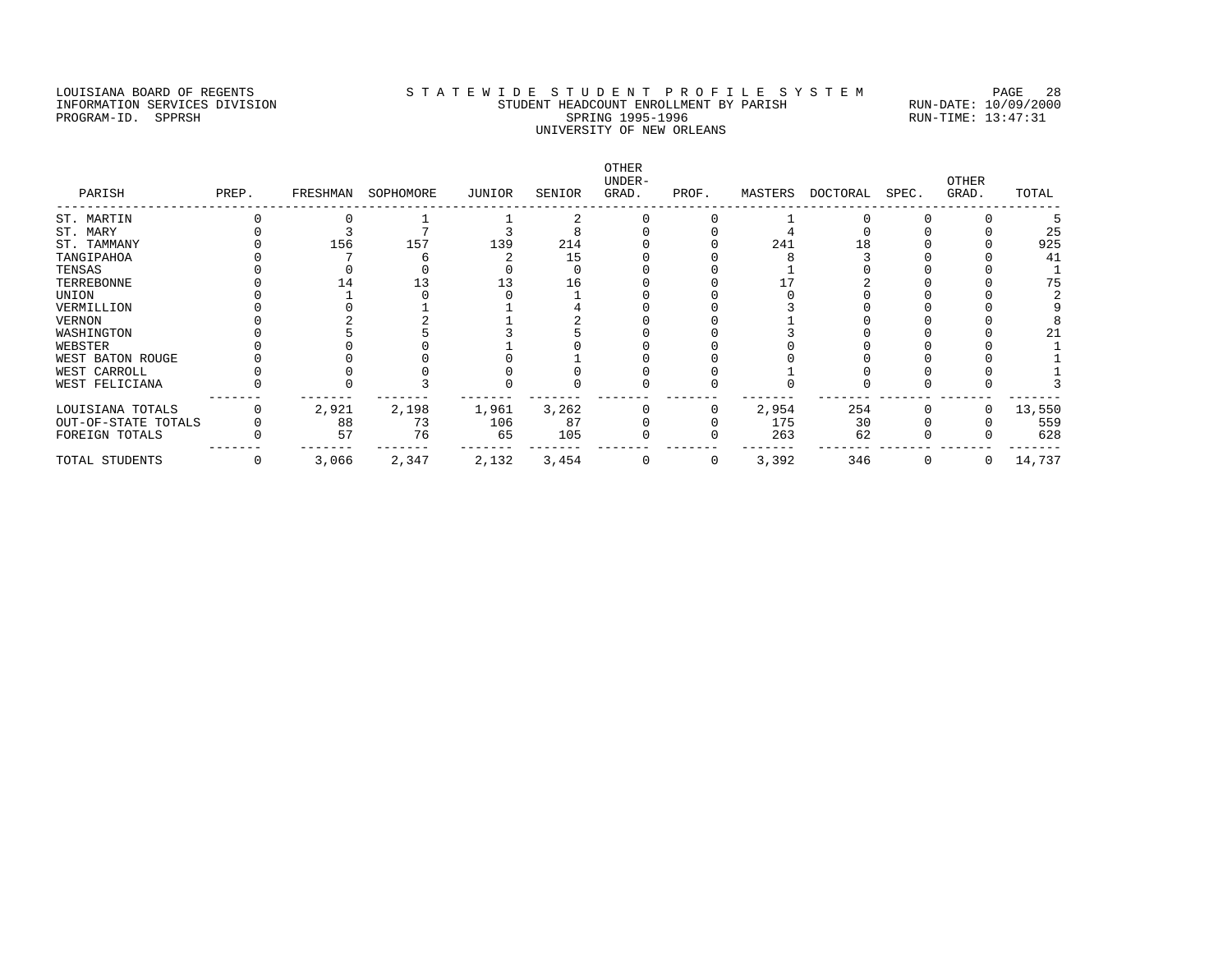# LOUISIANA BOARD OF REGENTS STATEWIDE STUDENT PROFILE SYSTEM PAGE 28 INFORMATION SERVICES DIVISION STUDENT HEADCOUNT ENROLLMENT BY PARISH RUN-DATE: 10/09/2000 PROGRAM-ID. SPPRSH SPRING 1995-1996 SPRING 1995-1996 RUN-TIME: 13:47:31 UNIVERSITY OF NEW ORLEANS

| PARISH              | PREP. | FRESHMAN | SOPHOMORE | JUNIOR | SENIOR | OTHER<br>UNDER-<br>GRAD. | PROF. | MASTERS | DOCTORAL | SPEC. | <b>OTHER</b><br>GRAD. | TOTAL  |
|---------------------|-------|----------|-----------|--------|--------|--------------------------|-------|---------|----------|-------|-----------------------|--------|
| ST. MARTIN          |       |          |           |        |        |                          |       |         |          |       |                       |        |
| ST. MARY            |       |          |           |        |        |                          |       |         |          |       |                       | 25     |
| ST. TAMMANY         |       | 156      | 157       | 139    | 214    |                          |       | 241     |          |       |                       | 925    |
| TANGIPAHOA          |       |          |           |        | 15     |                          |       |         |          |       |                       | 41     |
| TENSAS              |       |          |           |        |        |                          |       |         |          |       |                       |        |
| TERREBONNE          |       |          |           |        | 16     |                          |       |         |          |       |                       | 75     |
| UNION               |       |          |           |        |        |                          |       |         |          |       |                       |        |
| VERMILLION          |       |          |           |        |        |                          |       |         |          |       |                       |        |
| VERNON              |       |          |           |        |        |                          |       |         |          |       |                       |        |
| WASHINGTON          |       |          |           |        |        |                          |       |         |          |       |                       |        |
| WEBSTER             |       |          |           |        |        |                          |       |         |          |       |                       |        |
| WEST BATON ROUGE    |       |          |           |        |        |                          |       |         |          |       |                       |        |
| WEST CARROLL        |       |          |           |        |        |                          |       |         |          |       |                       |        |
| WEST FELICIANA      |       |          |           |        |        |                          |       |         |          |       |                       |        |
| LOUISIANA TOTALS    |       | 2,921    | 2,198     | 1,961  | 3,262  |                          |       | 2,954   | 254      |       |                       | 13,550 |
| OUT-OF-STATE TOTALS |       | 88       | 73        | 106    | 87     |                          |       | 175     | 30       |       |                       | 559    |
| FOREIGN TOTALS      |       | 57       | 76        | 65     | 105    |                          |       | 263     | 62       |       |                       | 628    |
| TOTAL STUDENTS      |       | 3,066    | 2,347     | 2,132  | 3,454  |                          | 0     | 3,392   | 346      |       | 0                     | 14,737 |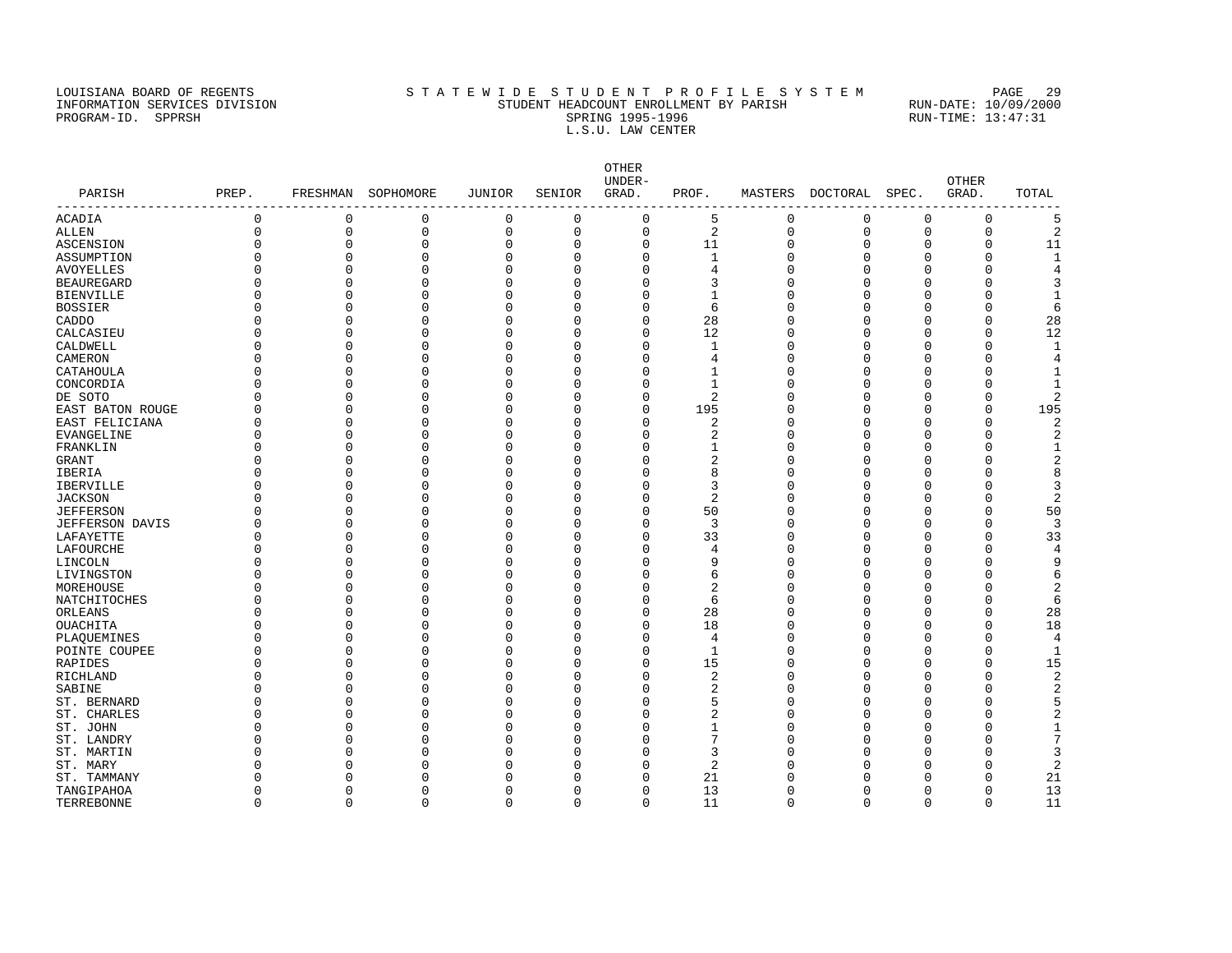### LOUISIANA BOARD OF REGENTS STATEWIDE STUDENT PROFILE SYSTEM PAGE 29 INFORMATION SERVICES DIVISION STUDENT HEADCOUNT ENROLLMENT BY PARISH RUN-DATE: 10/09/2000 PROGRAM-ID. SPPRSH SPRING 1995-1996 SPRING 1995-1996 RUN-TIME: 13:47:31 L.S.U. LAW CENTER

OTHER<br>UNDER-UNDER- OTHER PARISH PREP. FRESHMAN SOPHOMORE JUNIOR SENIOR GRAD. PROF. MASTERS DOCTORAL SPEC. GRAD. TOTAL ------------------------------------------------------------------------------------------------------------------------------------  $\begin{array}{ccccccccccc} 0 & 0 & 0 & 0 & 0 & 0 & 5 & 0 & 0 & 0 & 5 \ 0 & 0 & 0 & 0 & 0 & 0 & 2 & 0 & 0 & 0 & 2 \ \end{array}$ ALLEN 0 0 0 0 0 0 2 0 0 0 0 2 ASCENSION 0 0 0 0 0 0 11 0 0 0 0 11 ASSUMPTION 0 0 0 0 0 0 1 0 0 0 0 1 AVOYELLES 0 0 0 0 0 0 4 0 0 0 0 4 BEAUREGARD 0 0 0 0 0 0 3 0 0 0 0 3 BIENVILLE 0 0 0 0 0 0 1 0 0 0 0 1 BOSSIER 0 0 0 0 0 0 6 0 0 0 0 6 CADDO 0 0 0 0 0 0 28 0 0 0 0 28 CALCASIEU 0 0 0 0 0 0 12 0 0 0 0 12 CALDWELL 0 0 0 0 0 0 0 0 0 0 0 0 0 0 0 0 1 CAMERON 0 0 0 0 0 0 4 0 0 0 0 4 CATAHOULA 0 0 0 0 0 0 1 0 0 0 0 1 CONCORDIA 0 0 0 0 0 0 0 1 0 0 0 0 1 DE SOTO 0 0 0 0 0 0 2 0 0 0 0 2 east baton rouge that the control of the control of the control of the control of the control of the control o<br>East feliciana that the control of the control of the control of the control of the control of the control of EAST FELICIANA 0 0 0 0 0 0 2 0 0 0 0 2 EVANGELINE 0 0 0 0 0 0 2 0 0 0 0 2 FRANKLIN 0 0 0 0 0 0 1 0 0 0 0 1 GRANT 0 0 0 0 0 0 2 0 0 0 0 2 IBERIA 0 0 0 0 0 0 8 0 0 0 0 8 IBERVILLE 0 0 0 0 0 0 3 0 0 0 0 3 JACKSON 0 0 0 0 0 0 2 0 0 0 0 2 JEFFERSON 0 0 0 0 0 0 50 0 0 0 0 50 JEFFERSON DAVIS 0 0 0 0 0 0 3 0 0 0 0 3 LAFAYETTE 0 0 0 0 0 0 33 0 0 0 0 33 LAFOURCHE 0 0 0 0 0 0 4 0 0 0 0 4 LINCOLN 0 0 0 0 0 0 9 0 0 0 0 9 LIVINGSTON 0 0 0 0 0 0 6 0 0 0 0 6 MOREHOUSE 0 0 0 0 0 0 2 0 0 0 0 2 NATCHITOCHES 0 0 0 0 0 0 6 0 0 0 0 6 ORLEANS 0 0 0 0 0 0 28 0 0 0 0 28 OUACHITA 0 0 0 0 0 0 18 0 0 0 0 18 PLAQUEMINES 0 0 0 0 0 0 0 0 0 0 0 0 4 POINTE COUPEE 0 0 0 0 0 0 0 0 0 0 0 0 1 RAPIDES 0 0 0 0 0 15 0 0 0 15 RICHLAND 0 0 0 0 0 0 2 0 0 0 0 2 SABINE 0 0 0 0 0 0 0 2 0 0 0 0 2 ST. BERNARD 0 0 0 0 0 0 5 0 0 0 0 5 ST. CHARLES 0 0 0 0 0 0 2 0 0 0 0 2 ST. JOHN 0 0 0 0 0 0 0 0 0 0 0 0 0 1 ST. LANDRY 0 0 0 0 0 0 7 0 0 0 0 7 ST. MARTIN 0 0 0 0 0 0 3 0 0 0 0 3 ST. MARY 0 0 0 0 0 0 2 0 0 0 0 2 ST. TAMMANY 0 0 0 0 0 0 21 0 0 0 0 21 TANGIPAHOA 0 0 0 0 0 0 13 0 0 0 0 13

TERREBONNE 0 0 0 0 0 0 11 0 0 0 0 11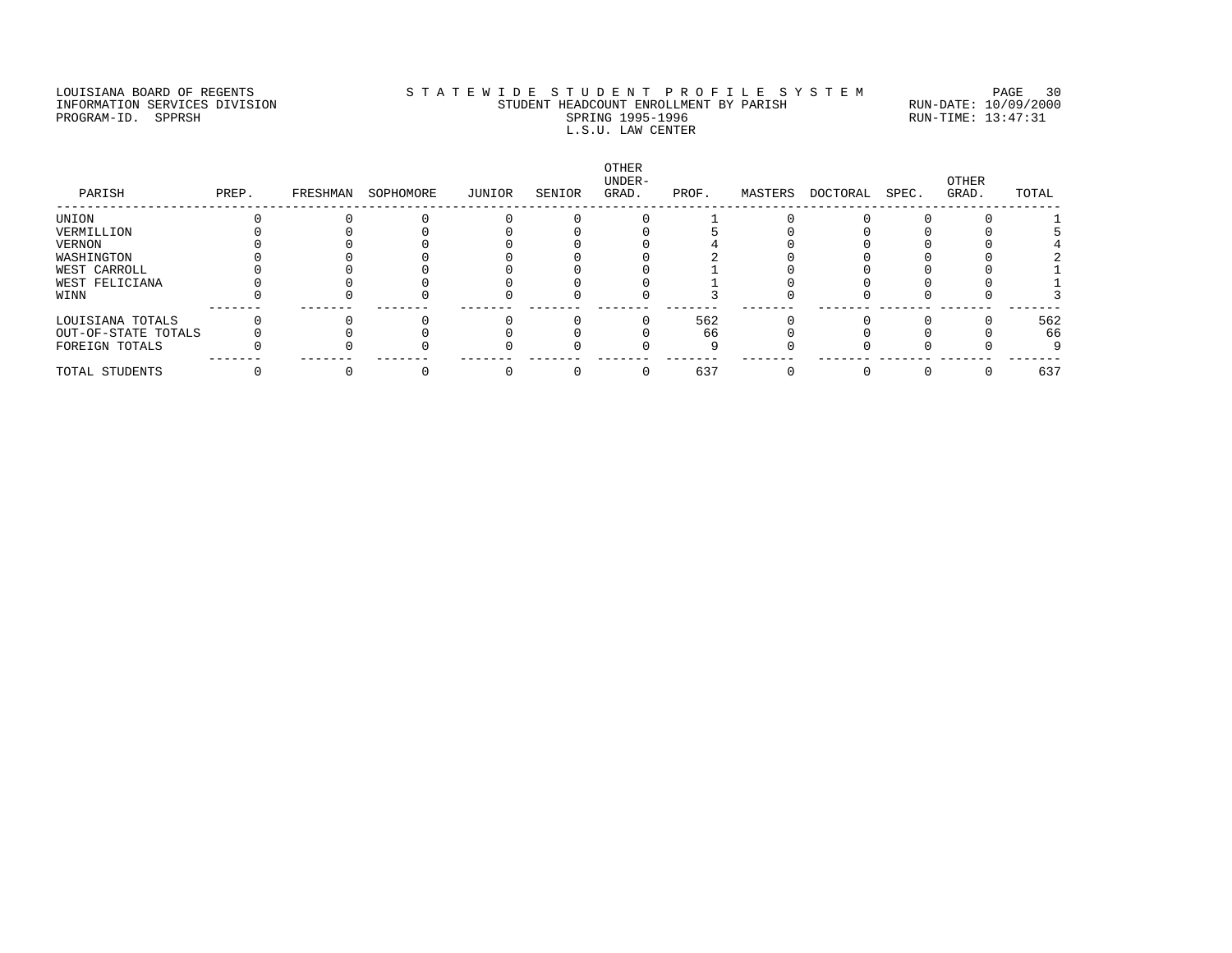# LOUISIANA BOARD OF REGENTS STATEWIDE STUDENT PROFILE SYSTEM PAGE 30 INFORMATION SERVICES DIVISION STUDENT HEADCOUNT ENROLLMENT BY PARISH RUN-DATE: 10/09/2000 PROGRAM-ID. SPPRSH SPRING 1995-1996 SPRING 1995-1996 RUN-TIME: 13:47:31 L.S.U. LAW CENTER

| PARISH              | PREP. | FRESHMAN | SOPHOMORE | JUNIOR | SENIOR | OTHER<br>UNDER-<br>GRAD. | PROF. | MASTERS | DOCTORAL | SPEC. | OTHER<br>GRAD. | TOTAL |
|---------------------|-------|----------|-----------|--------|--------|--------------------------|-------|---------|----------|-------|----------------|-------|
| UNION               |       |          |           |        |        |                          |       |         |          |       |                |       |
| VERMILLION          |       |          |           |        |        |                          |       |         |          |       |                |       |
| VERNON              |       |          |           |        |        |                          |       |         |          |       |                |       |
| WASHINGTON          |       |          |           |        |        |                          |       |         |          |       |                |       |
| WEST CARROLL        |       |          |           |        |        |                          |       |         |          |       |                |       |
| WEST FELICIANA      |       |          |           |        |        |                          |       |         |          |       |                |       |
| WINN                |       |          |           |        |        |                          |       |         |          |       |                |       |
| LOUISIANA TOTALS    |       |          |           |        |        |                          | 562   |         |          |       |                | 562   |
| OUT-OF-STATE TOTALS |       |          |           |        |        |                          | 66    |         |          |       |                | 66    |
| FOREIGN TOTALS      |       |          |           |        |        |                          |       |         |          |       |                | 9     |
| TOTAL STUDENTS      |       |          |           |        |        |                          | 637   |         |          |       |                | 637   |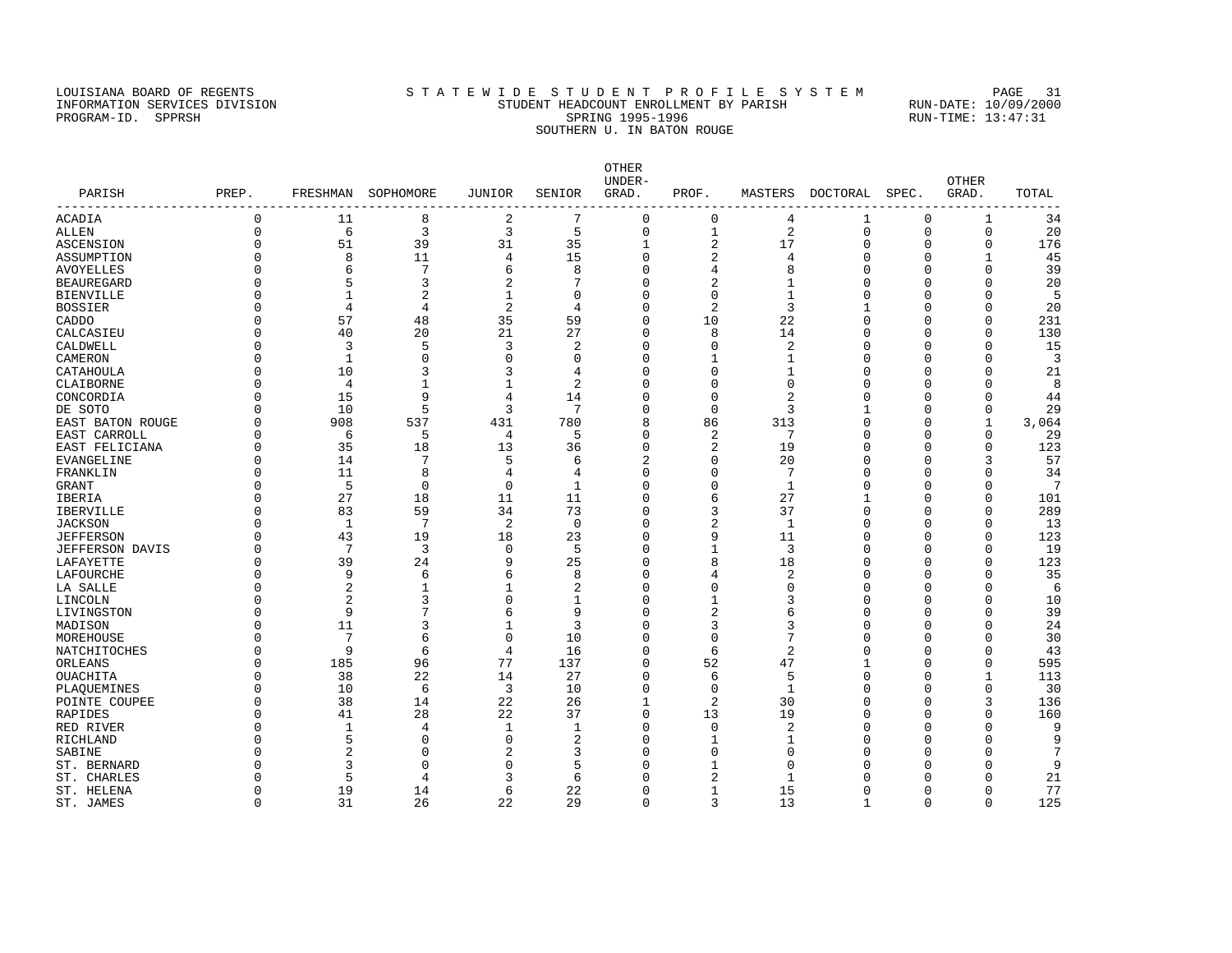# LOUISIANA BOARD OF REGENTS STA TEWIDE STUDENT PROFILE SYSTEM PAGE 31 INFORMATION SERVICES DIVISION STUDENT HEADCOUNT ENROLLMENT BY PARISH RUN-DATE: 10/09/2000 PROGRAM-ID. SPPRSH SPRING 1995-1996 SPRING 1995-1996 RUN-TIME: 13:47:31 SOUTHERN U. IN BATON ROUGE

| PARISH           | PREP.       |                | FRESHMAN SOPHOMORE | JUNIOR       | SENIOR         | <b>OTHER</b><br>UNDER-<br>GRAD. | PROF.          |              | MASTERS DOCTORAL | SPEC.        | <b>OTHER</b><br>GRAD. | TOTAL |
|------------------|-------------|----------------|--------------------|--------------|----------------|---------------------------------|----------------|--------------|------------------|--------------|-----------------------|-------|
| ACADIA           | $\mathbf 0$ | 11             | 8                  | $\sqrt{2}$   | 7              | $\mathbf 0$                     | 0              | 4            | 1                | $\mathbf 0$  | 1                     | 34    |
| ALLEN            | $\Omega$    | 6              | 3                  | 3            | 5              | $\mathbf 0$                     | $\mathbf{1}$   | 2            | $\mathbf 0$      | $\mathbf{0}$ | $\mathbf 0$           | 20    |
| ASCENSION        |             | 51             | 39                 | 31           | 35             | $\mathbf{1}$                    | 2              | 17           | $\Omega$         | $\Omega$     | 0                     | 176   |
| ASSUMPTION       |             | 8              | 11                 | 4            | 15             | $\Omega$                        | 2              | 4            | $\Omega$         | $\Omega$     | $\mathbf{1}$          | 45    |
| AVOYELLES        |             | 6              | 7                  | 6            | 8              | $\Omega$                        |                | 8            | $\Omega$         |              | $\Omega$              | 39    |
| BEAUREGARD       |             | 5              | 3                  | 2            |                | $\Omega$                        |                |              | $\Omega$         |              | $\Omega$              | 20    |
| BIENVILLE        |             |                |                    | 1            | $\Omega$       | $\Omega$                        | $\Omega$       |              | $\Omega$         |              | n                     | 5     |
| BOSSIER          |             | $\overline{4}$ | 4                  | 2            | 4              | $\Omega$                        | 2              | 3            |                  |              | n                     | 20    |
| CADDO            |             | 57             | 48                 | 35           | 59             | $\Omega$                        | 10             | 22           | $\Omega$         |              | $\Omega$              | 231   |
| CALCASIEU        |             | 40             | 20                 | 21           | 27             | $\overline{0}$                  | 8              | 14           | $\Omega$         | ∩            | $\Omega$              | 130   |
| CALDWELL         |             | 3              | 5                  | 3            | $\overline{2}$ | $\Omega$                        | $\Omega$       | 2            | $\Omega$         | $\cap$       | $\Omega$              | 15    |
| CAMERON          |             | $\mathbf{1}$   | O                  | $\Omega$     | $\Omega$       | $\Omega$                        |                |              | $\Omega$         |              | $\Omega$              | 3     |
| CATAHOULA        |             | 10             |                    | 3            | 4              | $\Omega$                        | U              |              | $\Omega$         |              | ∩                     | 21    |
| CLAIBORNE        |             | 4              | 1                  | $\mathbf{1}$ | $\overline{2}$ | $\Omega$                        | $\Omega$       | O            | $\Omega$         | ∩            | $\Omega$              | 8     |
| CONCORDIA        |             | 15             | 9                  | 4            | 14             | $\Omega$                        | $\Omega$       | 2            | $\Omega$         |              | $\Omega$              | 44    |
| DE SOTO          |             | 10             | 5                  | 3            | 7              | $\Omega$                        | $\Omega$       | 3            |                  | $\cap$       | $\mathbf{0}$          | 29    |
| EAST BATON ROUGE |             | 908            | 537                | 431          | 780            | 8                               | 86             | 313          | $\Omega$         | $\cap$       | $\mathbf{1}$          | 3,064 |
| EAST CARROLL     |             | 6              | 5                  | 4            | 5              | $\Omega$                        | 2              | 7            | $\Omega$         | $\cap$       | $\Omega$              | 29    |
| EAST FELICIANA   |             | 35             | 18                 | 13           | 36             | $\Omega$                        | 2              | 19           | $\Omega$         | $\cap$       | $\Omega$              | 123   |
| EVANGELINE       |             | 14             | 7                  | 5            | 6              | $\overline{c}$                  | $\Omega$       | 20           | $\Omega$         |              | २                     | 57    |
| FRANKLIN         |             | 11             | 8                  | 4            | 4              | $\Omega$                        | $\Omega$       | 7            | $\Omega$         |              | n                     | 34    |
| GRANT            |             | 5              | $\Omega$           | $\mathbf 0$  | $\mathbf{1}$   | $\Omega$                        | $\Omega$       | $\mathbf{1}$ | $\Omega$         | ∩            | n                     | 7     |
| IBERIA           |             | 27             | 18                 | 11           | 11             | $\Omega$                        | б              | 27           |                  | $\cap$       | $\Omega$              | 101   |
| IBERVILLE        |             | 83             | 59                 | 34           | 73             | $\overline{0}$                  | 3              | 37           | $\Omega$         | $\cap$       | $\Omega$              | 289   |
| JACKSON          |             | $\mathbf{1}$   | 7                  | 2            | $\mathbf 0$    | $\Omega$                        |                | $\mathbf{1}$ | $\Omega$         | $\cap$       | $\Omega$              | 13    |
| JEFFERSON        |             | 43             | 19                 | 18           | 23             | $\Omega$                        | 9              | 11           | $\Omega$         | $\Omega$     | $\Omega$              | 123   |
| JEFFERSON DAVIS  |             | 7              | 3                  | 0            | 5              | $\Omega$                        |                | 3            | $\Omega$         | ∩            | $\Omega$              | 19    |
| LAFAYETTE        |             | 39             | 24                 | 9            | 25             | $\overline{0}$                  | 8              | 18           | $\Omega$         | $\cap$       | $\Omega$              | 123   |
| LAFOURCHE        |             | 9              | 6                  | 6            | 8              | $\Omega$                        |                | 2            | $\Omega$         |              | $\Omega$              | 35    |
| LA SALLE         |             | 2              | 1                  | 1            | 2              | $\Omega$                        | O              | O            | $\Omega$         |              | $\Omega$              | 6     |
| LINCOLN          |             | 2              |                    | $\Omega$     |                | $\Omega$                        |                |              | $\Omega$         |              | ∩                     | 10    |
| LIVINGSTON       |             | 9              |                    | 6            | 9              | $\Omega$                        | 2              |              | $\Omega$         | $\cap$       | $\Omega$              | 39    |
| MADISON          |             | 11             | 3                  |              | 3              | $\Omega$                        | 3              | 3            | $\Omega$         |              | $\cap$                | 24    |
| MOREHOUSE        |             | 7              | 6                  | 0            | 10             | $\Omega$                        | $\Omega$       |              | $\Omega$         | $\cap$       | $\Omega$              | 30    |
| NATCHITOCHES     |             | 9              | 6                  | 4            | 16             | $\Omega$                        | 6              | 2            | $\Omega$         | $\cap$       | $\Omega$              | 43    |
| ORLEANS          |             | 185            | 96                 | 77           | 137            | 0                               | 52             | 47           |                  | ∩            | $\Omega$              | 595   |
| OUACHITA         |             | 38             | 22                 | 14           | 27             | $\Omega$                        | 6              | 5            | $\Omega$         | $\cap$       | $\mathbf{1}$          | 113   |
| PLAQUEMINES      |             | 10             | 6                  | 3            | 10             | $\Omega$                        | $\Omega$       | $\mathbf{1}$ | $\Omega$         | $\cap$       | $\Omega$              | 30    |
| POINTE COUPEE    |             | 38             | 14                 | 22           | 26             | 1                               | 2              | 30           | $\Omega$         |              | 3                     | 136   |
| RAPIDES          |             | 41             | 28                 | 22           | 37             | $\Omega$                        | 13             | 19           | $\Omega$         | O            | $\Omega$              | 160   |
| RED RIVER        |             | $\mathbf{1}$   | 4                  | 1            | $\mathbf{1}$   | $\Omega$                        | $\Omega$       | 2            | $\Omega$         |              | $\cap$                | 9     |
| RICHLAND         |             | 5              | U                  | $\Omega$     | 2              | $\Omega$                        |                |              | $\Omega$         |              | $\cap$                | 9     |
| SABINE           |             | 2              |                    | 2            | 3              | $\Omega$                        | U              |              | $\Omega$         |              |                       | 7     |
| ST. BERNARD      |             | 3              | O                  | 0            | 5              | C                               |                | Λ            |                  |              | ∩                     | 9     |
| ST. CHARLES      |             | 5              | 4                  | 3            | 6              | $\cap$                          | 2              |              |                  | ∩            | ∩                     | 21    |
| ST. HELENA       | $\cap$      | 19             | 14                 | 6            | 22             | $\Omega$                        | $\overline{1}$ | 15           | $\Omega$         | $\Omega$     | $\Omega$              | 77    |
|                  |             |                |                    |              |                |                                 |                |              |                  |              |                       |       |

ST. JAMES 0 31 26 22 29 0 3 13 1 0 0 125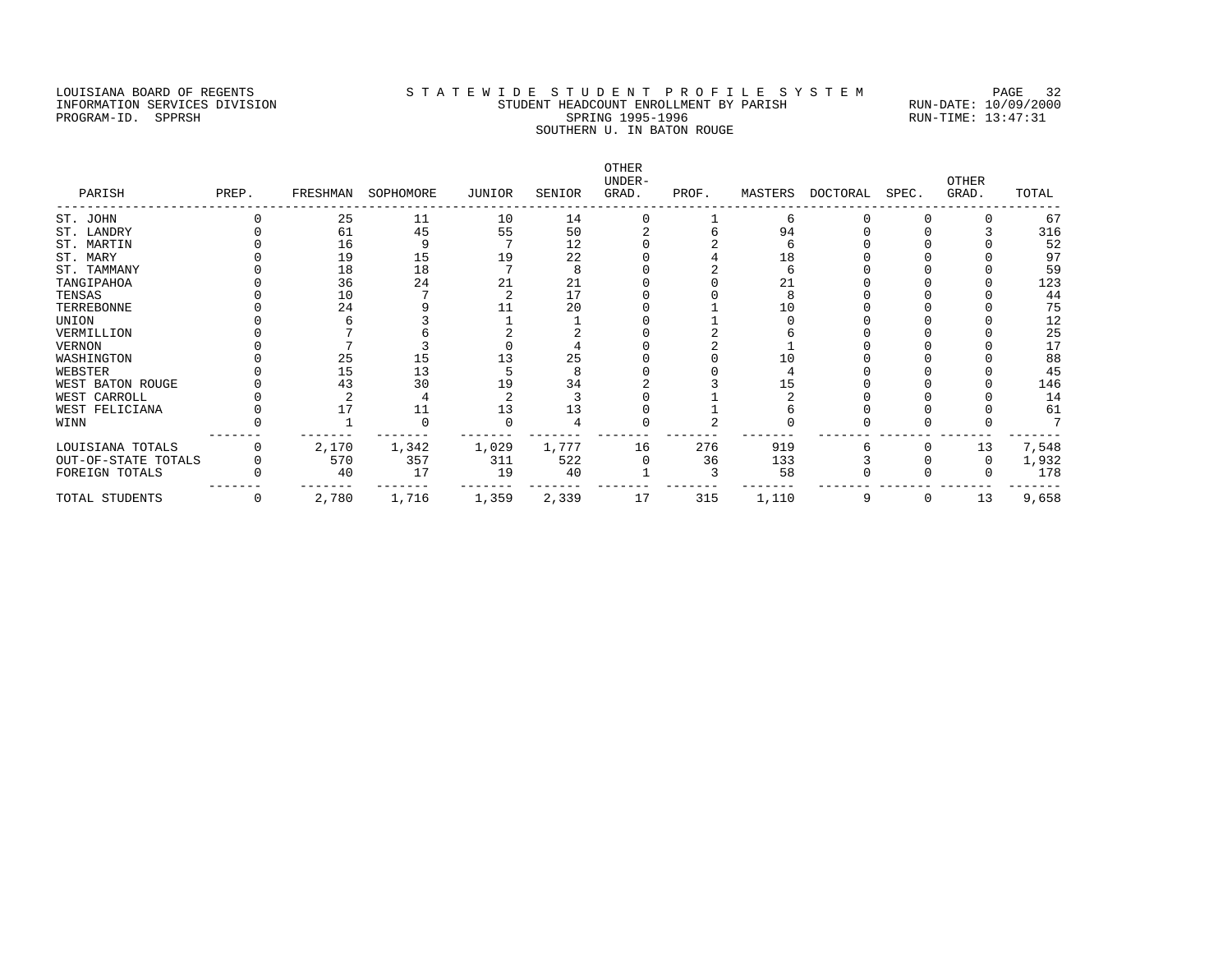# LOUISIANA BOARD OF REGENTS STATEWIDE STUDENT PROFILE SYSTEM PAGE 32 INFORMATION SERVICES DIVISION STUDENT HEADCOUNT ENROLLMENT BY PARISH RUN-DATE: 10/09/2000 PROGRAM-ID. SPPRSH SPRING 1995-1996 SPRING 1995-1996 RUN-TIME: 13:47:31 SOUTHERN U. IN BATON ROUGE

| PARISH              | PREP. |       | FRESHMAN SOPHOMORE | JUNIOR | SENIOR | OTHER<br>UNDER-<br>GRAD. | PROF. | MASTERS | DOCTORAL SPEC. |   | OTHER<br>GRAD. | TOTAL |
|---------------------|-------|-------|--------------------|--------|--------|--------------------------|-------|---------|----------------|---|----------------|-------|
| ST. JOHN            |       | 25    | 11                 | 10     | 14     |                          |       | 6       |                |   |                | 67    |
| ST. LANDRY          |       | 61    | 45                 | 55     | 50     |                          |       | 94      |                |   |                | 316   |
| ST. MARTIN          |       | 16    |                    |        | 12     |                          |       |         |                |   |                | 52    |
| ST. MARY            |       | 19    | 15                 | 19     | 22     |                          |       | 18      |                |   |                | 97    |
| ST. TAMMANY         |       | 18    | 18                 |        |        |                          |       |         |                |   |                | 59    |
| TANGIPAHOA          |       | 36    | 24                 | 21     | 21     |                          |       | 21      |                |   |                | 123   |
| TENSAS              |       | 10    |                    |        | 17     |                          |       |         |                |   |                | 44    |
| TERREBONNE          |       | 24    |                    |        | 20     |                          |       | 10      |                |   |                | 75    |
| UNION               |       |       |                    |        |        |                          |       |         |                |   |                | 12    |
| VERMILLION          |       |       |                    |        |        |                          |       |         |                |   |                | 25    |
| VERNON              |       |       |                    |        |        |                          |       |         |                |   |                | 17    |
| WASHINGTON          |       | 25    | 15                 |        | 25     |                          |       |         |                |   |                | 88    |
| WEBSTER             |       | 15    | 13                 |        |        |                          |       |         |                |   |                | 45    |
| WEST BATON ROUGE    |       | 43    | 30                 | 19     | 34     |                          |       |         |                |   |                | 146   |
| WEST CARROLL        |       |       |                    |        |        |                          |       |         |                |   |                | 14    |
| WEST FELICIANA      |       |       | 11                 |        | 13     |                          |       |         |                |   |                | 61    |
| WINN                |       |       |                    |        |        |                          |       |         |                |   |                |       |
| LOUISIANA TOTALS    |       | 2,170 | 1,342              | 1,029  | 1,777  | 16                       | 276   | 919     |                |   | 13             | 7,548 |
| OUT-OF-STATE TOTALS |       | 570   | 357                | 311    | 522    |                          | 36    | 133     |                |   | <sup>0</sup>   | 1,932 |
| FOREIGN TOTALS      |       | 40    | 17                 | 19     | 40     |                          |       | 58      |                |   |                | 178   |
| TOTAL STUDENTS      | 0     | 2,780 | 1,716              | 1,359  | 2,339  | 17                       | 315   | 1,110   |                | 0 | 13             | 9,658 |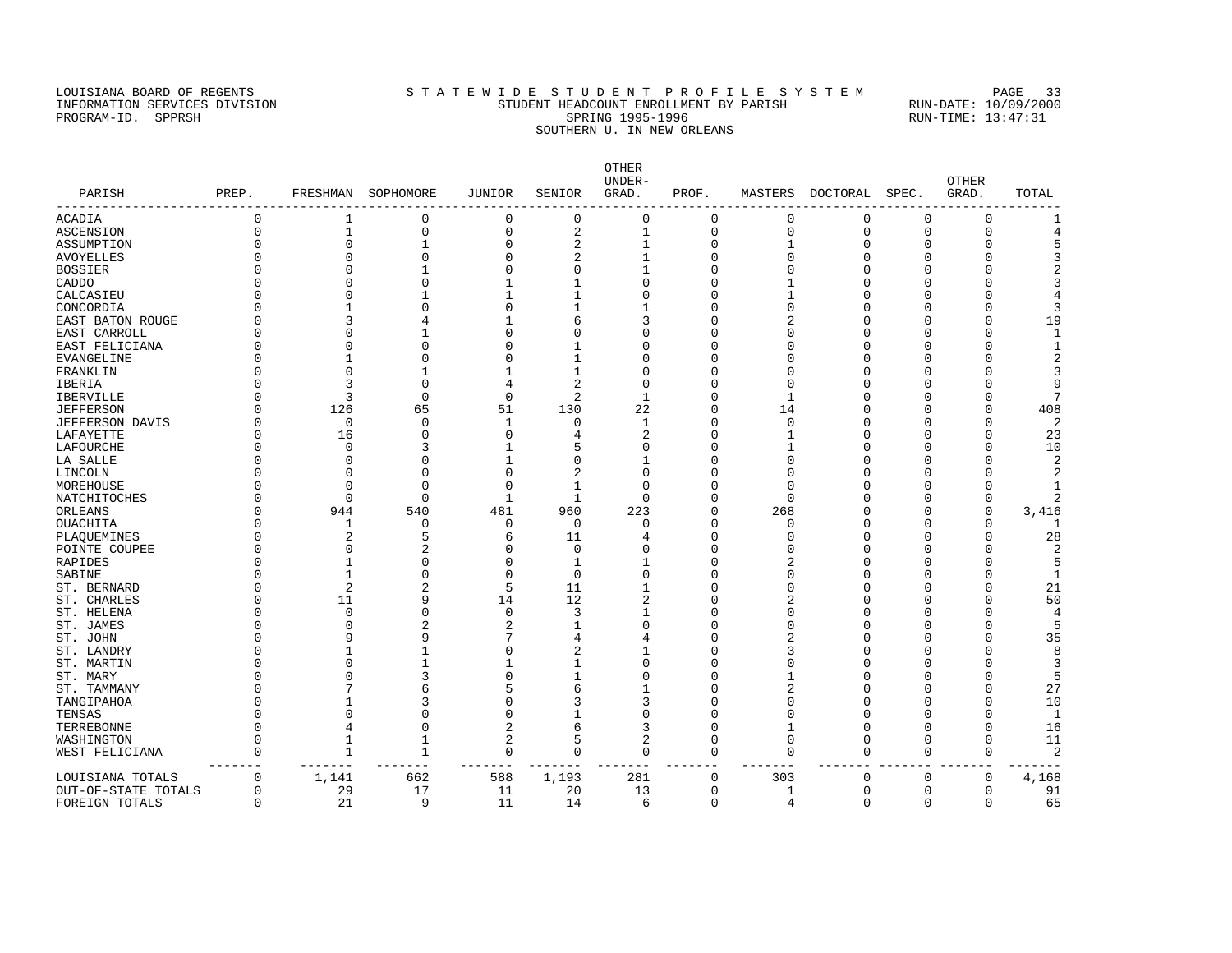### LOUISIANA BOARD OF REGENTS STATEWIDE STUDENT PROFILE SYSTEM PAGE 33 INFORMATION SERVICES DIVISION STUDENT HEADCOUNT ENROLLMENT BY PARISH RUN-DATE: 10/09/2000 PROGRAM-ID. SPPRSH SPRING 1995-1996 SPRING 1995-1996 RUN-TIME: 13:47:31 SOUTHERN U. IN NEW ORLEANS

OTHER UNDER- OTHER PARISH PREP. FRESHMAN SOPHOMORE JUNIOR SENIOR GRAD. PROF. MASTERS DOCTORAL SPEC. GRAD. TOTAL ------------------------------------------------------------------------------------------------------------------------------------ ACADIA 0 1 0 0 0 0 0 0 0 0 0 1 ASCENSION 0 1 0 0 2 1 0 0 0 0 0 4 ASSUMPTION 0 0 1 0 2 1 0 1 0 0 5 AVOYELLES 0 0 0 0 2 1 0 0 0 0 3 BOSSIER 0 0 1 0 0 1 0 0 0 0 0 2 CADDO 0 0 0 1 1 0 0 1 0 0 0 3 CALCASIEU 0 0 1 1 1 0 0 1 0 0 0 4 CONCORDIA 0 1 0 0 1 1 0 0 0 0 0 3 EAST BATON ROUGE 0 3 4 1 6 3 0 2 0 0 0 19 EAST CARROLL 0 0 1 0 0 0 0 0 0 0 0 1 EAST FELICIANA 0 0 0 0 1 0 0 0 0 0 0 1  $\texttt{EVANGELINE}$  0 1 0 0 1 0 0 0 0 0 0 2 FRANKLIN 0 0 1 1 1 0 0 0 0 0 0 3 IBERIA 0 3 0 4 2 0 0 0 0 0 0 9 IBERVILLE 0 3 0 0 2 1 0 1 0 0 0 7 JEFFERSON 0 126 65 51 130 22 0 14 0 0 0 408 JEFFERSON DAVIS 0 120 0 1 130 22 0 14 0 0 0 0 0 2<br>JEFFERSON DAVIS 0 0 0 1 0 1 0 0 0 0 23 LAFAYETTE 0 16 0 0 4 2 0 1 0 0 0 23 LAFOURCHE 0 0 3 1 5 0 0 1 0 0 0 10 LA SALLE 0 0 0 1 0 1 0 0 0 0 0 2 LINCOLN 0 0 0 0 2 0 0 0 0 0 0 2 MOREHOUSE 0 0 0 0 1 0 0 0 0 0 0 1 NATCHITOCHES 0 0 0 0 1 1 0 0 0 0 0 0 2 ORLEANS 0 944 540 481 960 223 0 268 0 0 0 3,416 OUACHITA 0 1 0 0 0 0 0 0 0 0 0 1 PLAQUEMINES 0 2 5 6 11 4 0 0 0 0 0 28 POINTE COUPEE 0 0 0 2 0 0 0 0 0 0 0 0 2 RAPIDES 0 1 0 0 1 1 0 2 0 0 5 SABINE 0 1 0 0 0 0 0 0 0 0 0 0 0 1 ST. BERNARD 0 2 2 5 11 1 0 0 0 0 0 21 ST. CHARLES 0 11 9 14 12 2 0 2 0 0 0 50 ST. HELENA 0 0 0 0 3 1 0 0 0 0 0 4 ST. JAMES 0 0 2 2 1 0 0 0 0 0 0 5 ST. JOHN 0 9 9 9 7 4 4 0 2 0 0 0 35 ST. LANDRY 0 1 1 0 2 1 0 3 0 0 0 8 ST. MARTIN 0 0 0 1 1 1 0 0 0 0 0 0 0 3 ST. MARY 0 0 3 0 1 0 0 1 0 0 0 5 ST. TAMMANY 0 7 6 5 6 1 0 2 0 0 27 TANGIPAHOA 0 1 3 0 3 3 0 0 0 0 0 10 TENSAS 0 0 0 0 1 0 0 0 0 0 0 1 TERREBONNE 0 4 0 2 6 3 0 1 0 0 0 16 WASHINGTON 0 1 1 2 5 2 0 0 0 0 0 11 WEST FELICIANA 0 1 1 0 0 0 0 0 0 0 0 2 ------- ------- ------- ------- ------- ------- ------- ------- ------- ------- ------- ------- LOUISIANA TOTALS 0 1,141 662 588 1,193 281 0 303 0 0 0 4,168 OUT-OF-STATE TOTALS 0 29 17 11 20 13 0 1 0 0 0 91

FOREIGN TOTALS 0 21 9 11 14 6 0 4 0 0 0 65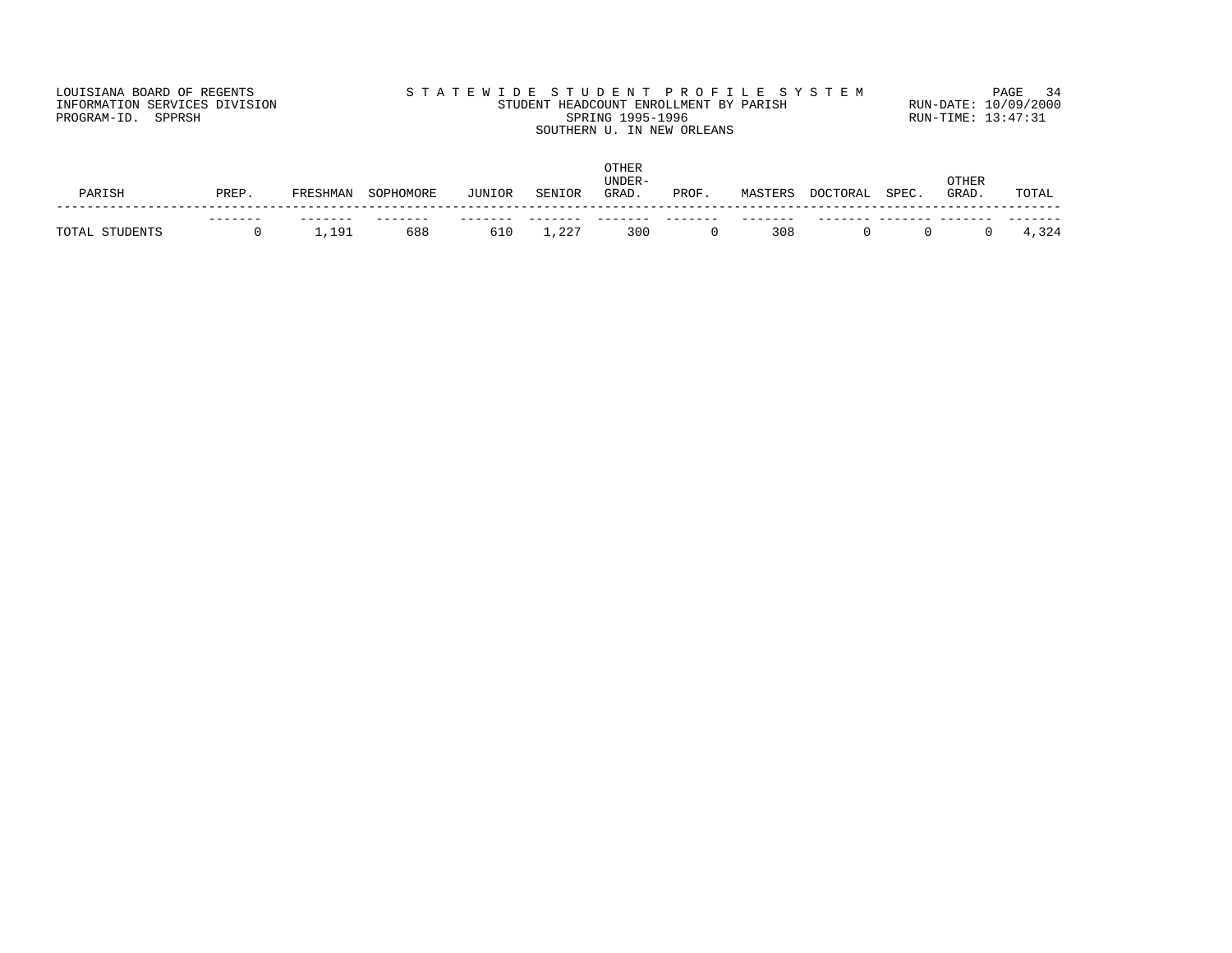# LOUISIANA BOARD OF REGENTS STATEWIDE STUDENT PROFILE SYSTEM PAGE 34 INFORMATION SERVICES DIVISION STUDENT HEADCOUNT ENROLLMENT BY PARISH RUN-DATE: 10/09/2000 PROGRAM-ID. SPPRSH SPRING 1995-1996 SPRING 1995-1996 RUN-TIME: 13:47:31 SOUTHERN U. IN NEW ORLEANS

| PARISH         | PREP | FRESHMAN | SOPHOMORE  | JUNIOR | SENIOR      | OTHER<br>UNDER-<br>GRAD. | PROF | MASTERS | DOCTORAL | SPEC. | OTHER<br>GRAD. | TOTAL |
|----------------|------|----------|------------|--------|-------------|--------------------------|------|---------|----------|-------|----------------|-------|
| TOTAL STUDENTS | ---- | 1,191    | ---<br>688 | 610    | $\pm$ , 227 | 300                      |      | 308     |          |       |                | 4,324 |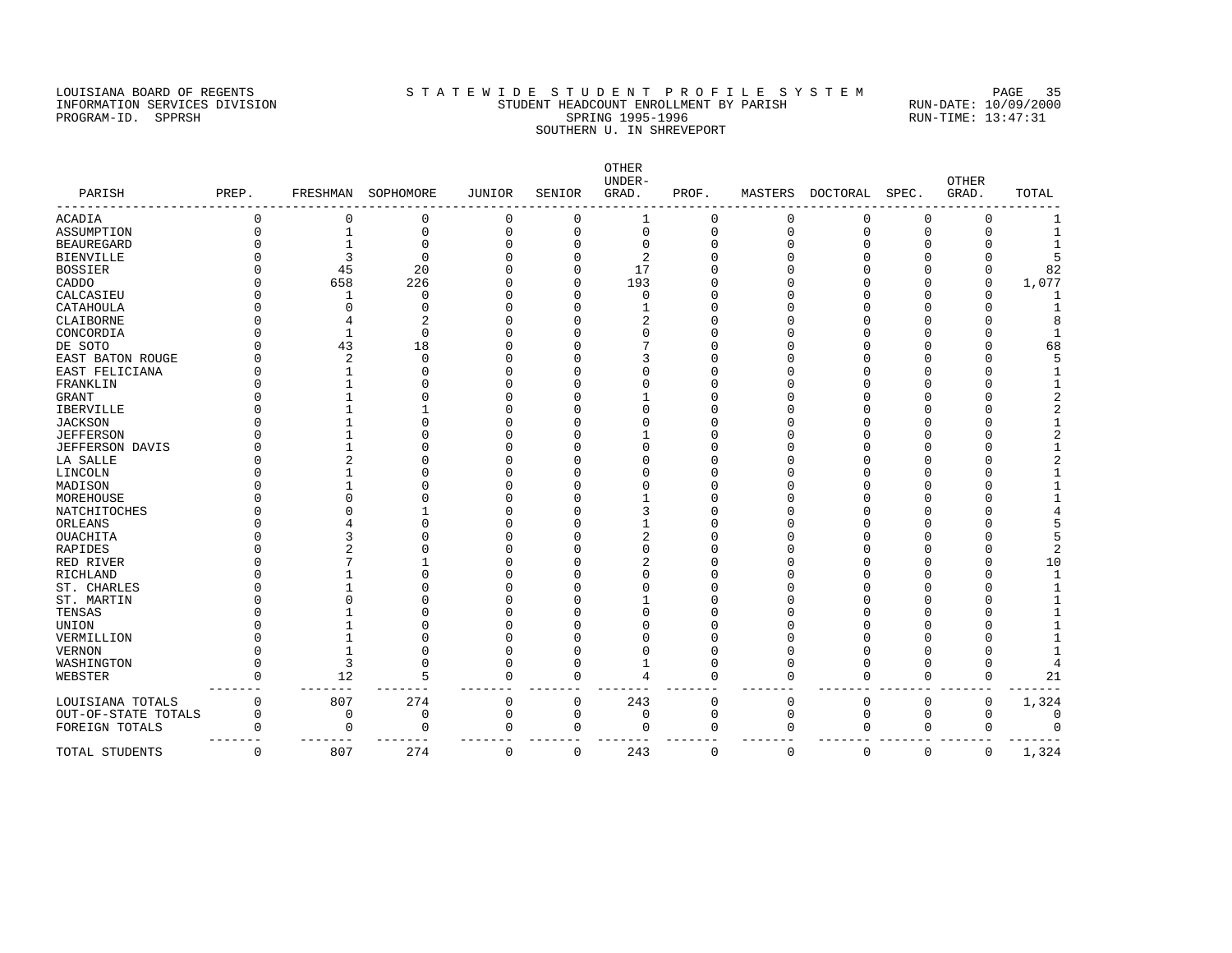### LOUISIANA BOARD OF REGENTS SAN STATEWIDE STUDENT PROFILE SYSTEM PAGE 35 INFORMATION SERVICES DIVISION STUDENT HEADCOUNT ENROLLMENT BY PARISH RUN-DATE: 10/09/2000 PROGRAM-ID. SPPRSH SPRING 1995-1996 SPRING 1995-1996 RUN-TIME: 13:47:31 SOUTHERN U. IN SHREVEPORT

OTHER UNDER- OTHER PARISH PREP. FRESHMAN SOPHOMORE JUNIOR SENIOR GRAD. PROF. MASTERS DOCTORAL SPEC. GRAD. TOTAL ------------------------------------------------------------------------------------------------------------------------------------ ACADIA 0 0 0 0 0 1 0 0 0 0 0 1 ASSUMPTION 0 1 0 0 0 0 0 0 0 0 0 1 BEAUREGARD 0 1 0 0 0 0 0 0 0 0 0 1 BIENVILLE 0 3 0 0 0 2 0 0 0 0 0 5 BOSSIER 0 45 20 0 0 17 0 0 0 0 0 82 CADDO 0 658 226 0 0 193 0 0 0 0 0 1,077 CALCASIEU 0 1 0 0 0 0 0 0 0 0 0 1 CATAHOULA 0 0 0 0 0 1 0 0 0 0 0 1 CLAIBORNE 0 4 2 0 0 2 0 0 0 0 0 8 CONCORDIA 0 1 0 0 0 0 0 0 0 0 0 0 1 DE SOTO 0 43 18 0 0 7 0 0 0 0 0 68 EAST BATON ROUGE 0 2 0 0 0 3 0 0 0 0 0 5 EAST FELICIANA 0 1 0 0 0 0 0 0 0 0 0 1 FRANKLIN 0 1 0 0 0 0 0 0 0 0 0 1 GRANT 0 1 0 0 0 1 0 0 0 0 0 2 IBERVILLE 0 1 1 0 0 0 0 0 0 0 0 2 JACKSON 0 1 0 0 0 0 0 0 0 0 0 1 JEFFERSON 0 1 0 0 0 1 0 0 0 0 0 2 JEFFERSON DAVIS 0 1 0 0 0 0 0 0 0 0 0 1 LA SALLE 0 2 0 0 0 0 0 0 0 0 0 2 LINCOLN 0 1 0 0 0 0 0 0 0 0 0 1 MADISON 0 1 0 0 0 0 0 0 0 0 0 1 MOREHOUSE 0 0 0 0 0 1 0 0 0 0 0 1 NATCHITOCHES 0 0 1 0 0 3 0 0 0 0 0 4 ORLEANS 0 4 0 0 0 1 0 0 0 0 0 5 OUACHITA 0 3 0 0 0 2 0 0 0 0 0 5 RAPIDES 0 2 0 0 0 0 0 0 0 0 2 RED RIVER 0 7 1 0 0 2 0 0 0 0 0 10 RICHLAND 0 1 0 0 0 0 0 0 0 0 0 1 ST. CHARLES 0 1 0 0 0 0 0 0 0 0 0 1 ST. MARTIN 0 0 0 0 0 1 0 0 0 0 0 1 TENSAS 0 1 0 0 0 0 0 0 0 0 0 1 UNION 0 1 0 0 0 0 0 0 0 0 0 1 VERMILLION 0 1 0 0 0 0 0 0 0 0 0 1 VERNON 0 1 0 0 0 0 0 0 0 0 0 1 WASHINGTON 0 3 0 0 0 1 0 0 0 0 0 4 WEBSTER 0 12 5 0 0 4 0 0 0 0 0 21 ------- ------- ------- ------- ------- ------- ------- ------- ------- ------- ------- ------- LOUISIANA TOTALS 0 807 274 0 0 243 0 0 0 0 0 1,324 OUT-OF-STATE TOTALS 0 0 0 0 0 0 0 0 0 0 0 0 FOREIGN TOTALS 0 0 0 0 0 0 0 0 0 0 0 0  $\verb|TOTAL STUDENTS| 0 | 807 | 274 | 0 | 0 | 243 | 0 | 0 | 0 | 0 | 0 | 1,324 |$  $T_1$   $T_2$   $T_3$   $T_4$   $T_5$   $T_6$   $T_7$   $T_8$   $T_8$   $T_9$   $T_9$   $T_9$   $T_9$   $T_9$   $T_9$   $T_9$   $T_9$   $T_9$   $T_9$   $T_9$   $T_9$   $T_9$   $T_9$   $T_9$   $T_9$   $T_9$   $T_9$   $T_9$   $T_9$   $T_9$   $T_9$   $T_9$   $T_9$   $T_9$   $T_9$   $T_9$   $T_9$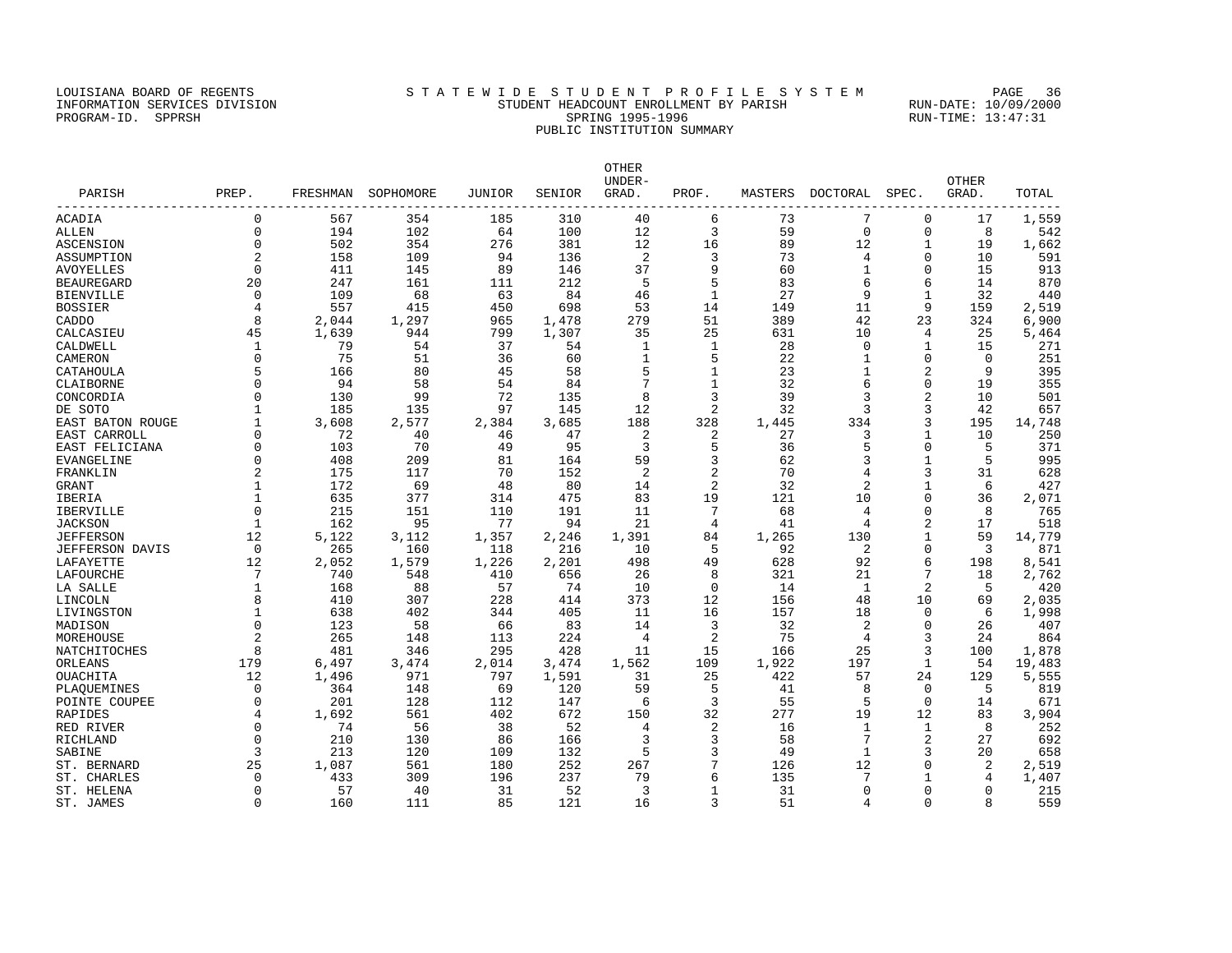# LOUISIANA BOARD OF REGENTS SAN STATEWIDE STUDENT PROFILE SYSTEM PAGE 36 INFORMATION SERVICES DIVISION STUDENT HEADCOUNT ENROLLMENT BY PARISH RUN-DATE: 10/09/2000 PROGRAM-ID. SPPRSH SPRING 1995-1996 SPRING 1995-1996 RUN-TIME: 13:47:31 PUBLIC INSTITUTION SUMMARY

| PARISH            | PREP.          |       | FRESHMAN SOPHOMORE | JUNIOR | SENIOR | OTHER<br>UNDER-<br>GRAD. | PROF.          | MASTERS | DOCTORAL       | SPEC.          | <b>OTHER</b><br>GRAD. | TOTAL  |
|-------------------|----------------|-------|--------------------|--------|--------|--------------------------|----------------|---------|----------------|----------------|-----------------------|--------|
| ACADIA            | $\Omega$       | 567   | 354                | 185    | 310    | 40                       | 6              | 73      | 7              | $\mathbf 0$    | 17                    | 1,559  |
| ALLEN             | $\Omega$       | 194   | 102                | 64     | 100    | 12                       | 3              | 59      | $\mathbf 0$    | $\mathbf 0$    | 8                     | 542    |
| ASCENSION         | $\Omega$       | 502   | 354                | 276    | 381    | 12                       | 16             | 89      | 12             | $\mathbf{1}$   | 19                    | 1,662  |
| ASSUMPTION        | 2              | 158   | 109                | 94     | 136    | 2                        | 3              | 73      | 4              | $\Omega$       | 10                    | 591    |
| AVOYELLES         | $\Omega$       | 411   | 145                | 89     | 146    | 37                       | 9              | 60      | $\mathbf 1$    | $\Omega$       | 15                    | 913    |
| <b>BEAUREGARD</b> | 20             | 247   | 161                | 111    | 212    | -5                       | 5              | 83      | 6              | 6              | 14                    | 870    |
| BIENVILLE         | 0              | 109   | 68                 | 63     | 84     | 46                       | 1              | 27      | 9              | $\mathbf{1}$   | 32                    | 440    |
| BOSSIER           |                | 557   | 415                | 450    | 698    | 53                       | 14             | 149     | 11             | 9              | 159                   | 2,519  |
| CADDO             | 8              | 2,044 | 1,297              | 965    | 1,478  | 279                      | 51             | 389     | 42             | 23             | 324                   | 6,900  |
| CALCASIEU         | 45             | 1,639 | 944                | 799    | 1,307  | 35                       | 25             | 631     | 10             | 4              | 25                    | 5,464  |
| CALDWELL          |                | 79    | 54                 | 37     | 54     | 1                        | 1              | 28      | 0              | 1              | 15                    | 271    |
| CAMERON           | $\Omega$       | 75    | 51                 | 36     | 60     | 1                        | 5              | 22      | 1              | 0              | $\mathbf 0$           | 251    |
| CATAHOULA         | 5              | 166   | 80                 | 45     | 58     | 5                        | $\mathbf{1}$   | 23      | $\mathbf{1}$   | 2              | 9                     | 395    |
| CLAIBORNE         | $\Omega$       | 94    | 58                 | 54     | 84     | 7                        | 1              | 32      | 6              | 0              | 19                    | 355    |
| CONCORDIA         | $\Omega$       | 130   | 99                 | 72     | 135    | 8                        | 3              | 39      | 3              | $\overline{2}$ | 10                    | 501    |
| DE SOTO           | $\mathbf{1}$   | 185   | 135                | 97     | 145    | 12                       | 2              | 32      | 3              | 3              | 42                    | 657    |
| EAST BATON ROUGE  |                | 3,608 | 2,577              | 2,384  | 3,685  | 188                      | 328            | 1,445   | 334            | 3              | 195                   | 14,748 |
| EAST CARROLL      | $\Omega$       | 72    | 40                 | 46     | 47     | 2                        | 2              | 27      | 3              | 1              | 10                    | 250    |
| EAST FELICIANA    | $\Omega$       | 103   | 70                 | 49     | 95     | 3                        | 5              | 36      | 5              | 0              | 5                     | 371    |
| EVANGELINE        | $\Omega$       | 408   | 209                | 81     | 164    | 59                       | 3              | 62      | 3              | $\mathbf{1}$   | 5                     | 995    |
| FRANKLIN          |                | 175   | 117                | 70     | 152    | 2                        | 2              | 70      | 4              | 3              | 31                    | 628    |
| GRANT             |                | 172   | 69                 | 48     | 80     | 14                       | $\overline{2}$ | 32      | $\overline{2}$ | $\mathbf{1}$   | 6                     | 427    |
| IBERIA            |                | 635   | 377                | 314    | 475    | 83                       | 19             | 121     | 10             | 0              | 36                    | 2,071  |
| IBERVILLE         | $\Omega$       | 215   | 151                | 110    | 191    | 11                       | 7              | 68      | 4              | 0              | 8                     | 765    |
| <b>JACKSON</b>    |                | 162   | 95                 | 77     | 94     | 21                       | 4              | 41      | 4              | 2              | 17                    | 518    |
| JEFFERSON         | 12             | 5,122 | 3,112              | 1,357  | 2,246  | 1,391                    | 84             | 1,265   | 130            | 1              | 59                    | 14,779 |
| JEFFERSON DAVIS   | $\Omega$       | 265   | 160                | 118    | 216    | 10                       | 5              | 92      | 2              | $\Omega$       | 3                     | 871    |
| LAFAYETTE         | 12             | 2,052 | 1,579              | 1,226  | 2,201  | 498                      | 49             | 628     | 92             | 6              | 198                   | 8,541  |
| LAFOURCHE         | 7              | 740   | 548                | 410    | 656    | 26                       | 8              | 321     | 21             | 7              | 18                    | 2,762  |
| LA SALLE          |                | 168   | 88                 | 57     | 74     | 10                       | 0              | 14      | 1              | 2              | 5                     | 420    |
| LINCOLN           | 8              | 410   | 307                | 228    | 414    | 373                      | 12             | 156     | 48             | 10             | 69                    | 2,035  |
| LIVINGSTON        | 1              | 638   | 402                | 344    | 405    | 11                       | 16             | 157     | 18             | 0              | 6                     | 1,998  |
| MADISON           | $\mathbf 0$    | 123   | 58                 | 66     | 83     | 14                       | 3              | 32      | 2              | $\mathbf 0$    | 26                    | 407    |
| MOREHOUSE         | $\overline{a}$ | 265   | 148                | 113    | 224    | $\overline{4}$           | $\overline{2}$ | 75      | $\overline{4}$ | 3              | 24                    | 864    |
| NATCHITOCHES      | 8              | 481   | 346                | 295    | 428    | 11                       | 15             | 166     | 25             | 3              | 100                   | 1,878  |
| ORLEANS           | 179            | 6,497 | 3,474              | 2,014  | 3,474  | 1,562                    | 109            | 1,922   | 197            | 1              | 54                    | 19,483 |
| OUACHITA          | 12             | 1,496 | 971                | 797    | 1,591  | 31                       | 25             | 422     | 57             | 24             | 129                   | 5,555  |
| PLAOUEMINES       | $\Omega$       | 364   | 148                | 69     | 120    | 59                       | 5              | 41      | 8              | 0              | 5                     | 819    |
| POINTE COUPEE     | $\Omega$       | 201   | 128                | 112    | 147    | 6                        | 3              | 55      | 5              | $\Omega$       | 14                    | 671    |
| RAPIDES           | 4              | 1,692 | 561                | 402    | 672    | 150                      | 32             | 277     | 19             | 12             | 83                    | 3,904  |
| RED RIVER         | $\Omega$       | 74    | 56                 | 38     | 52     | 4                        | 2              | 16      | $\mathbf{1}$   | 1              | 8                     | 252    |
| RICHLAND          | $\Omega$       | 210   | 130                | 86     | 166    | 3                        | 3              | 58      | 7              | 2              | 27                    | 692    |
| SABINE            | 3              | 213   | 120                | 109    | 132    | 5                        | 3              | 49      | $\mathbf{1}$   | 3              | 20                    | 658    |
| ST. BERNARD       | 25             | 1,087 | 561                | 180    | 252    | 267                      | 7              | 126     | 12             | 0              | 2                     | 2,519  |
| ST. CHARLES       | $\Omega$       | 433   | 309                | 196    | 237    | 79                       | 6              | 135     | 7              | $\mathbf{1}$   | 4                     | 1,407  |
| ST. HELENA        | $\Omega$       | 57    | 40                 | 31     | 52     | $\overline{3}$           | 1              | 31      | $\Omega$       | $\Omega$       | $\Omega$              | 215    |
| ST. JAMES         | $\Omega$       | 160   | 111                | 85     | 121    | 16                       | 3              | 51      | $\overline{4}$ | $\Omega$       | 8                     | 559    |